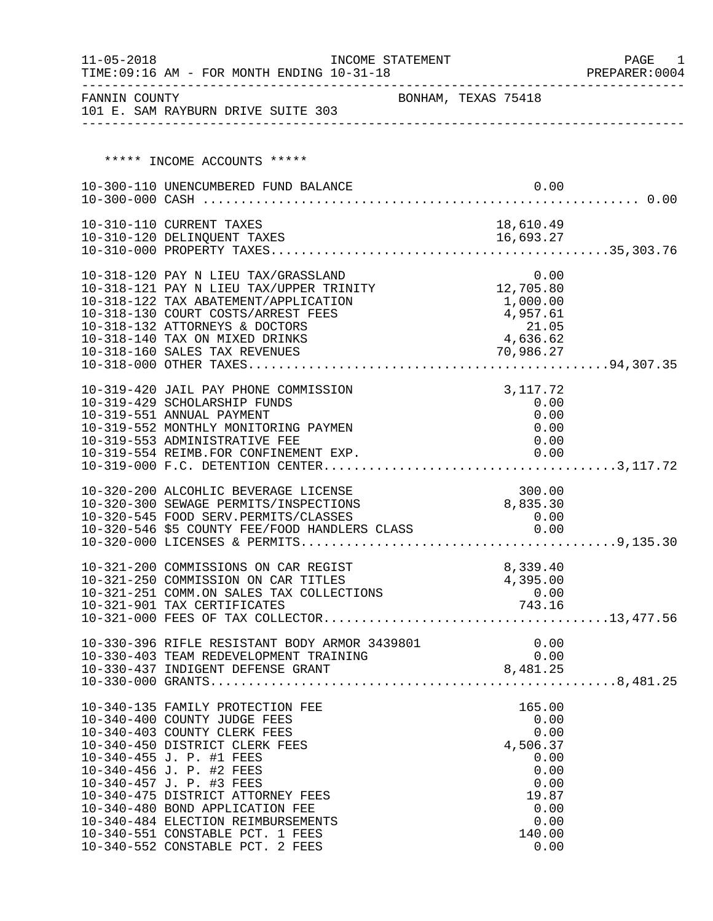| $11 - 05 - 2018$ | TIME: 09:16 AM - FOR MONTH ENDING 10-31-18                                                        | INCOME STATEMENT    |          |                  | PAGE<br>PREPARER: 0004 | 1 |
|------------------|---------------------------------------------------------------------------------------------------|---------------------|----------|------------------|------------------------|---|
| FANNIN COUNTY    | 101 E. SAM RAYBURN DRIVE SUITE 303                                                                | BONHAM, TEXAS 75418 |          |                  |                        |   |
|                  | ***** INCOME ACCOUNTS *****                                                                       |                     |          |                  |                        |   |
|                  |                                                                                                   |                     |          |                  |                        |   |
|                  | 10-300-110 UNENCUMBERED FUND BALANCE                                                              |                     |          | 0.00             |                        |   |
|                  |                                                                                                   |                     |          |                  |                        |   |
|                  | 10-310-110 CURRENT TAXES                                                                          |                     |          | 18,610.49        |                        |   |
|                  |                                                                                                   |                     |          |                  |                        |   |
|                  |                                                                                                   |                     |          |                  |                        |   |
|                  | 10-318-120 PAY N LIEU TAX/GRASSLAND 0.00<br>10-318-121 PAY N LIEU TAX/UPPER TRINITY 12,705.80     |                     |          |                  |                        |   |
|                  | 10-318-122 TAX ABATEMENT/APPLICATION                                                              |                     |          | 1,000.00         |                        |   |
|                  | 10-318-130 COURT COSTS/ARREST FEES                                                                |                     |          | 4,957.61         |                        |   |
|                  | 10-318-132 ATTORNEYS & DOCTORS                                                                    |                     |          | 21.05            |                        |   |
|                  | 10-318-140 TAX ON MIXED DRINKS                                                                    |                     |          | 4,636.62         |                        |   |
|                  |                                                                                                   |                     |          |                  |                        |   |
|                  |                                                                                                   |                     |          |                  |                        |   |
|                  | 10-319-420 JAIL PAY PHONE COMMISSION                                                              |                     |          | 3,117.72         |                        |   |
|                  | 10-319-429 SCHOLARSHIP FUNDS                                                                      |                     |          | 0.00             |                        |   |
|                  | 10-319-551 ANNUAL PAYMENT                                                                         |                     |          | 0.00             |                        |   |
|                  | 10-319-552 MONTHLY MONITORING PAYMEN<br>10-319-553 ADMINISTRATIVE FEE                             |                     |          | 0.00<br>0.00     |                        |   |
|                  |                                                                                                   |                     |          |                  |                        |   |
|                  |                                                                                                   |                     |          |                  |                        |   |
|                  | 10-320-200 ALCOHLIC BEVERAGE LICENSE                                                              |                     |          | 300.00           |                        |   |
|                  | 10-320-300 SEWAGE PERMITS/INSPECTIONS                                                             |                     | 8,835.30 |                  |                        |   |
|                  |                                                                                                   |                     |          | 0.00             |                        |   |
|                  | 10-320-545 FOOD SERV.PERMITS/CLASSES<br>10-320-546 \$5 COUNTY FEE/FOOD HANDLERS CLASS             |                     |          | 0.00             |                        |   |
|                  |                                                                                                   |                     |          |                  |                        |   |
|                  | 10-321-200 COMMISSIONS ON CAR REGIST                                                              |                     |          | 8,339.40         |                        |   |
|                  | 10-321-250 COMMISSION ON CAR TITLES                                                               |                     |          | 4,395.00         |                        |   |
|                  | 10-321-251 COMM.ON SALES TAX COLLECTIONS                                                          |                     |          | $0.00$<br>743.16 |                        |   |
|                  | 10-321-901 TAX CERTIFICATES                                                                       |                     |          |                  |                        |   |
|                  |                                                                                                   |                     |          |                  |                        |   |
|                  | 10-330-396 RIFLE RESISTANT BODY ARMOR 3439801 0.00<br>10-330-403 TEAM REDEVELOPMENT TRAINING 0.00 |                     |          |                  |                        |   |
|                  |                                                                                                   |                     |          |                  |                        |   |
|                  |                                                                                                   |                     |          |                  |                        |   |
|                  |                                                                                                   |                     |          |                  |                        |   |
|                  | 10-340-135 FAMILY PROTECTION FEE                                                                  |                     |          | 165.00           |                        |   |
|                  | 10-340-400 COUNTY JUDGE FEES                                                                      |                     |          | 0.00             |                        |   |
|                  | 10-340-403 COUNTY CLERK FEES<br>10-340-450 DISTRICT CLERK FEES                                    |                     |          | 0.00<br>4,506.37 |                        |   |
|                  | 10-340-455 J. P. #1 FEES                                                                          |                     |          | 0.00             |                        |   |
|                  | 10-340-456 J. P. #2 FEES                                                                          |                     |          | 0.00             |                        |   |
|                  | 10-340-457 J. P. #3 FEES                                                                          |                     |          | 0.00             |                        |   |
|                  | 10-340-475 DISTRICT ATTORNEY FEES                                                                 |                     |          | 19.87            |                        |   |
|                  | 10-340-480 BOND APPLICATION FEE<br>10-340-484 ELECTION REIMBURSEMENTS                             |                     |          | 0.00<br>0.00     |                        |   |
|                  | 10-340-551 CONSTABLE PCT. 1 FEES                                                                  |                     |          | 140.00           |                        |   |
|                  | 10-340-552 CONSTABLE PCT. 2 FEES                                                                  |                     |          | 0.00             |                        |   |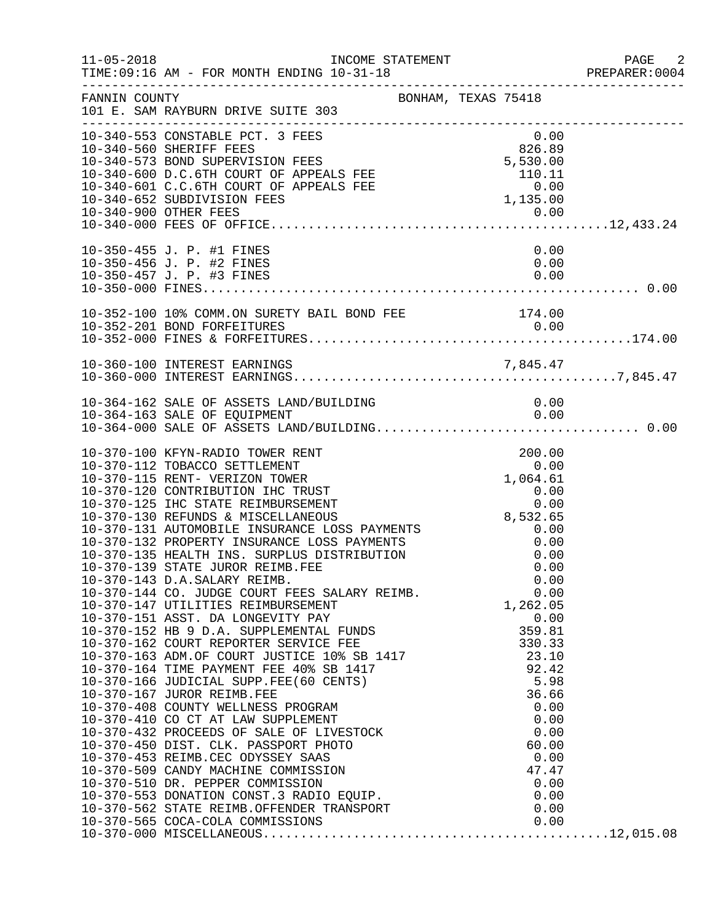| $11 - 05 - 2018$ | INCOME STATEMENT<br>TIME: 09:16 AM - FOR MONTH ENDING 10-31-18                                                                                                                                                                                                                                                                                                                                                                                                                                                                                                         |                                                                                | PAGE 2<br>PREPARER:0004 |
|------------------|------------------------------------------------------------------------------------------------------------------------------------------------------------------------------------------------------------------------------------------------------------------------------------------------------------------------------------------------------------------------------------------------------------------------------------------------------------------------------------------------------------------------------------------------------------------------|--------------------------------------------------------------------------------|-------------------------|
| FANNIN COUNTY    | BONHAM, TEXAS 75418<br>101 E. SAM RAYBURN DRIVE SUITE 303                                                                                                                                                                                                                                                                                                                                                                                                                                                                                                              |                                                                                |                         |
|                  | 10-340-553 CONSTABLE PCT. 3 FEES<br>10-340-560 SHERIFF FEES<br>10-340-573 BOND SUPERVISION FEES<br>10-340-600 D.C.6TH COURT OF APPEALS FEE<br>10-340-601 C.C.6TH COURT OF APPEALS FEE<br>10-340-652 SUBDIVISION FEES<br>10-340-900 OTHER FEES                                                                                                                                                                                                                                                                                                                          | 0.00<br>826.89<br>5,530.00<br>110.11<br>0.00<br>1,135.00                       |                         |
|                  | 10-350-455 J. P. #1 FINES<br>10-350-456 J. P. #2 FINES<br>10-350-457 J. P. #3 FINES                                                                                                                                                                                                                                                                                                                                                                                                                                                                                    | 0.00<br>0.00<br>0.00                                                           |                         |
|                  | 10-352-100 10% COMM.ON SURETY BAIL BOND FEE 174.00                                                                                                                                                                                                                                                                                                                                                                                                                                                                                                                     |                                                                                |                         |
|                  |                                                                                                                                                                                                                                                                                                                                                                                                                                                                                                                                                                        |                                                                                |                         |
|                  | 10-364-162 SALE OF ASSETS LAND/BUILDING<br>10-364-163 SALE OF EQUIPMENT                                                                                                                                                                                                                                                                                                                                                                                                                                                                                                | 0.00<br>0.00                                                                   |                         |
|                  | 10-370-100 KFYN-RADIO TOWER RENT<br>10-370-112 TOBACCO SETTLEMENT<br>10-370-115 RENT- VERIZON TOWER<br>10-370-120 CONTRIBUTION IHC TRUST<br>10-370-125 IHC STATE REIMBURSEMENT<br>10-370-130 REFUNDS & MISCELLANEOUS<br>10-370-131 AUTOMOBILE INSURANCE LOSS PAYMENTS<br>10-370-132 PROPERTY INSURANCE LOSS PAYMENTS<br>10-370-135 HEALTH INS. SURPLUS DISTRIBUTION<br>10-370-139 STATE JUROR REIMB.FEE<br>10-370-143 D.A.SALARY REIMB.<br>10-370-143 D.A.SALARY REIMB.<br>10-370-144 CO. JUDGE COURT FEES SALARY REIMB. 0.00<br>1,262.05 1.17 IUTIT TELE PETMELERMENT | 200.00<br>0.00<br>1,064.61<br>0.00<br>8,532.65<br>0.00<br>0.00<br>0.00<br>0.00 |                         |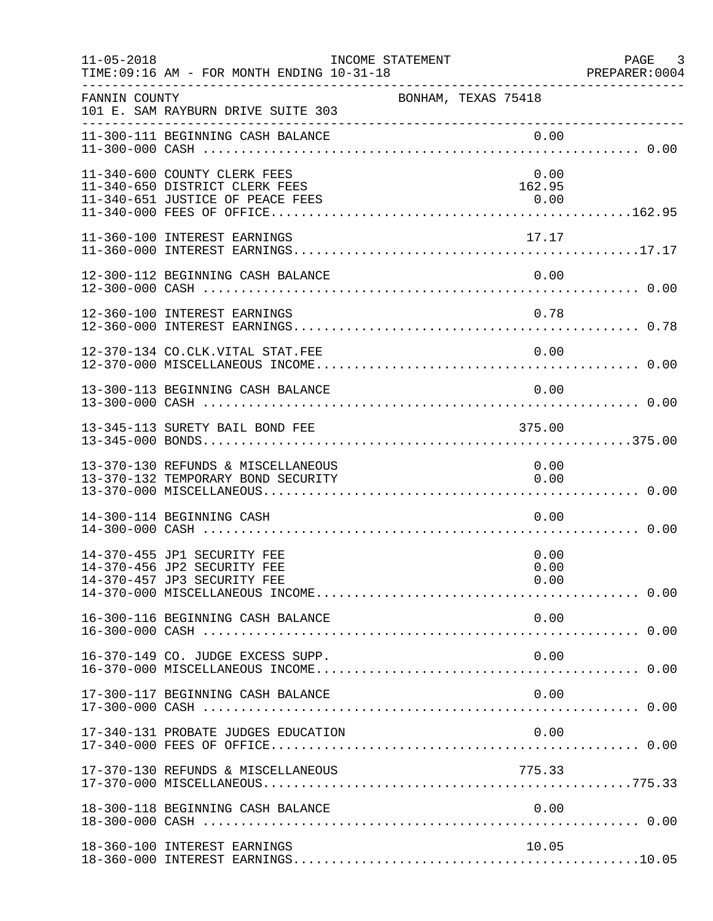| $11 - 05 - 2018$ | TIME: 09:16 AM - FOR MONTH ENDING 10-31-18                                                         | INCOME STATEMENT    |                        | PAGE 3<br>PREPARER:0004 |
|------------------|----------------------------------------------------------------------------------------------------|---------------------|------------------------|-------------------------|
| FANNIN COUNTY    | 101 E. SAM RAYBURN DRIVE SUITE 303                                                                 | BONHAM, TEXAS 75418 |                        |                         |
|                  | 11-300-111 BEGINNING CASH BALANCE                                                                  |                     | 0.00                   |                         |
|                  | 11-340-600 COUNTY CLERK FEES<br>11-340-650 DISTRICT CLERK FEES<br>11-340-651 JUSTICE OF PEACE FEES |                     | 0.00<br>162.95<br>0.00 |                         |
|                  | 11-360-100 INTEREST EARNINGS                                                                       |                     | 17.17                  |                         |
|                  | 12-300-112 BEGINNING CASH BALANCE                                                                  |                     | 0.00                   |                         |
|                  | 12-360-100 INTEREST EARNINGS                                                                       |                     | 0.78                   |                         |
|                  | 12-370-134 CO.CLK.VITAL STAT.FEE                                                                   |                     | 0.00                   |                         |
|                  | 13-300-113 BEGINNING CASH BALANCE                                                                  |                     | 0.00                   |                         |
|                  | 13-345-113 SURETY BAIL BOND FEE                                                                    |                     | 375.00                 |                         |
|                  | 13-370-130 REFUNDS & MISCELLANEOUS<br>13-370-132 TEMPORARY BOND SECURITY                           |                     | 0.00<br>0.00           |                         |
|                  | 14-300-114 BEGINNING CASH                                                                          |                     | 0.00                   |                         |
|                  | 14-370-455 JP1 SECURITY FEE<br>14-370-456 JP2 SECURITY FEE<br>14-370-457 JP3 SECURITY FEE          |                     | 0.00<br>0.00<br>0.00   |                         |
|                  | 16-300-116 BEGINNING CASH BALANCE                                                                  |                     | 0.00                   |                         |
|                  | 16-370-149 CO. JUDGE EXCESS SUPP.                                                                  |                     | 0.00                   |                         |
|                  | 17-300-117 BEGINNING CASH BALANCE                                                                  |                     | 0.00                   |                         |
|                  | 17-340-131 PROBATE JUDGES EDUCATION                                                                |                     | 0.00                   |                         |
|                  | 17-370-130 REFUNDS & MISCELLANEOUS                                                                 |                     | 775.33                 |                         |
|                  | 18-300-118 BEGINNING CASH BALANCE                                                                  |                     | 0.00                   |                         |
|                  | 18-360-100 INTEREST EARNINGS                                                                       |                     | 10.05                  |                         |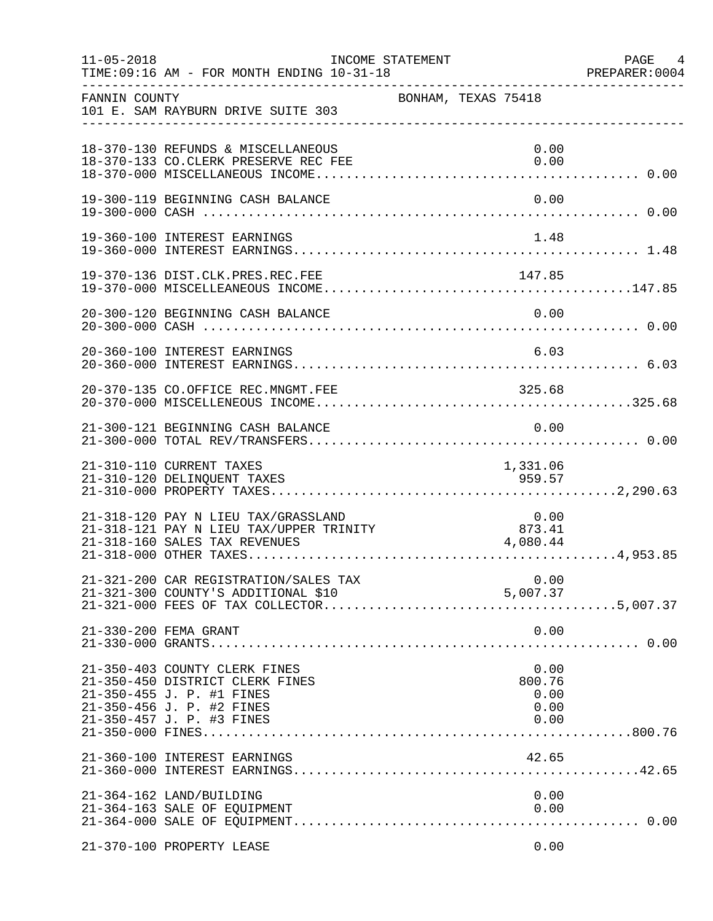| $11 - 05 - 2018$ | TIME: 09:16 AM - FOR MONTH ENDING 10-31-18                                                                                                              | INCOME STATEMENT    |                                        | PAGE 4<br>PREPARER: 0004 |
|------------------|---------------------------------------------------------------------------------------------------------------------------------------------------------|---------------------|----------------------------------------|--------------------------|
| FANNIN COUNTY    | 101 E. SAM RAYBURN DRIVE SUITE 303                                                                                                                      | BONHAM, TEXAS 75418 |                                        |                          |
|                  | 18-370-130 REFUNDS & MISCELLANEOUS<br>18-370-133 CO.CLERK PRESERVE REC FEE                                                                              |                     | 0.00<br>0.00                           |                          |
|                  | 19-300-119 BEGINNING CASH BALANCE                                                                                                                       |                     | 0.00                                   |                          |
|                  | 19-360-100 INTEREST EARNINGS                                                                                                                            |                     | 1.48                                   |                          |
|                  | 19-370-136 DIST.CLK.PRES.REC.FEE                                                                                                                        |                     |                                        |                          |
|                  | 20-300-120 BEGINNING CASH BALANCE                                                                                                                       |                     | 0.00                                   |                          |
|                  | 20-360-100 INTEREST EARNINGS                                                                                                                            |                     | 6.03                                   |                          |
|                  |                                                                                                                                                         |                     |                                        |                          |
|                  | 21-300-121 BEGINNING CASH BALANCE                                                                                                                       |                     | 0.00                                   |                          |
|                  | 21-310-110 CURRENT TAXES<br>21-310-120 DELINQUENT TAXES                                                                                                 |                     | 1,331.06<br>959.57                     |                          |
|                  | 21-318-120 PAY N LIEU TAX/GRASSLAND<br>21-318-121 PAY N LIEU TAX/UPPER TRINITY<br>21-318-160 SALES TAX REVENUES                                         |                     | $0.00$<br>873.41<br>4,080.44           |                          |
|                  | 21-321-200 CAR REGISTRATION/SALES TAX<br>21-321-300 COUNTY'S ADDITIONAL \$10                                                                            |                     | 0.00<br>5,007.37                       |                          |
|                  | 21-330-200 FEMA GRANT                                                                                                                                   |                     | 0.00                                   |                          |
|                  | 21-350-403 COUNTY CLERK FINES<br>21-350-450 DISTRICT CLERK FINES<br>21-350-455 J. P. #1 FINES<br>21-350-456 J. P. #2 FINES<br>21-350-457 J. P. #3 FINES |                     | 0.00<br>800.76<br>0.00<br>0.00<br>0.00 |                          |
|                  | 21-360-100 INTEREST EARNINGS                                                                                                                            |                     | 42.65                                  |                          |
|                  | 21-364-162 LAND/BUILDING<br>21-364-163 SALE OF EQUIPMENT                                                                                                |                     | 0.00<br>0.00                           |                          |
|                  | 21-370-100 PROPERTY LEASE                                                                                                                               |                     | 0.00                                   |                          |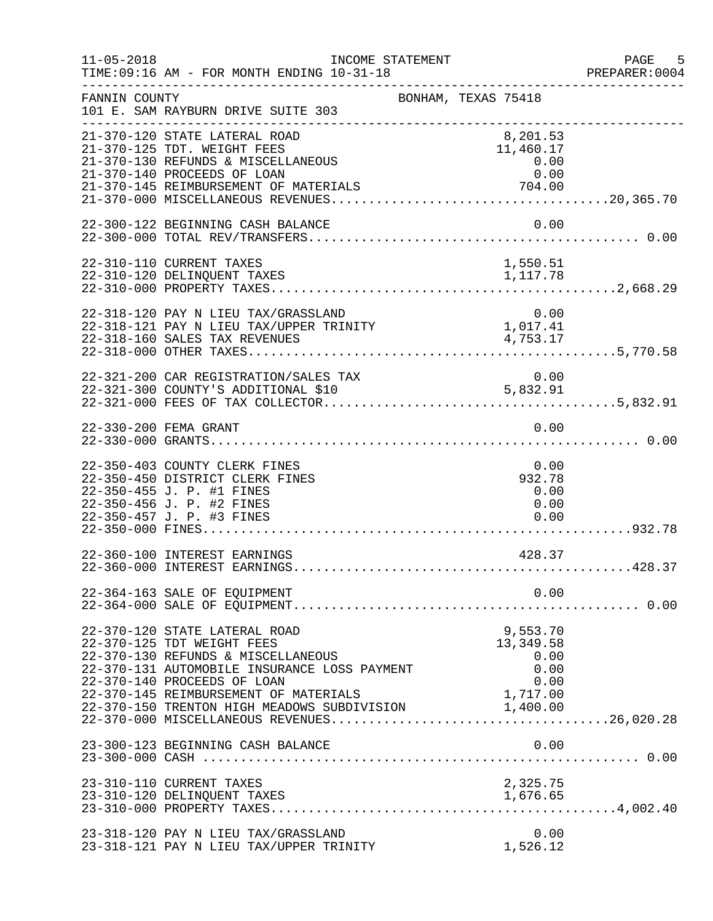| $11 - 05 - 2018$ | INCOME STATEMENT<br>TIME: 09:16 AM - FOR MONTH ENDING 10-31-18                                                                                                                   |                                               | PAGE 5<br>PREPARER: 0004 |
|------------------|----------------------------------------------------------------------------------------------------------------------------------------------------------------------------------|-----------------------------------------------|--------------------------|
| FANNIN COUNTY    | 101 E. SAM RAYBURN DRIVE SUITE 303<br>-----------------------------------                                                                                                        | BONHAM, TEXAS 75418                           |                          |
|                  | 21-370-120 STATE LATERAL ROAD<br>21-370-125 TDT. WEIGHT FEES<br>21-370-130 REFUNDS & MISCELLANEOUS<br>21-370-140 PROCEEDS OF LOAN                                                | 8,201.53<br>11,460.17<br>0.00<br>0.00         |                          |
|                  | 22-300-122 BEGINNING CASH BALANCE                                                                                                                                                | 0.00                                          |                          |
|                  | 22-310-110 CURRENT TAXES<br>22-310-120 DELINQUENT TAXES                                                                                                                          | 1,550.51<br>1,117.78                          |                          |
|                  | 22-318-120 PAY N LIEU TAX/GRASSLAND<br>22-318-121 PAY N LIEU TAX/UPPER TRINITY<br>22-318-160 SALES TAX REVENUES                                                                  | 0.00<br>0.00<br>1,017.41<br>4,753.17          |                          |
|                  | 22-321-200 CAR REGISTRATION/SALES TAX                                                                                                                                            | 0.00                                          |                          |
|                  | 22-330-200 FEMA GRANT                                                                                                                                                            | 0.00                                          |                          |
|                  | 22-350-403 COUNTY CLERK FINES<br>22-350-450 DISTRICT CLERK FINES<br>22-350-455 J. P. #1 FINES<br>22-350-456 J. P. #2 FINES<br>22-350-457 J. P. #3 FINES                          | 0.00<br>932.78<br>0.00<br>0.00<br>0.00        |                          |
|                  | 22-360-100 INTEREST EARNINGS                                                                                                                                                     | 428.37                                        |                          |
|                  | 22-364-163 SALE OF EQUIPMENT                                                                                                                                                     | 0.00                                          |                          |
|                  | 22-370-120 STATE LATERAL ROAD<br>22-370-125 TDT WEIGHT FEES<br>22-370-130 REFUNDS & MISCELLANEOUS<br>22-370-131 AUTOMOBILE INSURANCE LOSS PAYMENT<br>22-370-140 PROCEEDS OF LOAN | 9,553.70<br>13,349.58<br>0.00<br>0.00<br>0.00 |                          |
|                  | 23-300-123 BEGINNING CASH BALANCE                                                                                                                                                | 0.00                                          |                          |
|                  | 23-310-110 CURRENT TAXES<br>23-310-120 DELINQUENT TAXES                                                                                                                          | 2,325.75<br>1,676.65                          |                          |
|                  | 23-318-120 PAY N LIEU TAX/GRASSLAND<br>23-318-121 PAY N LIEU TAX/UPPER TRINITY                                                                                                   | 0.00<br>1,526.12                              |                          |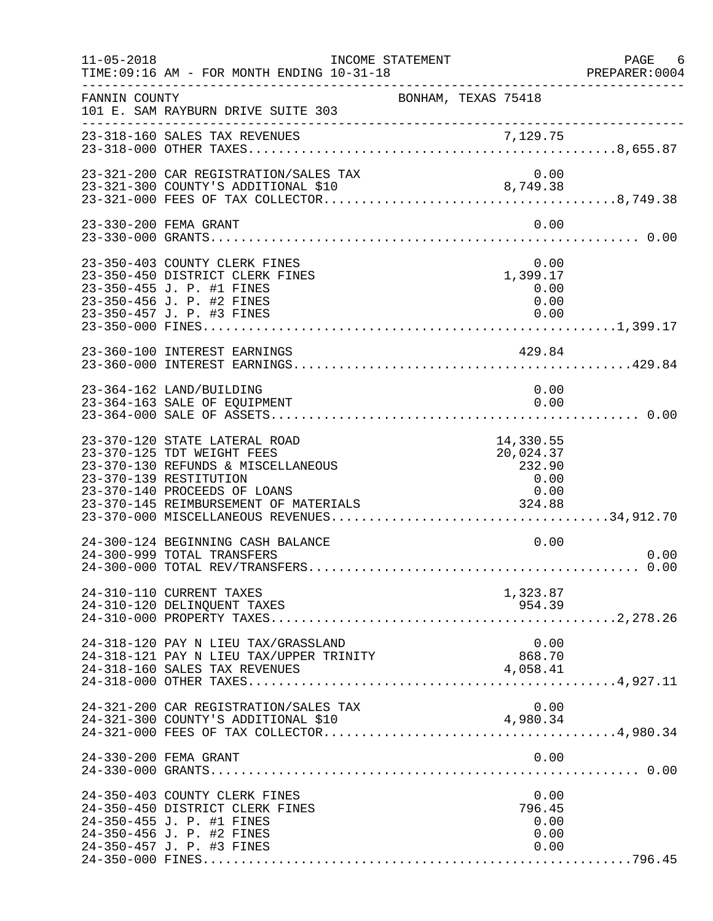| $11 - 05 - 2018$ | TIME: 09:16 AM - FOR MONTH ENDING 10-31-18                                                                                                                                                                      | INCOME STATEMENT                                   | PAGE 6<br>PREPARER:0004 |
|------------------|-----------------------------------------------------------------------------------------------------------------------------------------------------------------------------------------------------------------|----------------------------------------------------|-------------------------|
| FANNIN COUNTY    | 101 E. SAM RAYBURN DRIVE SUITE 303                                                                                                                                                                              | BONHAM, TEXAS 75418                                |                         |
|                  |                                                                                                                                                                                                                 |                                                    |                         |
|                  | 23-321-200 CAR REGISTRATION/SALES TAX                                                                                                                                                                           | 0.00                                               |                         |
|                  | 23-330-200 FEMA GRANT                                                                                                                                                                                           | 0.00                                               |                         |
|                  | 23-350-403 COUNTY CLERK FINES<br>23-350-450 DISTRICT CLERK FINES<br>23-350-455 J. P. #1 FINES<br>23-350-456 J. P. #2 FINES<br>23-350-457 J. P. #3 FINES                                                         | 0.00<br>0.00<br>1,399.17<br>0.00<br>0.00<br>0.00   |                         |
|                  | 23-360-100 INTEREST EARNINGS                                                                                                                                                                                    | 429.84                                             |                         |
|                  | 23-364-162 LAND/BUILDING<br>23-364-163 SALE OF EQUIPMENT                                                                                                                                                        | 0.00<br>0.00                                       |                         |
|                  | 23-370-120 STATE LATERAL ROAD<br>23-370-125 TDT WEIGHT FEES<br>23-370-130 REFUNDS & MISCELLANEOUS<br>23-370-139 RESTITUTION<br>23-370-140 PROCEEDS OF LOANS<br>23 370-110 INOCEDED OF ECONOMIC MATERIALS 324.88 | 14,330.55<br>20,024.37<br>232.90<br>$0\, .\, 00\,$ |                         |
|                  | 24-300-124 BEGINNING CASH BALANCE<br>24-300-999 TOTAL TRANSFERS                                                                                                                                                 | 0.00                                               | 0.00                    |
|                  | 24-310-110 CURRENT TAXES<br>24-310-120 DELINQUENT TAXES                                                                                                                                                         | 1,323.87<br>954.39                                 |                         |
|                  | 24-318-120 PAY N LIEU TAX/GRASSLAND<br>24-318-121 PAY N LIEU TAX/UPPER TRINITY<br>24-318-160 SALES TAX REVENUES                                                                                                 | 0.00<br>868.70<br>4,058.41                         |                         |
|                  | 24-321-200 CAR REGISTRATION/SALES TAX<br>24-321-300 COUNTY'S ADDITIONAL \$10                                                                                                                                    | 0.00<br>4,980.34                                   |                         |
|                  | 24-330-200 FEMA GRANT                                                                                                                                                                                           | 0.00                                               |                         |
|                  | 24-350-403 COUNTY CLERK FINES<br>24-350-450 DISTRICT CLERK FINES<br>24-350-455 J. P. #1 FINES<br>24-350-456 J. P. #2 FINES<br>24-350-457 J. P. #3 FINES                                                         | 0.00<br>796.45<br>0.00<br>0.00<br>0.00             |                         |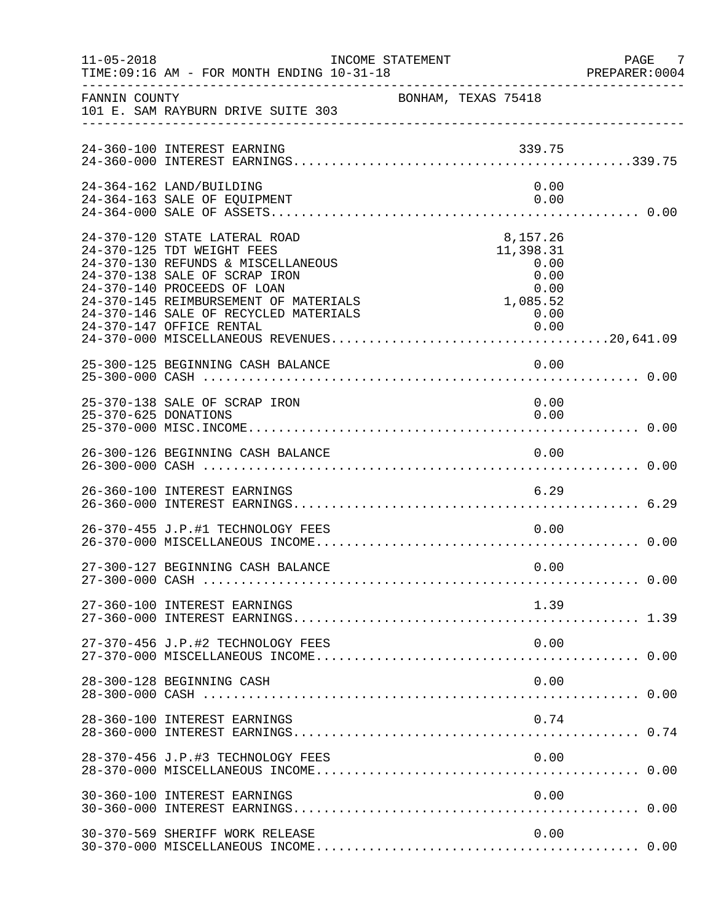| $11 - 05 - 2018$     | TIME: 09:16 AM - FOR MONTH ENDING 10-31-18                                                                                                                                                                                                          | INCOME STATEMENT                                                          | PAGE 7<br>PREPARER:0004 |
|----------------------|-----------------------------------------------------------------------------------------------------------------------------------------------------------------------------------------------------------------------------------------------------|---------------------------------------------------------------------------|-------------------------|
| FANNIN COUNTY        | 101 E. SAM RAYBURN DRIVE SUITE 303                                                                                                                                                                                                                  | BONHAM, TEXAS 75418                                                       |                         |
|                      | 24-360-100 INTEREST EARNING                                                                                                                                                                                                                         | 339.75                                                                    |                         |
|                      | 24-364-162 LAND/BUILDING<br>24-364-163 SALE OF EQUIPMENT                                                                                                                                                                                            | 0.00<br>0.00                                                              |                         |
|                      | 24-370-120 STATE LATERAL ROAD<br>24-370-125 TDT WEIGHT FEES<br>24-370-130 REFUNDS & MISCELLANEOUS<br>24-370-138 SALE OF SCRAP IRON<br>24-370-140 PROCEEDS OF LOAN<br>24-370-145 REIMBURSEMENT OF MATERIALS<br>24-370-146 SALE OF RECYCLED MATERIALS | 8,157.26<br>11,398.31<br>0.00<br>0.00<br>0.00<br>0.00<br>1,085.52<br>0.00 |                         |
|                      | 25-300-125 BEGINNING CASH BALANCE                                                                                                                                                                                                                   | 0.00                                                                      |                         |
| 25-370-625 DONATIONS | 25-370-138 SALE OF SCRAP IRON                                                                                                                                                                                                                       | 0.00<br>0.00                                                              |                         |
|                      | 26-300-126 BEGINNING CASH BALANCE                                                                                                                                                                                                                   | 0.00                                                                      |                         |
|                      | 26-360-100 INTEREST EARNINGS                                                                                                                                                                                                                        | 6.29                                                                      |                         |
|                      | 26-370-455 J.P.#1 TECHNOLOGY FEES                                                                                                                                                                                                                   | 0.00                                                                      |                         |
|                      | 27-300-127 BEGINNING CASH BALANCE                                                                                                                                                                                                                   | 0.00                                                                      |                         |
|                      | 27-360-100 INTEREST EARNINGS                                                                                                                                                                                                                        | 1.39                                                                      |                         |
|                      | 27-370-456 J.P.#2 TECHNOLOGY FEES                                                                                                                                                                                                                   | 0.00                                                                      |                         |
|                      | 28-300-128 BEGINNING CASH                                                                                                                                                                                                                           | 0.00                                                                      |                         |
|                      | 28-360-100 INTEREST EARNINGS                                                                                                                                                                                                                        | 0.74                                                                      |                         |
|                      | 28-370-456 J.P.#3 TECHNOLOGY FEES                                                                                                                                                                                                                   | 0.00                                                                      |                         |
|                      | 30-360-100 INTEREST EARNINGS                                                                                                                                                                                                                        | 0.00                                                                      |                         |
|                      | 30-370-569 SHERIFF WORK RELEASE                                                                                                                                                                                                                     | 0.00                                                                      |                         |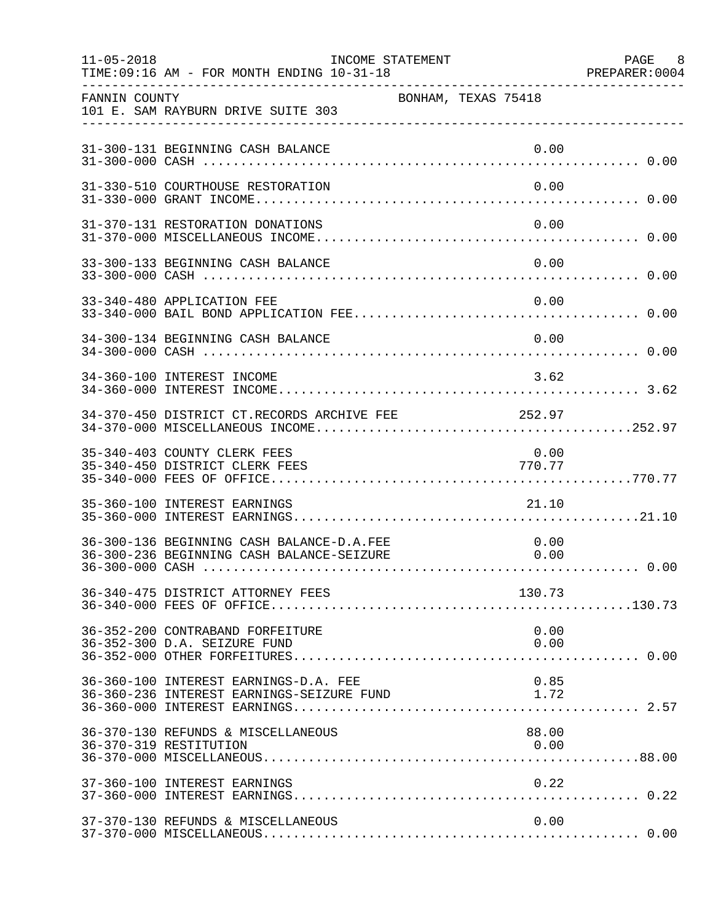| $11 - 05 - 2018$ | TIME: 09:16 AM - FOR MONTH ENDING 10-31-18                                             | INCOME STATEMENT    |  |                | PAGE 8<br>PREPARER: 0004 |
|------------------|----------------------------------------------------------------------------------------|---------------------|--|----------------|--------------------------|
| FANNIN COUNTY    | 101 E. SAM RAYBURN DRIVE SUITE 303                                                     | BONHAM, TEXAS 75418 |  |                |                          |
|                  | 31-300-131 BEGINNING CASH BALANCE                                                      |                     |  | 0.00           |                          |
|                  | 31-330-510 COURTHOUSE RESTORATION                                                      |                     |  | 0.00           |                          |
|                  | 31-370-131 RESTORATION DONATIONS                                                       |                     |  | 0.00           |                          |
|                  | 33-300-133 BEGINNING CASH BALANCE                                                      |                     |  | 0.00           |                          |
|                  | 33-340-480 APPLICATION FEE                                                             |                     |  | 0.00           |                          |
|                  | 34-300-134 BEGINNING CASH BALANCE                                                      |                     |  | 0.00           |                          |
|                  | 34-360-100 INTEREST INCOME                                                             |                     |  | 3.62           |                          |
|                  | 34-370-450 DISTRICT CT.RECORDS ARCHIVE FEE 252.97                                      |                     |  |                |                          |
|                  | 35-340-403 COUNTY CLERK FEES<br>35-340-450 DISTRICT CLERK FEES                         |                     |  | 0.00<br>770.77 |                          |
|                  | 35-360-100 INTEREST EARNINGS                                                           |                     |  | 21.10          |                          |
|                  | 36-300-136 BEGINNING CASH BALANCE-D.A.FEE<br>36-300-236 BEGINNING CASH BALANCE-SEIZURE |                     |  | 0.00<br>0.00   |                          |
|                  | 36-340-475 DISTRICT ATTORNEY FEES                                                      |                     |  | 130.73         |                          |
|                  | 36-352-200 CONTRABAND FORFEITURE<br>36-352-300 D.A. SEIZURE FUND                       |                     |  | 0.00<br>0.00   |                          |
|                  | 36-360-100 INTEREST EARNINGS-D.A. FEE<br>36-360-236 INTEREST EARNINGS-SEIZURE FUND     |                     |  | 0.85<br>1.72   |                          |
|                  | 36-370-130 REFUNDS & MISCELLANEOUS<br>36-370-319 RESTITUTION                           |                     |  | 88.00<br>0.00  |                          |
|                  | 37-360-100 INTEREST EARNINGS                                                           |                     |  | 0.22           |                          |
|                  | 37-370-130 REFUNDS & MISCELLANEOUS                                                     |                     |  | 0.00           |                          |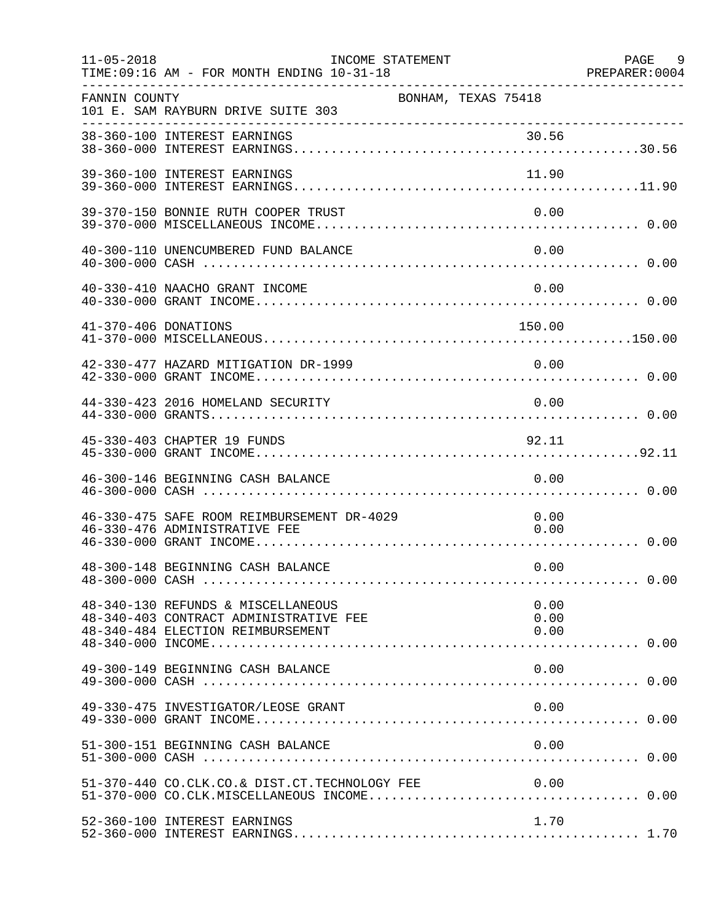| $11 - 05 - 2018$     | TIME: 09:16 AM - FOR MONTH ENDING 10-31-18                                                                        | INCOME STATEMENT    |                      | PAGE 9<br>PREPARER: 0004 |
|----------------------|-------------------------------------------------------------------------------------------------------------------|---------------------|----------------------|--------------------------|
| FANNIN COUNTY        | 101 E. SAM RAYBURN DRIVE SUITE 303                                                                                | BONHAM, TEXAS 75418 |                      |                          |
|                      |                                                                                                                   |                     |                      |                          |
|                      | 39-360-100 INTEREST EARNINGS                                                                                      |                     | 11.90                |                          |
|                      | 39-370-150 BONNIE RUTH COOPER TRUST                                                                               |                     | 0.00                 |                          |
|                      | 40-300-110 UNENCUMBERED FUND BALANCE                                                                              |                     | 0.00                 |                          |
|                      | 40-330-410 NAACHO GRANT INCOME                                                                                    |                     | 0.00                 |                          |
| 41-370-406 DONATIONS |                                                                                                                   |                     | 150.00               |                          |
|                      | 42-330-477 HAZARD MITIGATION DR-1999                                                                              |                     | 0.00                 |                          |
|                      | 44-330-423 2016 HOMELAND SECURITY                                                                                 |                     | 0.00                 |                          |
|                      | 45-330-403 CHAPTER 19 FUNDS                                                                                       |                     | 92.11                |                          |
|                      | 46-300-146 BEGINNING CASH BALANCE                                                                                 |                     | 0.00                 |                          |
|                      | 46-330-475 SAFE ROOM REIMBURSEMENT DR-4029<br>46-330-476 ADMINISTRATIVE FEE                                       |                     | 0.00<br>0.00         |                          |
|                      | 48-300-148 BEGINNING CASH BALANCE                                                                                 |                     | 0.00                 |                          |
|                      | 48-340-130 REFUNDS & MISCELLANEOUS<br>48-340-403 CONTRACT ADMINISTRATIVE FEE<br>48-340-484 ELECTION REIMBURSEMENT |                     | 0.00<br>0.00<br>0.00 |                          |
|                      | 49-300-149 BEGINNING CASH BALANCE                                                                                 |                     | 0.00                 |                          |
|                      | 49-330-475 INVESTIGATOR/LEOSE GRANT                                                                               |                     | 0.00                 |                          |
|                      | 51-300-151 BEGINNING CASH BALANCE                                                                                 |                     | 0.00                 |                          |
|                      | 51-370-440 CO.CLK.CO.& DIST.CT.TECHNOLOGY FEE                                                                     |                     |                      |                          |
|                      | 52-360-100 INTEREST EARNINGS                                                                                      |                     | 1.70                 |                          |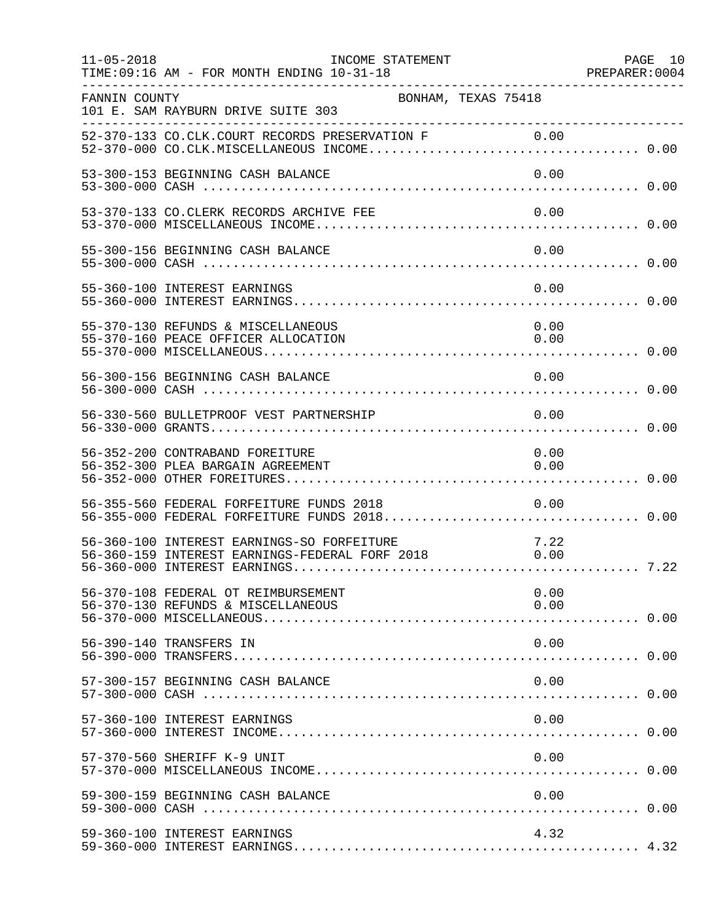| $11 - 05 - 2018$ | INCOME STATEMENT<br>TIME: 09:16 AM - FOR MONTH ENDING 10-31-18                                                                                      |              | PAGE 10 |
|------------------|-----------------------------------------------------------------------------------------------------------------------------------------------------|--------------|---------|
| FANNIN COUNTY    | BONHAM, TEXAS 75418<br>101 E. SAM RAYBURN DRIVE SUITE 303                                                                                           |              |         |
|                  |                                                                                                                                                     |              |         |
|                  | 53-300-153 BEGINNING CASH BALANCE                                                                                                                   | 0.00         |         |
|                  | 53-370-133 CO.CLERK RECORDS ARCHIVE FEE                                                                                                             | 0.00         |         |
|                  | 55-300-156 BEGINNING CASH BALANCE                                                                                                                   | 0.00         |         |
|                  | 55-360-100 INTEREST EARNINGS                                                                                                                        | 0.00         |         |
|                  | 55-370-130 REFUNDS & MISCELLANEOUS<br>55-370-160 PEACE OFFICER ALLOCATION                                                                           | 0.00<br>0.00 |         |
|                  | 56-300-156 BEGINNING CASH BALANCE                                                                                                                   | 0.00         |         |
|                  | 56-330-560 BULLETPROOF VEST PARTNERSHIP                                                                                                             | 0.00         |         |
|                  | 56-352-200 CONTRABAND FOREITURE<br>56-352-300 PLEA BARGAIN AGREEMENT                                                                                | 0.00<br>0.00 |         |
|                  | 56-355-560 FEDERAL FORFEITURE FUNDS 2018                                                                                                            | 0.00         |         |
|                  | 56-360-100 INTEREST EARNINGS-SO FORFEITURE<br>56-360-100 INTEREST EARNINGS-SO FORFEITURE 7.22<br>56-360-159 INTEREST EARNINGS-FEDERAL FORF 2018 000 |              |         |
|                  | 56-370-108 FEDERAL OT REIMBURSEMENT<br>56-370-130 REFUNDS & MISCELLANEOUS                                                                           | 0.00<br>0.00 |         |
|                  | 56-390-140 TRANSFERS IN                                                                                                                             | 0.00         |         |
|                  | 57-300-157 BEGINNING CASH BALANCE                                                                                                                   | 0.00         |         |
|                  | 57-360-100 INTEREST EARNINGS                                                                                                                        | 0.00         |         |
|                  | 57-370-560 SHERIFF K-9 UNIT                                                                                                                         | 0.00         |         |
|                  | 59-300-159 BEGINNING CASH BALANCE                                                                                                                   | 0.00         |         |
|                  | 59-360-100 INTEREST EARNINGS                                                                                                                        | 4.32         |         |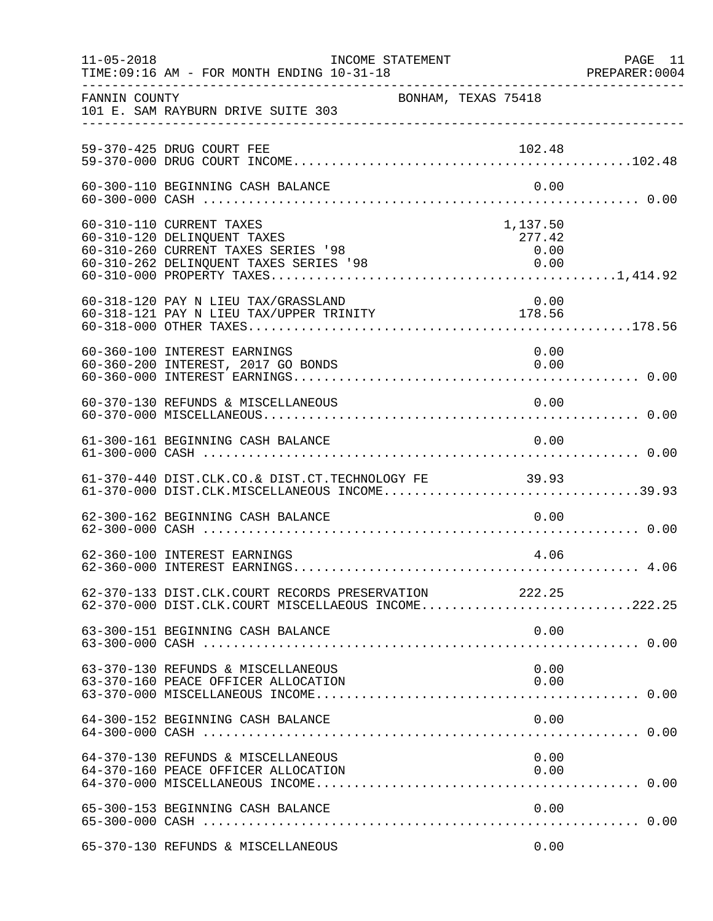| $11 - 05 - 2018$ | TIME: 09:16 AM - FOR MONTH ENDING 10-31-18                                                                                   | INCOME STATEMENT    |                            | PAGE 11<br>PREPARER: 0004 |
|------------------|------------------------------------------------------------------------------------------------------------------------------|---------------------|----------------------------|---------------------------|
| FANNIN COUNTY    | 101 E. SAM RAYBURN DRIVE SUITE 303                                                                                           | BONHAM, TEXAS 75418 |                            |                           |
|                  | 59-370-425 DRUG COURT FEE                                                                                                    |                     | 102.48                     |                           |
|                  | 60-300-110 BEGINNING CASH BALANCE                                                                                            |                     | 0.00                       |                           |
|                  | 60-310-110 CURRENT TAXES<br>60-310-120 DELINQUENT TAXES<br>60-310-260 CURRENT TAXES SERIES '98                               |                     | 1,137.50<br>277.42<br>0.00 |                           |
|                  | 60-318-120 PAY N LIEU TAX/GRASSLAND<br>00 510 120 FAI N LIEU TAX/GRESSLAND<br>60-318-121 PAY N LIEU TAX/UPPER TRINITY 178.56 |                     | 0.00                       |                           |
|                  | 60-360-100 INTEREST EARNINGS<br>60-360-200 INTEREST, 2017 GO BONDS                                                           |                     | 0.00<br>0.00               |                           |
|                  | 60-370-130 REFUNDS & MISCELLANEOUS                                                                                           |                     | 0.00                       |                           |
|                  | 61-300-161 BEGINNING CASH BALANCE                                                                                            |                     | 0.00                       |                           |
|                  | 61-370-440 DIST.CLK.CO.& DIST.CT.TECHNOLOGY FE 39.93<br>61-370-000 DIST.CLK.MISCELLANEOUS INCOME39.93                        |                     |                            |                           |
|                  | 62-300-162 BEGINNING CASH BALANCE                                                                                            |                     | 0.00                       |                           |
|                  | 62-360-100 INTEREST EARNINGS                                                                                                 |                     | 4.06                       |                           |
|                  | 62-370-133 DIST.CLK.COURT RECORDS PRESERVATION 222.25<br>62-370-000 DIST.CLK.COURT MISCELLAEOUS INCOME222.25                 |                     |                            |                           |
|                  | 63-300-151 BEGINNING CASH BALANCE                                                                                            |                     | 0.00                       |                           |
|                  | 63-370-130 REFUNDS & MISCELLANEOUS<br>63-370-160 PEACE OFFICER ALLOCATION                                                    |                     | 0.00<br>0.00               |                           |
|                  | 64-300-152 BEGINNING CASH BALANCE                                                                                            |                     | 0.00                       |                           |
|                  | 64-370-130 REFUNDS & MISCELLANEOUS<br>64-370-160 PEACE OFFICER ALLOCATION                                                    |                     | 0.00<br>0.00               |                           |
|                  | 65-300-153 BEGINNING CASH BALANCE                                                                                            |                     | 0.00                       |                           |
|                  | 65-370-130 REFUNDS & MISCELLANEOUS                                                                                           |                     | 0.00                       |                           |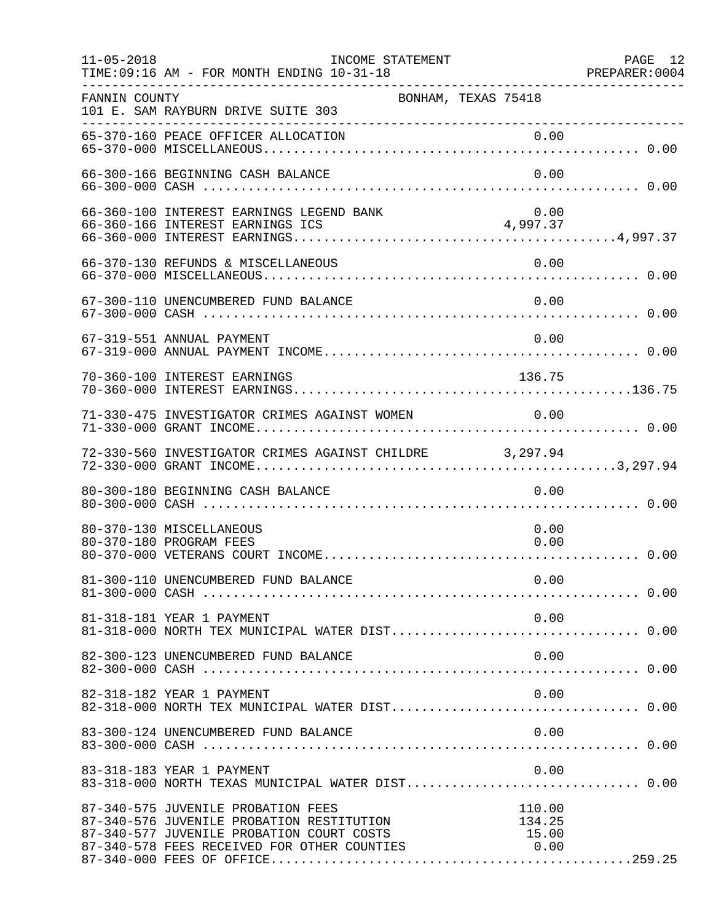| $11 - 05 - 2018$ | INCOME STATEMENT<br>TIME: 09:16 AM - FOR MONTH ENDING 10-31-18                                                                                                              |                                   | PAGE 12<br>PREPARER:0004 |
|------------------|-----------------------------------------------------------------------------------------------------------------------------------------------------------------------------|-----------------------------------|--------------------------|
| FANNIN COUNTY    | BONHAM, TEXAS 75418<br>101 E. SAM RAYBURN DRIVE SUITE 303<br>____________________________________                                                                           |                                   |                          |
|                  | 65-370-160 PEACE OFFICER ALLOCATION                                                                                                                                         | 0.00                              |                          |
|                  | 66-300-166 BEGINNING CASH BALANCE                                                                                                                                           | 0.00                              |                          |
|                  | 66-360-100 INTEREST EARNINGS LEGEND BANK                                                                                                                                    | 0.00<br>4,997.37                  |                          |
|                  | 66-370-130 REFUNDS & MISCELLANEOUS                                                                                                                                          | 0.00                              |                          |
|                  | 67-300-110 UNENCUMBERED FUND BALANCE                                                                                                                                        | 0.00                              |                          |
|                  | 67-319-551 ANNUAL PAYMENT                                                                                                                                                   | 0.00                              |                          |
|                  | 70-360-100 INTEREST EARNINGS                                                                                                                                                | 136.75                            |                          |
|                  | 71-330-475 INVESTIGATOR CRIMES AGAINST WOMEN 0.00                                                                                                                           |                                   |                          |
|                  | 72-330-560 INVESTIGATOR CRIMES AGAINST CHILDRE 3,297.94                                                                                                                     |                                   |                          |
|                  | 80-300-180 BEGINNING CASH BALANCE                                                                                                                                           | 0.00                              |                          |
|                  | 80-370-130 MISCELLANEOUS<br>80-370-180 PROGRAM FEES                                                                                                                         | 0.00<br>0.00                      |                          |
|                  |                                                                                                                                                                             |                                   |                          |
|                  | 81-318-181 YEAR 1 PAYMENT                                                                                                                                                   | 0.00                              |                          |
|                  | 82-300-123 UNENCUMBERED FUND BALANCE                                                                                                                                        | 0.00                              |                          |
|                  | 82-318-182 YEAR 1 PAYMENT                                                                                                                                                   | 0.00                              |                          |
|                  | 83-300-124 UNENCUMBERED FUND BALANCE                                                                                                                                        | 0.00                              |                          |
|                  | 83-318-183 YEAR 1 PAYMENT<br>83-318-000 NORTH TEXAS MUNICIPAL WATER DIST 0.00                                                                                               | 0.00                              |                          |
|                  | 87-340-575 JUVENILE PROBATION FEES<br>87-340-576 JUVENILE PROBATION RESTITUTION<br>87-340-577 JUVENILE PROBATION COURT COSTS<br>87-340-578 FEES RECEIVED FOR OTHER COUNTIES | 110.00<br>134.25<br>15.00<br>0.00 |                          |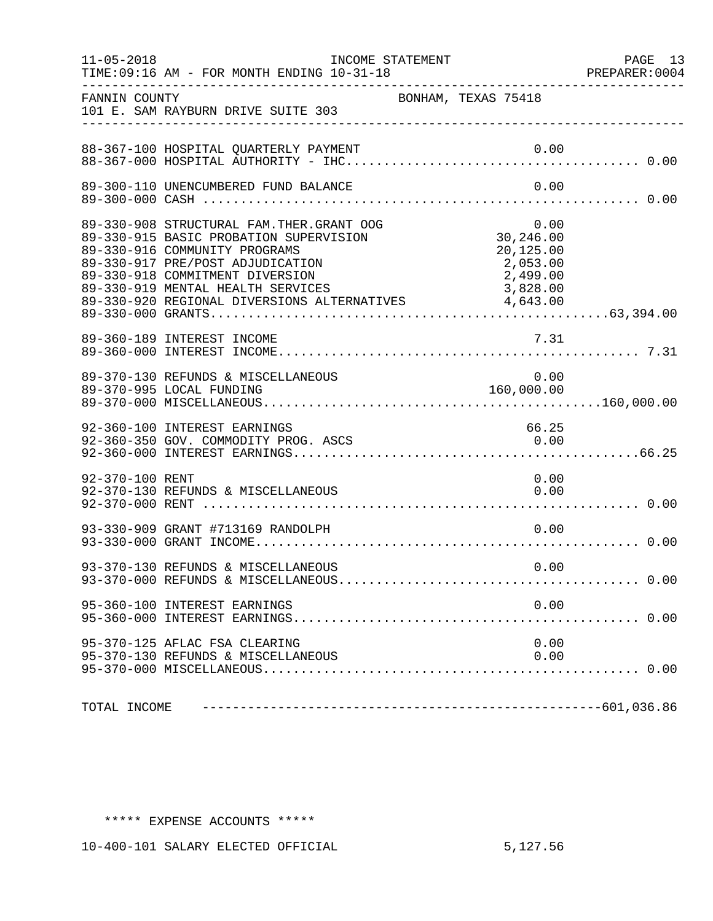| $11 - 05 - 2018$ | INCOME STATEMENT<br>TIME: 09:16 AM - FOR MONTH ENDING 10-31-18                                                                                                                                                                                                                          |                                                                    | PAGE 13<br>PREPARER: 0004 |
|------------------|-----------------------------------------------------------------------------------------------------------------------------------------------------------------------------------------------------------------------------------------------------------------------------------------|--------------------------------------------------------------------|---------------------------|
| FANNIN COUNTY    | 101 E. SAM RAYBURN DRIVE SUITE 303                                                                                                                                                                                                                                                      | BONHAM, TEXAS 75418                                                |                           |
|                  | 88-367-100 HOSPITAL QUARTERLY PAYMENT                                                                                                                                                                                                                                                   |                                                                    |                           |
|                  | 89-300-110 UNENCUMBERED FUND BALANCE                                                                                                                                                                                                                                                    | 0.00                                                               |                           |
|                  | 89-330-908 STRUCTURAL FAM.THER.GRANT OOG<br>89-330-915 BASIC PROBATION SUPERVISION<br>89-330-916 COMMUNITY PROGRAMS<br>89-330-917 PRE/POST ADJUDICATION<br>89-330-918 COMMITMENT DIVERSION<br>89-330-919 MENTAL HEALTH SERVICES<br>89-330-920 REGIONAL DIVERSIONS ALTERNATIVES 4,643.00 | 0.00<br>30,246.00<br>20,125.00<br>2,053.00<br>2,499.00<br>3,828.00 |                           |
|                  | 89-360-189 INTEREST INCOME                                                                                                                                                                                                                                                              | 7.31                                                               |                           |
|                  | 89-370-130 REFUNDS & MISCELLANEOUS                                                                                                                                                                                                                                                      | $0.00$<br>160,000.00                                               |                           |
|                  | 92-360-100 INTEREST EARNINGS<br>92-360-350 GOV. COMMODITY PROG. ASCS                                                                                                                                                                                                                    | 66.25<br>0.00                                                      |                           |
| 92-370-100 RENT  | 92-370-130 REFUNDS & MISCELLANEOUS                                                                                                                                                                                                                                                      | 0.00<br>0.00                                                       |                           |
|                  | 93-330-909 GRANT #713169 RANDOLPH                                                                                                                                                                                                                                                       | 0.00                                                               |                           |
|                  | 93-370-130 REFUNDS & MISCELLANEOUS                                                                                                                                                                                                                                                      | 0.00                                                               |                           |
|                  | 95-360-100 INTEREST EARNINGS                                                                                                                                                                                                                                                            | 0.00                                                               |                           |
|                  | 95-370-125 AFLAC FSA CLEARING<br>95-370-130 REFUNDS & MISCELLANEOUS                                                                                                                                                                                                                     | 0.00<br>0.00                                                       |                           |
| TOTAL INCOME     |                                                                                                                                                                                                                                                                                         |                                                                    |                           |

## \*\*\*\*\* EXPENSE ACCOUNTS \*\*\*\*\*

10-400-101 SALARY ELECTED OFFICIAL 5,127.56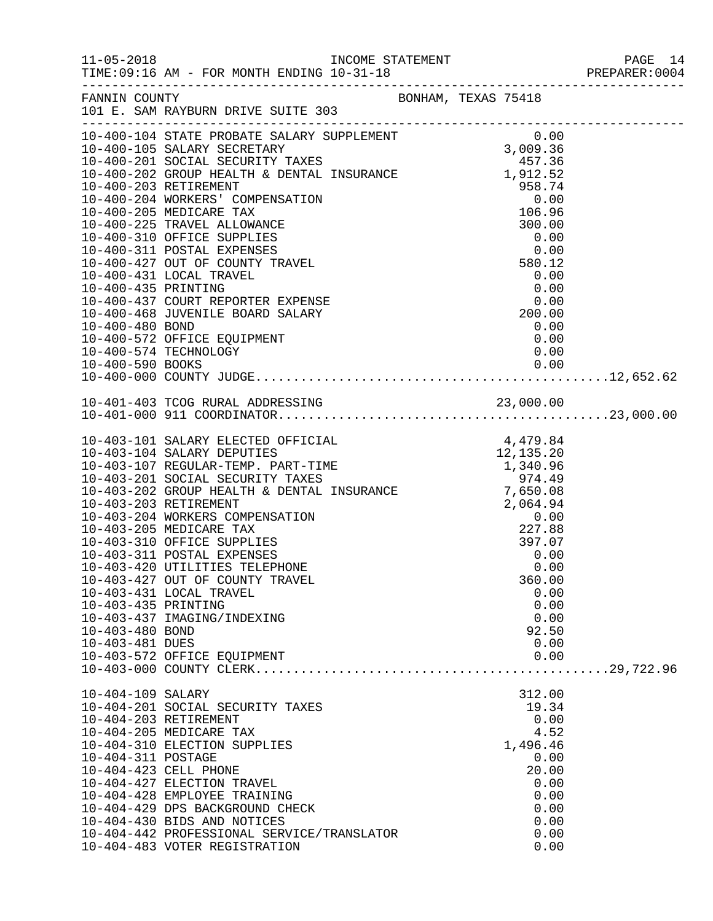| FANNIN COUNTY                                             | BONHAM, TEXAS 75418<br>101 E. SAM RAYBURN DRIVE SUITE 303                                                                                                                                                                                                                                                                                                                                                                                                                                                                                                                   |                                                                            |                                    |                                              |                                                              |  |
|-----------------------------------------------------------|-----------------------------------------------------------------------------------------------------------------------------------------------------------------------------------------------------------------------------------------------------------------------------------------------------------------------------------------------------------------------------------------------------------------------------------------------------------------------------------------------------------------------------------------------------------------------------|----------------------------------------------------------------------------|------------------------------------|----------------------------------------------|--------------------------------------------------------------|--|
| 10-400-435 PRINTING<br>10-400-480 BOND                    | 10-400-104 STATE PROBATE SALARY SUPPLEMENT 0.00<br>10-400-105 SALARY SECRETARY 3,009.36<br>10-400-201 SOCIAL SECURITY TAXES 457.36<br>10-400-202 GROUP HEALTH & DENTAL INSURANCE 1,912.52<br>10-400-203 RETIREMENT<br>10-400-204 WORKERS' COMPENSATION<br>10-400-205 MEDICARE TAX<br>10-400-225 TRAVEL ALLOWANCE<br>10-400-310 OFFICE SUPPLIES<br>10-400-311 POSTAL EXPENSES<br>10-400-427 OUT OF COUNTY TRAVEL<br>10-400-431 LOCAL TRAVEL<br>10-400-437 COURT REPORTER EXPENSE<br>10-400-468 JUVENILE BOARD SALARY<br>10-400-572 OFFICE EQUIPMENT<br>10-400-574 TECHNOLOGY | 1,912.52<br>958.74<br>0.00<br>106.96<br>300.00<br>$0.00$<br>0.00<br>200.00 | $300.00$<br>0.00<br>0.00<br>580.12 | 0.00<br>0.00<br>0.00                         | 0.00                                                         |  |
|                                                           |                                                                                                                                                                                                                                                                                                                                                                                                                                                                                                                                                                             |                                                                            |                                    |                                              |                                                              |  |
|                                                           |                                                                                                                                                                                                                                                                                                                                                                                                                                                                                                                                                                             |                                                                            |                                    |                                              |                                                              |  |
| 10-403-435 PRINTING<br>10-403-480 BOND<br>10-403-481 DUES | 10-403-101 SALARY ELECTED OFFICIAL<br>10-403-104 SALARY DEPUTIES<br>10-403-107 REGULAR-TEMP. PART-TIME 1,340.96<br>10-403-201 SOCIAL SECURITY TAXES 974.49<br>10-403-202 GROUP HEALTH & DENTAL INSURANCE 7,650.08<br>10-403-203 RETIREMENT 2,064.94<br>10-403-204 WORKERS COMPENSATION 0.00<br>10-403-205 ME<br>10-403-310 OFFICE SUPPLIES<br>10-403-311 POSTAL EXPENSES<br>10-403-420 UTILITIES TELEPHONE<br>10-403-427 OUT OF COUNTY TRAVEL<br>10-403-431 LOCAL TRAVEL<br>10-403-437 IMAGING/INDEXING<br>10-403-572 OFFICE EQUIPMENT                                      | $4,479.84$<br>$12,135.20$                                                  |                                    | 397.07<br>360.00<br>92.50                    | 0.00<br>0.00<br>0.00<br>0.00<br>0.00<br>0.00<br>0.00         |  |
| 10-404-109 SALARY<br>10-404-311 POSTAGE                   | 10-404-201 SOCIAL SECURITY TAXES<br>10-404-203 RETIREMENT<br>10-404-205 MEDICARE TAX<br>10-404-310 ELECTION SUPPLIES<br>10-404-423 CELL PHONE<br>10-404-427 ELECTION TRAVEL<br>10-404-428 EMPLOYEE TRAINING<br>10-404-429 DPS BACKGROUND CHECK<br>10-404-430 BIDS AND NOTICES<br>10-404-442 PROFESSIONAL SERVICE/TRANSLATOR<br>10-404-483 VOTER REGISTRATION                                                                                                                                                                                                                |                                                                            |                                    | 312.00<br>19.34<br>0.00<br>1,496.46<br>20.00 | 4.52<br>0.00<br>0.00<br>0.00<br>0.00<br>0.00<br>0.00<br>0.00 |  |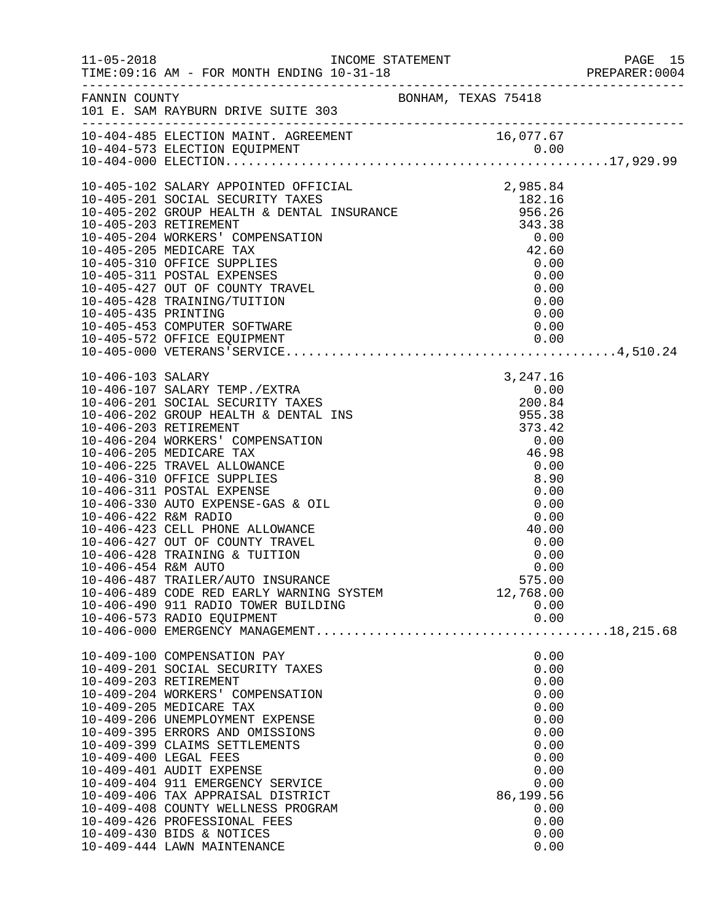|                                                |                                                                                                                                                                                                                                                                                                                                                                                                                                                                              |                                                                                                                                   | PAGE 15<br>PREPARER:0004<br>PAGE 15 |
|------------------------------------------------|------------------------------------------------------------------------------------------------------------------------------------------------------------------------------------------------------------------------------------------------------------------------------------------------------------------------------------------------------------------------------------------------------------------------------------------------------------------------------|-----------------------------------------------------------------------------------------------------------------------------------|-------------------------------------|
|                                                | FANNIN COUNTY<br>101 E. SAM RAYBURN DRIVE SUITE 303                                                                                                                                                                                                                                                                                                                                                                                                                          |                                                                                                                                   |                                     |
|                                                |                                                                                                                                                                                                                                                                                                                                                                                                                                                                              |                                                                                                                                   |                                     |
|                                                |                                                                                                                                                                                                                                                                                                                                                                                                                                                                              |                                                                                                                                   |                                     |
| 10-406-454 R&M AUTO                            | 10-406-423 CELL PHONE ALLOWANCE<br>10-406-427 OUT OF COUNTY TRAVEL<br>10-406-428 TRAINING & TUITION<br>10-406-487 TRAILER/AUTO INSURANCE<br>10-406-489 CODE RED EARLY WARNING SYSTEM<br>10-406-490 911 RADIO TOWER BUILDING<br>10-406-573 RADIO EQUIPMENT                                                                                                                                                                                                                    | 0.00<br>575.00<br>12,768.00<br>0.00<br>0.00                                                                                       |                                     |
| 10-409-203 RETIREMENT<br>10-409-400 LEGAL FEES | 10-409-100 COMPENSATION PAY<br>10-409-201 SOCIAL SECURITY TAXES<br>10-409-204 WORKERS' COMPENSATION<br>10-409-205 MEDICARE TAX<br>10-409-206 UNEMPLOYMENT EXPENSE<br>10-409-395 ERRORS AND OMISSIONS<br>10-409-399 CLAIMS SETTLEMENTS<br>10-409-401 AUDIT EXPENSE<br>10-409-404 911 EMERGENCY SERVICE<br>10-409-406 TAX APPRAISAL DISTRICT<br>10-409-408 COUNTY WELLNESS PROGRAM<br>10-409-426 PROFESSIONAL FEES<br>10-409-430 BIDS & NOTICES<br>10-409-444 LAWN MAINTENANCE | 0.00<br>0.00<br>0.00<br>0.00<br>0.00<br>0.00<br>0.00<br>0.00<br>0.00<br>0.00<br>0.00<br>86,199.56<br>0.00<br>0.00<br>0.00<br>0.00 |                                     |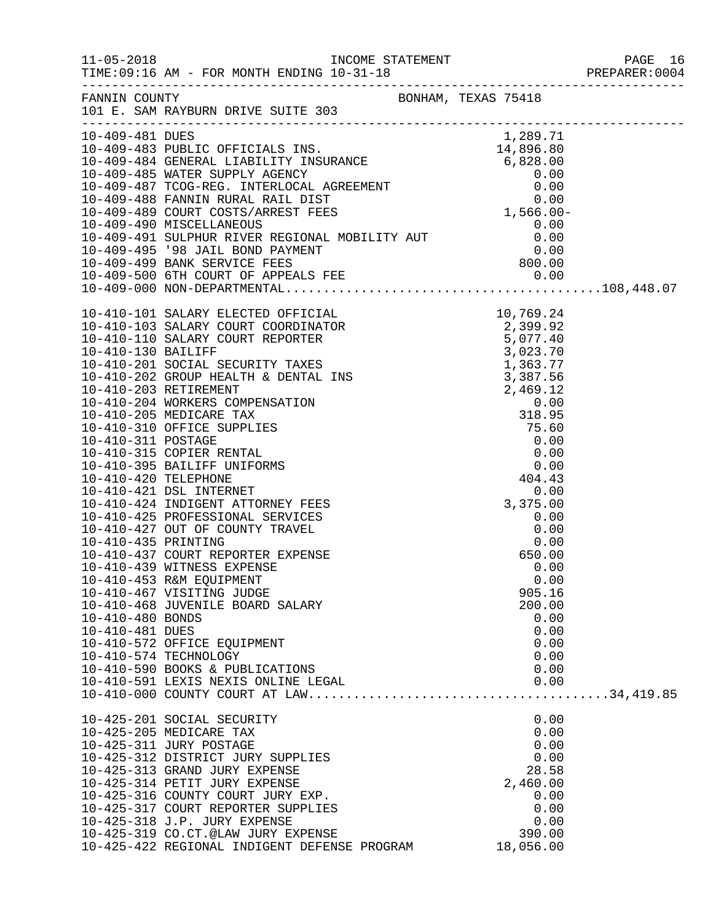|                  | FANNIN COUNTY<br>101 E. SAM RAYBURN DRIVE SUITE 303                     |              |  |
|------------------|-------------------------------------------------------------------------|--------------|--|
|                  |                                                                         |              |  |
|                  |                                                                         |              |  |
|                  |                                                                         |              |  |
|                  |                                                                         |              |  |
|                  |                                                                         |              |  |
|                  |                                                                         |              |  |
|                  |                                                                         |              |  |
|                  |                                                                         |              |  |
|                  |                                                                         |              |  |
|                  |                                                                         |              |  |
|                  |                                                                         |              |  |
|                  |                                                                         |              |  |
|                  |                                                                         |              |  |
|                  |                                                                         |              |  |
|                  |                                                                         |              |  |
|                  |                                                                         |              |  |
|                  |                                                                         |              |  |
|                  |                                                                         |              |  |
|                  |                                                                         |              |  |
|                  |                                                                         |              |  |
|                  |                                                                         |              |  |
|                  |                                                                         |              |  |
|                  |                                                                         |              |  |
|                  |                                                                         |              |  |
|                  |                                                                         |              |  |
|                  |                                                                         |              |  |
|                  |                                                                         |              |  |
|                  |                                                                         |              |  |
|                  | 10-410-425 PROFESSIONAL SERVICES                                        | 0.00         |  |
|                  | 10-410-427 OUT OF COUNTY TRAVEL                                         | 0.00         |  |
|                  | 10-410-435 PRINTING<br>10-410-437 COURT REPORTER EXPENSE                | 0.00         |  |
|                  |                                                                         | 650.00       |  |
|                  | 10-410-439 WITNESS EXPENSE                                              | 0.00         |  |
|                  | 10-410-453 R&M EQUIPMENT                                                | 0.00         |  |
|                  | 10-410-467 VISITING JUDGE                                               | 905.16       |  |
|                  | 10-410-468 JUVENILE BOARD SALARY                                        | 200.00       |  |
| 10-410-480 BONDS |                                                                         | 0.00         |  |
| 10-410-481 DUES  |                                                                         | 0.00         |  |
|                  | 10-410-572 OFFICE EQUIPMENT                                             | 0.00         |  |
|                  | 10-410-574 TECHNOLOGY                                                   | 0.00         |  |
|                  | 10-410-590 BOOKS & PUBLICATIONS                                         | 0.00         |  |
|                  | 10-410-591 LEXIS NEXIS ONLINE LEGAL                                     | 0.00         |  |
|                  |                                                                         |              |  |
|                  | 10-425-201 SOCIAL SECURITY                                              | 0.00         |  |
|                  | 10-425-205 MEDICARE TAX                                                 | 0.00         |  |
|                  | 10-425-311 JURY POSTAGE                                                 | 0.00         |  |
|                  | 10-425-312 DISTRICT JURY SUPPLIES                                       | 0.00         |  |
|                  | 10-425-313 GRAND JURY EXPENSE                                           | 28.58        |  |
|                  | 10-425-314 PETIT JURY EXPENSE                                           | 2,460.00     |  |
|                  | 10-425-316 COUNTY COURT JURY EXP.<br>10-425-317 COURT REPORTER SUPPLIES | 0.00<br>0.00 |  |
|                  | 10-425-318 J.P. JURY EXPENSE                                            | 0.00         |  |
|                  | 10-425-319 CO.CT.@LAW JURY EXPENSE                                      | 390.00       |  |
|                  | 10-425-422 REGIONAL INDIGENT DEFENSE PROGRAM                            | 18,056.00    |  |
|                  |                                                                         |              |  |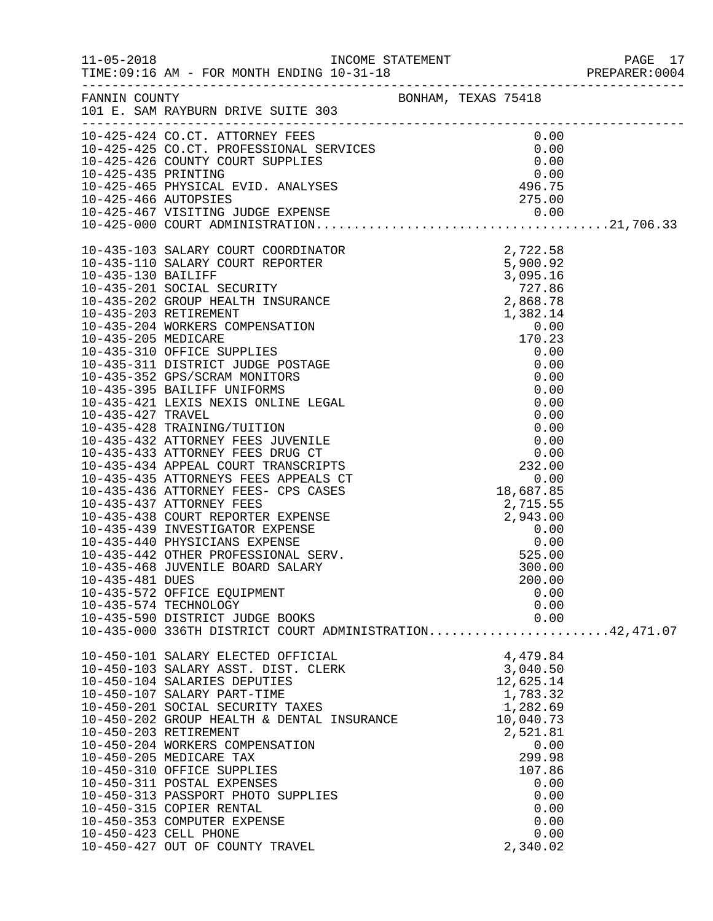|                 |                                                                                                                                                                                                                                                                                                                                                                                                                                                                                                                            |  |                                                                                                                                           | PREPARER: 0004 |
|-----------------|----------------------------------------------------------------------------------------------------------------------------------------------------------------------------------------------------------------------------------------------------------------------------------------------------------------------------------------------------------------------------------------------------------------------------------------------------------------------------------------------------------------------------|--|-------------------------------------------------------------------------------------------------------------------------------------------|----------------|
|                 | FANNIN COUNTY<br>101 E. SAM RAYBURN DRIVE SUITE 303                                                                                                                                                                                                                                                                                                                                                                                                                                                                        |  |                                                                                                                                           |                |
|                 | 10-425-425 CO.CT. ATTORNEY FEES<br>10-425-425 CO.CT. PROFESSIONAL SERVICES<br>10-425-426 COUNTY COURT SUPPLIES<br>10-425-436 PRINTING<br>10-425-435 PRINTING<br>10-425-465 PHYSICAL EVID. ANALYSES<br>10-425-466 AUTOPSIES<br>10-425-466 AUT                                                                                                                                                                                                                                                                               |  |                                                                                                                                           |                |
| 10-435-481 DUES | $10-425-000\hspace{0.25cm}\hspace{1.25cm} \text{CODER}^T \text{ COMINISTIRATION}\hspace{1.25cm} \text{2},722.58\, \text{5} \\\text{10-435-130} \text{ SALARY CORT REDORTER} \text{2},722.58\, \text{10-435-201} \text{ SOIALIFY} \text{ 2},727.86\, \text{10-435-201} \text{ SOIALIFY} \text{ 2},727.86\, \text{10-435-201} \text{ SOIAL IF INSURANCE} \text{2},868$<br>10-435-572 OFFICE EQUIPMENT<br>10-435-574 TECHNOLOGY<br>10-435-590 DISTRICT JUDGE BOOKS<br>10-435-000 336TH DISTRICT COURT ADMINISTRATION42,471.07 |  | 200.00<br>0.00<br>0.00<br>0.00                                                                                                            |                |
|                 | 10-450-101 SALARY ELECTED OFFICIAL<br>10-450-103 SALARY ASST. DIST. CLERK<br>10-450-104 SALARIES DEPUTIES<br>10-450-107 SALARY PART-TIME<br>10-450-203 RETIREMENT<br>10-450-204 WORKERS COMPENSATION<br>10-450-205 MEDICARE TAX<br>10-450-310 OFFICE SUPPLIES<br>10-450-311 POSTAL EXPENSES<br>10-450-313 PASSPORT PHOTO SUPPLIES<br>10-450-315 COPIER RENTAL<br>10-450-353 COMPUTER EXPENSE<br>10-450-423 CELL PHONE<br>10-450-427 OUT OF COUNTY TRAVEL                                                                   |  | 4,479.84<br>3,040.50<br>12,625.14<br>1,783.32<br>2,521.81<br>0.00<br>299.98<br>107.86<br>0.00<br>0.00<br>0.00<br>0.00<br>0.00<br>2,340.02 |                |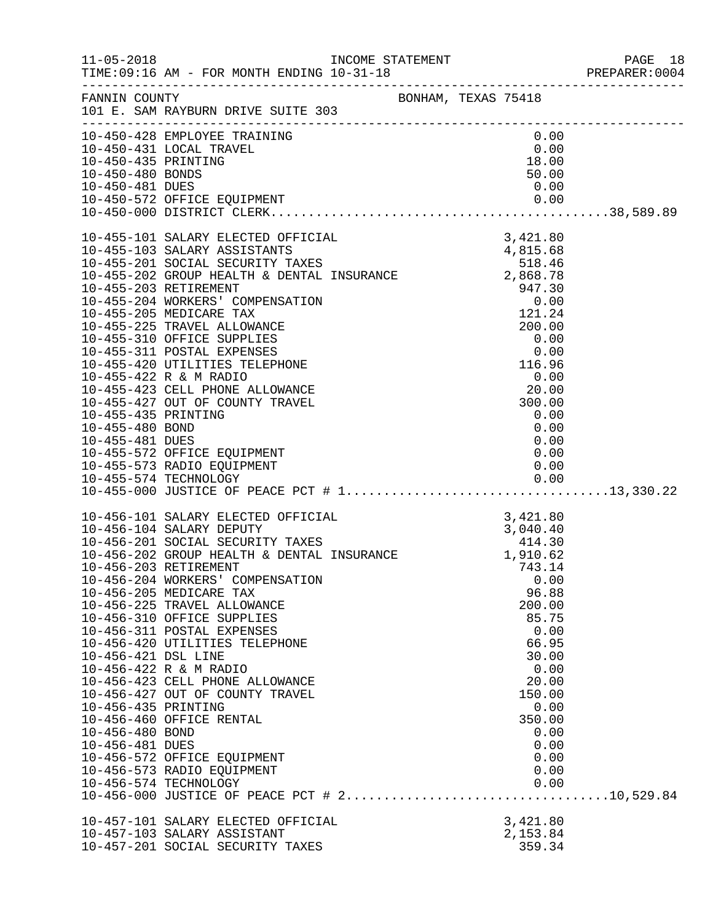| $11 - 05 - 2018$                                                                                                                   | TIME: 09:16 AM - FOR MONTH ENDING 10-31-18                                                                                                                                                                                                                                                                                                                                                                                                                                                                                                                              |  |                                                                                                                                                           | PAGE 18<br>PREPARER:0004 |
|------------------------------------------------------------------------------------------------------------------------------------|-------------------------------------------------------------------------------------------------------------------------------------------------------------------------------------------------------------------------------------------------------------------------------------------------------------------------------------------------------------------------------------------------------------------------------------------------------------------------------------------------------------------------------------------------------------------------|--|-----------------------------------------------------------------------------------------------------------------------------------------------------------|--------------------------|
|                                                                                                                                    | FANNIN COUNTY BONHAM, TEXAS 75418<br>101 E. SAM RAYBURN DRIVE SUITE 303                                                                                                                                                                                                                                                                                                                                                                                                                                                                                                 |  |                                                                                                                                                           |                          |
|                                                                                                                                    | 10-450-428 EMPLOYEE TRAINING<br>10-450-431 LOCAL TRAVEL<br>10-450-435 PRINTING<br>10-450-480 BONDS<br>10-450-481 DUES<br>10-450-572 OFFICE EQUIPMENT<br>10-450-000 DISTRICT CLERK                                                                                                                                                                                                                                                                                                                                                                                       |  | $0.00$<br>0.00<br>18.00<br>50.00<br>0.00                                                                                                                  |                          |
|                                                                                                                                    | $10-455-101\,\,\mathrm{SALARY\,\,EECTED\,\,OFFITCAIL}\qquad \qquad 3,421.86\\ 10-455-201\,\,\mathrm{SOCIAL\,\,SECURITY\,\,TAKES}\qquad \qquad 4,815.68\\ 10-455-202\,\,\mathrm{GOCOL}\,\,ECURITY\,\,TAKES\qquad \qquad 518.46\\ 10-455-203\,\,\mathrm{RETI}\,\mathrm{REINTR}\,\, \quad\, \text{DBFTARINT}\,\, \quad 2,868.79\\ 10-455-203\,\,\mathrm{RETI}\,\mathrm{REMENT}\q$                                                                                                                                                                                          |  |                                                                                                                                                           |                          |
| 10-456-203 RETIREMENT<br>10-456-421 DSL LINE<br>10-456-435 PRINTING<br>10-456-480 BOND<br>10-456-481 DUES<br>10-456-574 TECHNOLOGY | 10-456-101 SALARY ELECTED OFFICIAL 3,421.80<br>10-456-104 SALARY DEPUTY 3,040.40<br>10-456-201 SOCIAL SECURITY TAXES 414.30<br>10-456-202 GROUP HEALTH & DENTAL INSURANCE 1,910.62<br>10-456-204 WORKERS' COMPENSATION<br>10-456-205 MEDICARE TAX<br>10-456-225 TRAVEL ALLOWANCE<br>10-456-310 OFFICE SUPPLIES<br>10-456-311 POSTAL EXPENSES<br>10-456-420 UTILITIES TELEPHONE<br>10-456-422 R & M RADIO<br>10-456-423 CELL PHONE ALLOWANCE<br>10-456-427 OUT OF COUNTY TRAVEL<br>10-456-460 OFFICE RENTAL<br>10-456-572 OFFICE EQUIPMENT<br>10-456-573 RADIO EQUIPMENT |  | 743.14<br>0.00<br>96.88<br>200.00<br>85.75<br>0.00<br>66.95<br>30.00<br>0.00<br>20.00<br>150.00<br>0.00<br>350.00<br>0.00<br>0.00<br>0.00<br>0.00<br>0.00 |                          |
|                                                                                                                                    | 10-457-101 SALARY ELECTED OFFICIAL<br>10-457-103 SALARY ASSISTANT<br>10-457-201 SOCIAL SECURITY TAXES                                                                                                                                                                                                                                                                                                                                                                                                                                                                   |  | 3,421.80<br>2,153.84<br>359.34                                                                                                                            |                          |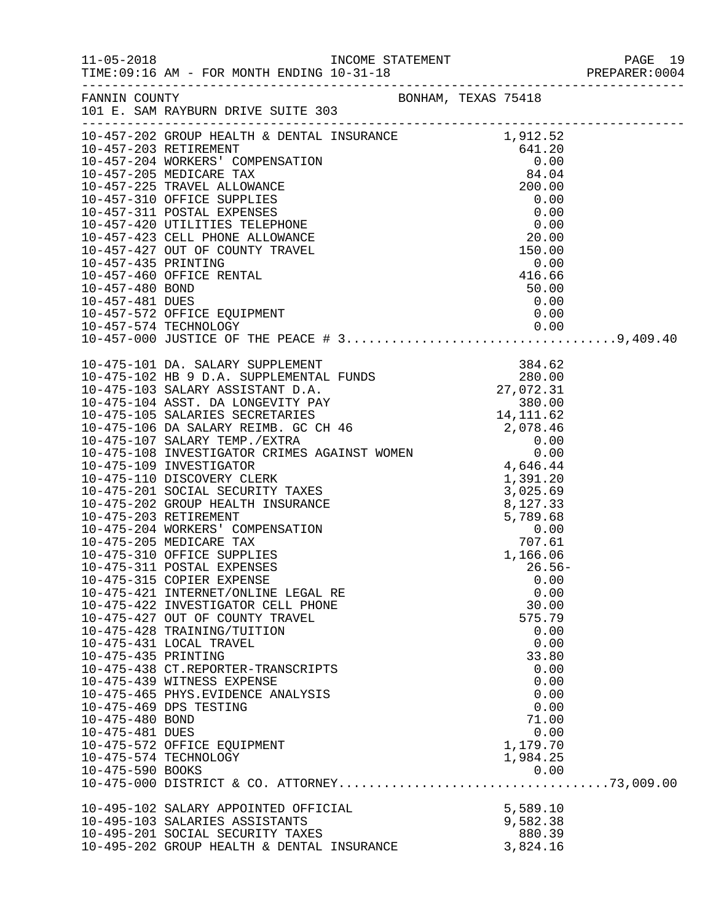|                                                                               |                                                                                                                                                                                                                                                                                                                                                                                                |                                                                                                                                                       | PREPARER: 0004 |
|-------------------------------------------------------------------------------|------------------------------------------------------------------------------------------------------------------------------------------------------------------------------------------------------------------------------------------------------------------------------------------------------------------------------------------------------------------------------------------------|-------------------------------------------------------------------------------------------------------------------------------------------------------|----------------|
|                                                                               |                                                                                                                                                                                                                                                                                                                                                                                                |                                                                                                                                                       |                |
|                                                                               |                                                                                                                                                                                                                                                                                                                                                                                                |                                                                                                                                                       |                |
| 10-475-435 PRINTING<br>10-475-480 BOND<br>10-475-481 DUES<br>10-475-590 BOOKS | 10-475-315 COPIER EXPENSE<br>10-475-421 INTERNET/ONLINE LEGAL RE<br>10-475-422 INVESTIGATOR CELL PHONE<br>10-475-427 OUT OF COUNTY TRAVEL<br>10-475-428 TRAINING/TUITION<br>10-475-431 LOCAL TRAVEL<br>10-475-438 CT.REPORTER-TRANSCRIPTS<br>10-475-439 WITNESS EXPENSE<br>10-475-465 PHYS.EVIDENCE ANALYSIS<br>10-475-469 DPS TESTING<br>10-475-572 OFFICE EQUIPMENT<br>10-475-574 TECHNOLOGY | $26.56-$<br>0.00<br>0.00<br>30.00<br>575.79<br>0.00<br>0.00<br>33.80<br>0.00<br>0.00<br>0.00<br>0.00<br>71.00<br>0.00<br>1,179.70<br>1,984.25<br>0.00 |                |
|                                                                               | 10-495-102 SALARY APPOINTED OFFICIAL<br>10-495-103 SALARIES ASSISTANTS<br>10-495-201 SOCIAL SECURITY TAXES<br>10-495-202 GROUP HEALTH & DENTAL INSURANCE                                                                                                                                                                                                                                       | 5,589.10<br>9,582.38<br>880.39<br>3,824.16                                                                                                            |                |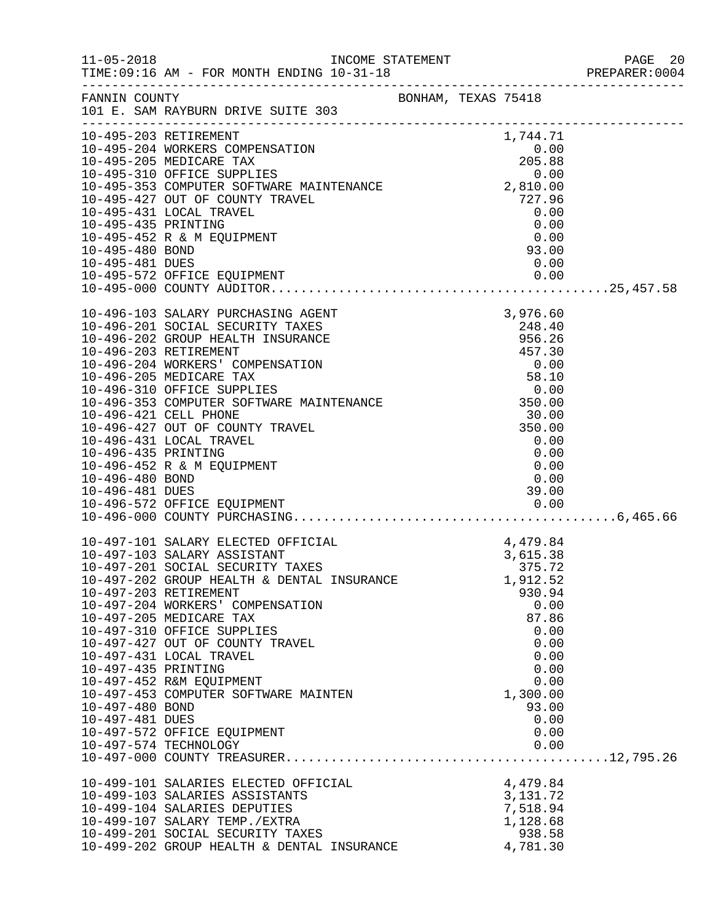|                     |                                                                                                                                                                                                                                             |  |                                              | PREPARER: 0004 |
|---------------------|---------------------------------------------------------------------------------------------------------------------------------------------------------------------------------------------------------------------------------------------|--|----------------------------------------------|----------------|
|                     | FANNIN COUNTY BONHAM, TEXAS 75418<br>101 E. SAM RAYBURN DRIVE SUITE 303                                                                                                                                                                     |  |                                              |                |
|                     |                                                                                                                                                                                                                                             |  |                                              |                |
|                     | 10-495-203 RETIREMENT                                                                                                                                                                                                                       |  | 1,744.71                                     |                |
|                     |                                                                                                                                                                                                                                             |  |                                              |                |
|                     |                                                                                                                                                                                                                                             |  |                                              |                |
|                     |                                                                                                                                                                                                                                             |  |                                              |                |
|                     |                                                                                                                                                                                                                                             |  |                                              |                |
|                     | 1, 44. 11<br>10-495-204 WORKERS COMPENSATION<br>10-495-205 MEDICARE TAX<br>10-495-310 OFFICE SUPPLIES<br>10-495-353 COMPUTER SOFTWARE MAINTENANCE<br>10-495-427 OUT OF COUNTY TRAVEL<br>10-495-427 OUT OF COUNTY TRAVEL<br>10-495-431 LOCAL |  |                                              |                |
|                     | 10-495-431 LOCAL TRAVEL                                                                                                                                                                                                                     |  | 0.00                                         |                |
| 10-495-435 PRINTING |                                                                                                                                                                                                                                             |  |                                              |                |
|                     | 10-495-452 R & M EQUIPMENT                                                                                                                                                                                                                  |  | $0.00$<br>93.00                              |                |
| 10-495-480 BOND     |                                                                                                                                                                                                                                             |  |                                              |                |
| 10-495-481 DUES     |                                                                                                                                                                                                                                             |  | 0.00                                         |                |
|                     |                                                                                                                                                                                                                                             |  |                                              |                |
|                     |                                                                                                                                                                                                                                             |  |                                              |                |
|                     |                                                                                                                                                                                                                                             |  |                                              |                |
|                     | 10-496-103 SALARY PURCHASING AGENT                                                                                                                                                                                                          |  | 3,976.60                                     |                |
|                     | 10-496-201 SOCIAL SECURITY TAXES                                                                                                                                                                                                            |  |                                              |                |
|                     | 10-496-202 GROUP HEALTH INSURANCE                                                                                                                                                                                                           |  |                                              |                |
|                     | 10-496-203 RETIREMENT                                                                                                                                                                                                                       |  |                                              |                |
|                     | 10-496-204 WORKERS' COMPENSATION                                                                                                                                                                                                            |  |                                              |                |
|                     | 10-496-205 MEDICARE TAX<br>10-496-310 OFFICE SUPPLIES                                                                                                                                                                                       |  |                                              |                |
|                     | XES<br>XES<br>248.40<br>ANCE<br>556.26<br>457.30<br>ION<br>58.10<br>58.10<br>0.00<br>58.10<br>0.00<br>350.00<br>350.00<br>0.00<br>350.00<br>0.00<br>0.00<br>350.00<br>0.00<br>10-496-353 COMPUTER SOFTWARE MAINTENANCE                      |  |                                              |                |
|                     | 10-496-421 CELL PHONE                                                                                                                                                                                                                       |  |                                              |                |
|                     | 10-496-427 OUT OF COUNTY TRAVEL                                                                                                                                                                                                             |  |                                              |                |
|                     | 10-496-431 LOCAL TRAVEL                                                                                                                                                                                                                     |  | 0.00                                         |                |
| 10-496-435 PRINTING |                                                                                                                                                                                                                                             |  | 0.00                                         |                |
|                     | 10-496-452 R & M EQUIPMENT                                                                                                                                                                                                                  |  | 0.00                                         |                |
| 10-496-480 BOND     |                                                                                                                                                                                                                                             |  | 0.00                                         |                |
| 10-496-481 DUES     |                                                                                                                                                                                                                                             |  | 39.00                                        |                |
|                     | 10-496-572 OFFICE EQUIPMENT                                                                                                                                                                                                                 |  | $\begin{array}{c} 39.00 \\ 0.00 \end{array}$ |                |
|                     |                                                                                                                                                                                                                                             |  |                                              |                |
|                     |                                                                                                                                                                                                                                             |  |                                              |                |
|                     | 10-497-101 SALARY ELECTED OFFICIAL                                                                                                                                                                                                          |  | 4,479.84                                     |                |
|                     | 10-497-103 SALARY ASSISTANT<br>10-497-201 SOCIAL SECURITY TAXES                                                                                                                                                                             |  | 3,615.38<br>375.72                           |                |
|                     | 10-497-202 GROUP HEALTH & DENTAL INSURANCE                                                                                                                                                                                                  |  | 1,912.52                                     |                |
|                     | 10-497-203 RETIREMENT                                                                                                                                                                                                                       |  | 930.94                                       |                |
|                     | 10-497-204 WORKERS' COMPENSATION                                                                                                                                                                                                            |  | 0.00                                         |                |
|                     | 10-497-205 MEDICARE TAX                                                                                                                                                                                                                     |  | 87.86                                        |                |
|                     | 10-497-310 OFFICE SUPPLIES                                                                                                                                                                                                                  |  | 0.00                                         |                |
|                     | 10-497-427 OUT OF COUNTY TRAVEL                                                                                                                                                                                                             |  | 0.00                                         |                |
|                     | 10-497-431 LOCAL TRAVEL                                                                                                                                                                                                                     |  | 0.00                                         |                |
| 10-497-435 PRINTING |                                                                                                                                                                                                                                             |  | 0.00                                         |                |
|                     | 10-497-452 R&M EQUIPMENT                                                                                                                                                                                                                    |  | 0.00                                         |                |
|                     | 10-497-453 COMPUTER SOFTWARE MAINTEN                                                                                                                                                                                                        |  | 1,300.00                                     |                |
| 10-497-480 BOND     |                                                                                                                                                                                                                                             |  | 93.00                                        |                |
| 10-497-481 DUES     |                                                                                                                                                                                                                                             |  | 0.00                                         |                |
|                     | 10-497-572 OFFICE EQUIPMENT                                                                                                                                                                                                                 |  | 0.00                                         |                |
|                     | 10-497-574 TECHNOLOGY                                                                                                                                                                                                                       |  | 0.00                                         |                |
|                     |                                                                                                                                                                                                                                             |  |                                              |                |
|                     | 10-499-101 SALARIES ELECTED OFFICIAL                                                                                                                                                                                                        |  | 4,479.84                                     |                |
|                     | 10-499-103 SALARIES ASSISTANTS                                                                                                                                                                                                              |  | 3, 131. 72                                   |                |
|                     | 10-499-104 SALARIES DEPUTIES                                                                                                                                                                                                                |  | 7,518.94                                     |                |
|                     | 10-499-107 SALARY TEMP./EXTRA                                                                                                                                                                                                               |  | 1,128.68                                     |                |
|                     | 10-499-201 SOCIAL SECURITY TAXES                                                                                                                                                                                                            |  | 938.58                                       |                |
|                     | 10-499-202 GROUP HEALTH & DENTAL INSURANCE                                                                                                                                                                                                  |  | 4,781.30                                     |                |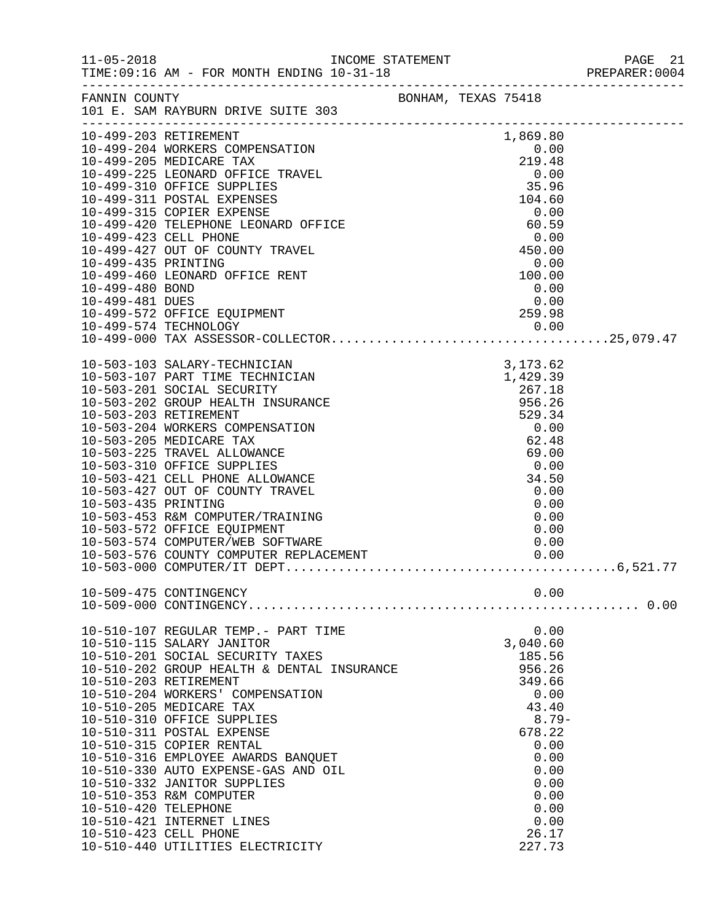|                      |                                                                                                                                                                                                                                                                       |                  |                                          |              |              | PREPARER: 0004 |
|----------------------|-----------------------------------------------------------------------------------------------------------------------------------------------------------------------------------------------------------------------------------------------------------------------|------------------|------------------------------------------|--------------|--------------|----------------|
|                      | FANNIN COUNTY<br>101 E. SAM RAYBURN DRIVE SUITE 303                                                                                                                                                                                                                   |                  |                                          |              |              |                |
|                      | 10-499-203 RETIREMENT<br>10-499-203 RETIREMENT<br>10-499-204 WORKERS COMPENSATION<br>10-499-205 MEDICARE TAX<br>10-499-225 LEONARD OFFICE TRAVEL<br>10-499-310 OFFICE SUPPLIES<br>10-499-311 POSTAL EXPENSES<br>10-499-315 COPIER EXPENSE<br>10-499-315 COPIER EXPENS |                  |                                          |              |              |                |
|                      |                                                                                                                                                                                                                                                                       |                  |                                          |              |              |                |
|                      |                                                                                                                                                                                                                                                                       |                  |                                          |              |              |                |
|                      |                                                                                                                                                                                                                                                                       |                  |                                          |              |              |                |
|                      |                                                                                                                                                                                                                                                                       |                  |                                          |              |              |                |
|                      |                                                                                                                                                                                                                                                                       |                  |                                          |              |              |                |
|                      |                                                                                                                                                                                                                                                                       |                  |                                          |              |              |                |
|                      | 10-499-427 OUT OF COUNTY TRAVEL                                                                                                                                                                                                                                       |                  | $0.59$<br>0.00<br>450.00<br>0.00<br>0.00 |              |              |                |
| 10-499-435 PRINTING  |                                                                                                                                                                                                                                                                       |                  |                                          |              |              |                |
|                      | 10-499-460 LEONARD OFFICE RENT                                                                                                                                                                                                                                        |                  |                                          |              |              |                |
| 10-499-480 BOND      |                                                                                                                                                                                                                                                                       |                  |                                          | 0.00         |              |                |
| 10-499-481 DUES      |                                                                                                                                                                                                                                                                       | $0.00$<br>259.98 |                                          |              |              |                |
|                      | 10-499-572 OFFICE EQUIPMENT                                                                                                                                                                                                                                           |                  |                                          |              |              |                |
|                      |                                                                                                                                                                                                                                                                       |                  |                                          |              |              |                |
|                      |                                                                                                                                                                                                                                                                       |                  |                                          |              |              |                |
|                      |                                                                                                                                                                                                                                                                       |                  |                                          |              |              |                |
|                      |                                                                                                                                                                                                                                                                       |                  |                                          |              |              |                |
|                      |                                                                                                                                                                                                                                                                       |                  |                                          |              |              |                |
|                      |                                                                                                                                                                                                                                                                       |                  |                                          |              |              |                |
|                      |                                                                                                                                                                                                                                                                       |                  |                                          |              |              |                |
|                      |                                                                                                                                                                                                                                                                       |                  |                                          |              |              |                |
|                      |                                                                                                                                                                                                                                                                       |                  |                                          |              |              |                |
|                      |                                                                                                                                                                                                                                                                       |                  |                                          |              |              |                |
|                      |                                                                                                                                                                                                                                                                       |                  |                                          |              |              |                |
|                      |                                                                                                                                                                                                                                                                       |                  |                                          |              |              |                |
| 10-503-435 PRINTING  |                                                                                                                                                                                                                                                                       |                  |                                          |              | 0.00         |                |
|                      | 10-503-453 R&M COMPUTER/TRAINING                                                                                                                                                                                                                                      |                  |                                          |              | 0.00         |                |
|                      | 10-503-572 OFFICE EQUIPMENT<br>10-503-572 OFFICE EQUIPMENT<br>10-503-574 COMPUTER/WEB SOFTWARE                                                                                                                                                                        |                  |                                          | 0.00<br>0.00 |              |                |
|                      |                                                                                                                                                                                                                                                                       |                  |                                          |              |              |                |
|                      |                                                                                                                                                                                                                                                                       |                  |                                          |              |              |                |
|                      |                                                                                                                                                                                                                                                                       |                  |                                          |              |              |                |
|                      | 10-509-475 CONTINGENCY                                                                                                                                                                                                                                                |                  |                                          |              | 0.00         |                |
|                      |                                                                                                                                                                                                                                                                       |                  |                                          |              |              |                |
|                      | 10-510-107 REGULAR TEMP.- PART TIME                                                                                                                                                                                                                                   |                  |                                          |              | 0.00         |                |
|                      | 10-510-115 SALARY JANITOR                                                                                                                                                                                                                                             |                  |                                          | 3,040.60     |              |                |
|                      | 10-510-201 SOCIAL SECURITY TAXES                                                                                                                                                                                                                                      |                  |                                          | 185.56       |              |                |
|                      | 10-510-201 SOCIAL SECURIII IAALS<br>10-510-202 GROUP HEALTH & DENTAL INSURANCE                                                                                                                                                                                        |                  |                                          | 956.26       |              |                |
|                      | 10-510-203 RETIREMENT                                                                                                                                                                                                                                                 |                  |                                          | 349.66       |              |                |
|                      | 10-510-204 WORKERS' COMPENSATION                                                                                                                                                                                                                                      |                  |                                          | 0.00         |              |                |
|                      | 10-510-205 MEDICARE TAX<br>10-510-310 OFFICE SUPPLIES                                                                                                                                                                                                                 |                  |                                          | 43.40        | $8.79-$      |                |
|                      | 10-510-311 POSTAL EXPENSE                                                                                                                                                                                                                                             |                  |                                          | 678.22       |              |                |
|                      | 10-510-315 COPIER RENTAL                                                                                                                                                                                                                                              |                  |                                          |              | 0.00         |                |
|                      | 10-510-316 EMPLOYEE AWARDS BANQUET                                                                                                                                                                                                                                    |                  |                                          |              | 0.00         |                |
|                      | 10-510-330 AUTO EXPENSE-GAS AND OIL                                                                                                                                                                                                                                   |                  |                                          |              | 0.00         |                |
|                      | 10-510-332 JANITOR SUPPLIES                                                                                                                                                                                                                                           |                  |                                          |              | 0.00         |                |
|                      | 10-510-353 R&M COMPUTER                                                                                                                                                                                                                                               |                  |                                          |              | 0.00         |                |
| 10-510-420 TELEPHONE | 10-510-421 INTERNET LINES                                                                                                                                                                                                                                             |                  |                                          |              | 0.00<br>0.00 |                |
|                      | 10-510-423 CELL PHONE                                                                                                                                                                                                                                                 |                  |                                          | 26.17        |              |                |
|                      | 10-510-440 UTILITIES ELECTRICITY                                                                                                                                                                                                                                      |                  |                                          | 227.73       |              |                |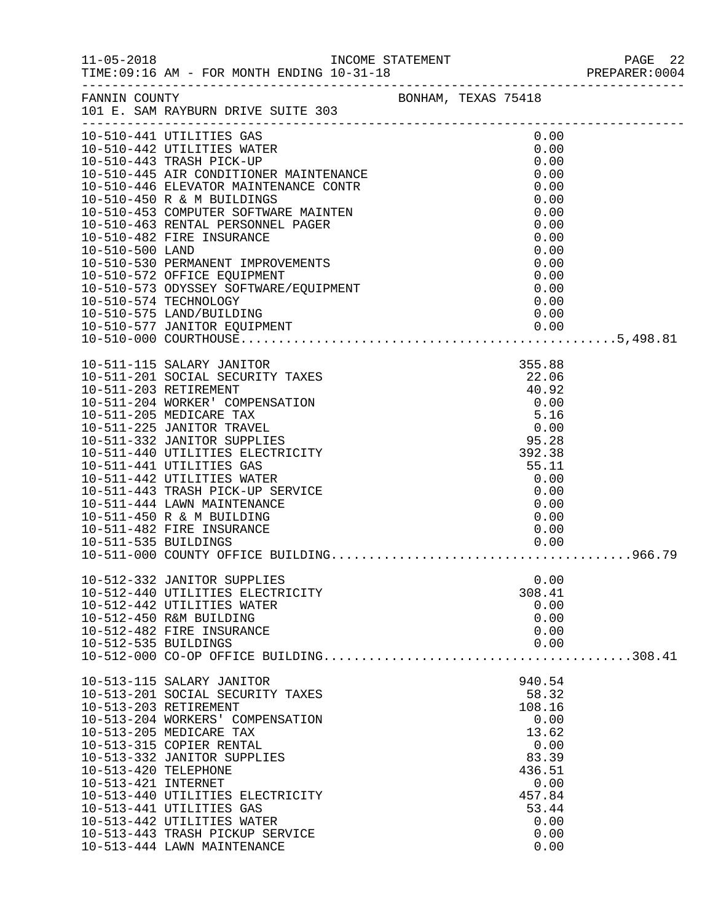|                                             |                                                                                                                                                                                                                                                                                                                                                                                                                                                                                               |  |                                                                                                                                | PREPARER: 0004 |
|---------------------------------------------|-----------------------------------------------------------------------------------------------------------------------------------------------------------------------------------------------------------------------------------------------------------------------------------------------------------------------------------------------------------------------------------------------------------------------------------------------------------------------------------------------|--|--------------------------------------------------------------------------------------------------------------------------------|----------------|
|                                             | FANNIN COUNTY<br>101 E. SAM RAYBURN DRIVE SUITE 303                                                                                                                                                                                                                                                                                                                                                                                                                                           |  |                                                                                                                                |                |
|                                             |                                                                                                                                                                                                                                                                                                                                                                                                                                                                                               |  | 0.00<br>0.00<br>0.00<br>0.00<br>0.00<br>0.00<br>0.00<br>0.00<br>0.00<br>0.00                                                   |                |
|                                             | 10-510-574 TECHNOLOGY                                                                                                                                                                                                                                                                                                                                                                                                                                                                         |  | 0.00<br>0.00<br>0.00<br>0.00                                                                                                   |                |
| 10-511-535 BUILDINGS                        | 10-511-115 SALARY JANITOR<br>10-511-201 SOCIAL SECURITY TAXES<br>10-511-203 RETIREMENT<br>10-511-204 WORKER' COMPENSATION<br>10-511-205 MEDICARE TAX<br>10-511-225 JANITOR TRAVEL<br>10-511-332 JANITOR SUPPLIES<br>10-511-440 UTILITIES ELECTRICITY<br>10-511-441 UTILITIES GAS<br>10-511-442 UTILITIES WATER<br>10-511-443 TRASH PICK-UP SERVICE<br>10-511-444 LAWN MAINTENANCE<br>10-511-450 R & M BUILDING<br>10-511-482 FIRE INSURANCE<br>$\mathbf{E}$ and $\mathbf{E}$ and $\mathbf{E}$ |  | 355.88<br>22.06<br>40.92<br>$0.00$<br>5.16<br>0.00<br>95.28<br>392.38<br>55.11<br>0.00<br>0.00<br>0.00<br>0.00<br>0.00<br>0.00 |                |
| 10-512-535 BUILDINGS                        | 10-512-332 JANITOR SUPPLIES<br>10-512-440 UTILITIES ELECTRICITY<br>10-512-442 UTILITIES WATER<br>10-512-450 R&M BUILDING<br>10-512-482 FIRE INSURANCE                                                                                                                                                                                                                                                                                                                                         |  | 0.00<br>308.41<br>0.00<br>0.00<br>0.00<br>0.00                                                                                 |                |
| 10-513-420 TELEPHONE<br>10-513-421 INTERNET | 10-513-115 SALARY JANITOR<br>10-513-201 SOCIAL SECURITY TAXES<br>10-513-203 RETIREMENT<br>10-513-204 WORKERS' COMPENSATION<br>10-513-205 MEDICARE TAX<br>10-513-315 COPIER RENTAL<br>10-513-332 JANITOR SUPPLIES<br>10-513-440 UTILITIES ELECTRICITY<br>10-513-441 UTILITIES GAS<br>10-513-442 UTILITIES WATER<br>10-513-443 TRASH PICKUP SERVICE<br>10-513-444 LAWN MAINTENANCE                                                                                                              |  | 940.54<br>58.32<br>108.16<br>0.00<br>13.62<br>0.00<br>83.39<br>436.51<br>0.00<br>457.84<br>53.44<br>0.00<br>0.00<br>0.00       |                |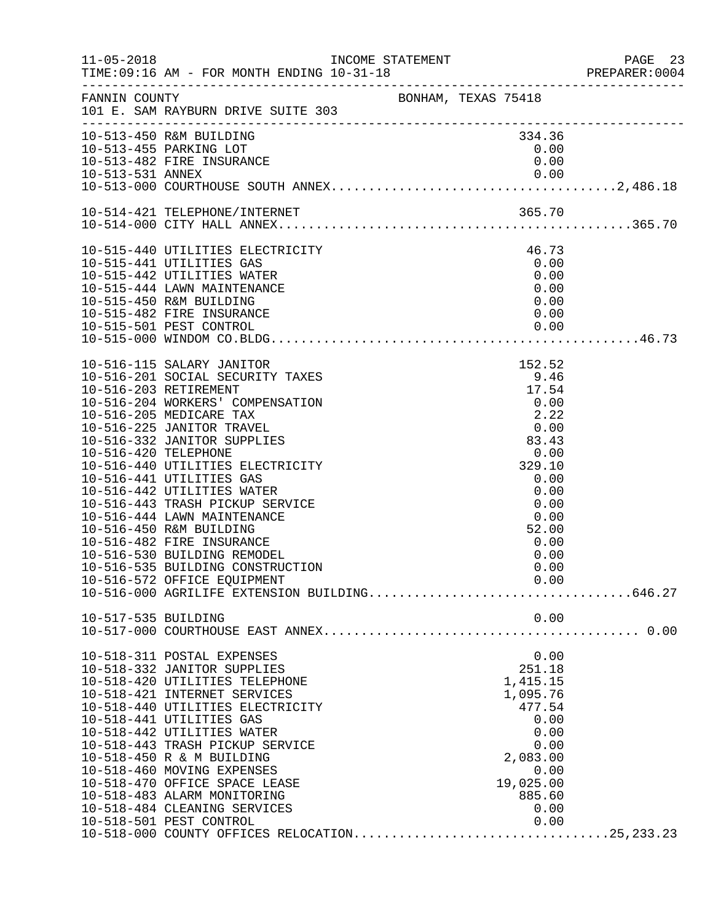| $11 - 05 - 2018$     | TIME: 09:16 AM - FOR MONTH ENDING 10-31-18                                                                                                                                                                                                                                                                                                                                                                                                                                                                                                  |                     |                                                                                                                                                     | PAGE 23<br>PREPARER: 0004 |
|----------------------|---------------------------------------------------------------------------------------------------------------------------------------------------------------------------------------------------------------------------------------------------------------------------------------------------------------------------------------------------------------------------------------------------------------------------------------------------------------------------------------------------------------------------------------------|---------------------|-----------------------------------------------------------------------------------------------------------------------------------------------------|---------------------------|
| FANNIN COUNTY        | 101 E. SAM RAYBURN DRIVE SUITE 303                                                                                                                                                                                                                                                                                                                                                                                                                                                                                                          | BONHAM, TEXAS 75418 |                                                                                                                                                     |                           |
|                      | 10-513-450 R&M BUILDING<br>10-513-455 PARKING LOT<br>10-513-482 FIRE INSURANCE                                                                                                                                                                                                                                                                                                                                                                                                                                                              |                     | 334.36<br>0.00<br>0.00                                                                                                                              |                           |
|                      |                                                                                                                                                                                                                                                                                                                                                                                                                                                                                                                                             |                     |                                                                                                                                                     |                           |
|                      | 10-515-440 UTILITIES ELECTRICITY<br>10-515-441 UTILITIES GAS<br>10-515-442 UTILITIES WATER<br>10-515-444 LAWN MAINTENANCE<br>10-515-450 R&M BUILDING<br>10-515-482 FIRE INSURANCE                                                                                                                                                                                                                                                                                                                                                           |                     | 46.73<br>0.00<br>0.00<br>0.00<br>0.00<br>0.00                                                                                                       |                           |
| 10-516-420 TELEPHONE | 10-516-115 SALARY JANITOR<br>10-516-201 SOCIAL SECURITY TAXES<br>10-516-203 RETIREMENT<br>10-516-204 WORKERS' COMPENSATION<br>10-516-205 MEDICARE TAX<br>10-516-225 JANITOR TRAVEL<br>10-516-332 JANITOR SUPPLIES<br>10-516-440 UTILITIES ELECTRICITY<br>10-516-441 UTILITIES GAS<br>10-516-442 UTILITIES WATER<br>10-516-443 TRASH PICKUP SERVICE<br>10-516-444 LAWN MAINTENANCE<br>10-516-450 R&M BUILDING<br>10-516-482 FIRE INSURANCE<br>10-516-530 BUILDING REMODEL<br>10-516-535 BUILDING CONSTRUCTION<br>10-516-572 OFFICE EQUIPMENT |                     | 152.52<br>9.46<br>17.54<br>0.00<br>2.22<br>0.00<br>83.43<br>0.00<br>329.10<br>0.00<br>0.00<br>0.00<br>0.00<br>52.00<br>0.00<br>0.00<br>0.00<br>0.00 |                           |
| 10-517-535 BUILDING  |                                                                                                                                                                                                                                                                                                                                                                                                                                                                                                                                             |                     | 0.00                                                                                                                                                |                           |
|                      | 10-518-311 POSTAL EXPENSES<br>10-518-332 JANITOR SUPPLIES<br>10-518-420 UTILITIES TELEPHONE<br>10-518-421 INTERNET SERVICES<br>10-518-440 UTILITIES ELECTRICITY<br>10-518-441 UTILITIES GAS<br>10-518-442 UTILITIES WATER<br>10-518-443 TRASH PICKUP SERVICE<br>10-518-450 R & M BUILDING<br>10-518-460 MOVING EXPENSES<br>10-518-470 OFFICE SPACE LEASE<br>10-518-483 ALARM MONITORING<br>10-518-484 CLEANING SERVICES<br>10-518-501 PEST CONTROL<br>10-518-000 COUNTY OFFICES RELOCATION25,233.23                                         |                     | 0.00<br>251.18<br>1,415.15<br>1,095.76<br>477.54<br>0.00<br>0.00<br>0.00<br>2,083.00<br>0.00<br>19,025.00<br>885.60<br>0.00<br>0.00                 |                           |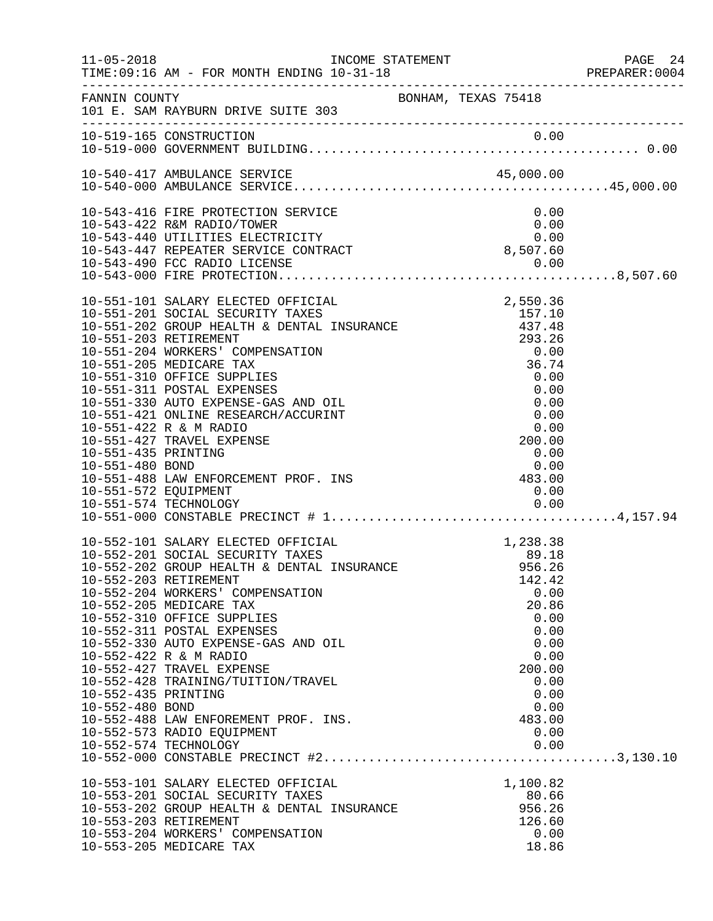| $11 - 05 - 2018$                                               | INCOME STATEMENT<br>TIME: 09:16 AM - FOR MONTH ENDING 10-31-18                                                                                                                                                                                                                                                                                                                                                                                                                                                                                                                                                               |                                                                                                                                               | PAGE 24<br>PREPARER:0004 |
|----------------------------------------------------------------|------------------------------------------------------------------------------------------------------------------------------------------------------------------------------------------------------------------------------------------------------------------------------------------------------------------------------------------------------------------------------------------------------------------------------------------------------------------------------------------------------------------------------------------------------------------------------------------------------------------------------|-----------------------------------------------------------------------------------------------------------------------------------------------|--------------------------|
|                                                                | FANNIN COUNTY<br>101 E. SAM RAYBURN DRIVE SUITE 303                                                                                                                                                                                                                                                                                                                                                                                                                                                                                                                                                                          | BONHAM, TEXAS 75418                                                                                                                           |                          |
|                                                                | 10-519-165 CONSTRUCTION                                                                                                                                                                                                                                                                                                                                                                                                                                                                                                                                                                                                      |                                                                                                                                               |                          |
|                                                                | 10-540-417 AMBULANCE SERVICE                                                                                                                                                                                                                                                                                                                                                                                                                                                                                                                                                                                                 |                                                                                                                                               |                          |
|                                                                | 10-543-416 FIRE PROTECTION SERVICE<br>10-543-422 R&M RADIO/TOWER<br>10-543-440 UTILITIES ELECTRICITY<br>10-543-447 REPEATER SERVICE CONTRACT                                                                                                                                                                                                                                                                                                                                                                                                                                                                                 | 0.00<br>0.00<br>0.00<br>8,507.60                                                                                                              |                          |
| 10-551-435 PRINTING<br>10-551-480 BOND<br>10-551-572 EQUIPMENT | 10-551-101 SALARY ELECTED OFFICIAL<br>10-551-201 SOCIAL SECURITY TAXES<br>10-551-202 GROUP HEALTH & DENTAL INSURANCE<br>10-551-203 RETIREMENT<br>10-551-204 WORKERS' COMPENSATION<br>10-551-205 MEDICARE TAX<br>10-551-310 OFFICE SUPPLIES<br>10-551-311 POSTAL EXPENSES<br>10-551-330 AUTO EXPENSE-GAS AND OIL<br>10-551-421 ONLINE RESEARCH/ACCURINT<br>10-551-422 R & M RADIO<br>10-551-427 TRAVEL EXPENSE<br>10-551-488 LAW ENFORCEMENT PROF. INS                                                                                                                                                                        | 2,550.36<br>157.10<br>437.48<br>293.26<br>0.00<br>36.74<br>0.00<br>0.00<br>0.00<br>0.00<br>0.00<br>200.00<br>0.00<br>$0.00$<br>483.00<br>0.00 |                          |
| 10-552-435 PRINTING<br>10-552-480 BOND                         | 10-552-101 SALARY ELECTED OFFICIAL<br>10-552-101 SALARY ELECTED OFFICIAL 10-552-101 SALARY ELECTED OFFICIAL 10-552-201 SOCIAL SECURITY TAXES<br>10-552-202 GROUP HEALTH & DENTAL INSURANCE 10-552-202 GROUP HEALTH & DENTAL INSURANCE<br>10-552-203 RETIREMENT<br>10-552-204 WORKERS' COMPENSATION<br>10-552-205 MEDICARE TAX<br>10-552-310 OFFICE SUPPLIES<br>10-552-311 POSTAL EXPENSES<br>10-552-330 AUTO EXPENSE-GAS AND OIL<br>10-552-422 R & M RADIO<br>10-552-427 TRAVEL EXPENSE<br>10-552-428 TRAINING/TUITION/TRAVEL<br>10-552-488 LAW ENFOREMENT PROF. INS.<br>10-552-573 RADIO EQUIPMENT<br>10-552-574 TECHNOLOGY | 1,238.38<br>142.42<br>0.00<br>20.86<br>0.00<br>0.00<br>0.00<br>0.00<br>200.00<br>0.00<br>0.00<br>0.00<br>483.00<br>0.00<br>0.00               |                          |
|                                                                | 10-553-101 SALARY ELECTED OFFICIAL<br>10-553-201 SOCIAL SECURITY TAXES<br>10-553-202 GROUP HEALTH & DENTAL INSURANCE<br>10-553-203 RETIREMENT<br>10-553-204 WORKERS' COMPENSATION<br>10-553-205 MEDICARE TAX                                                                                                                                                                                                                                                                                                                                                                                                                 | 1,100.82<br>80.66<br>956.26<br>126.60<br>0.00<br>18.86                                                                                        |                          |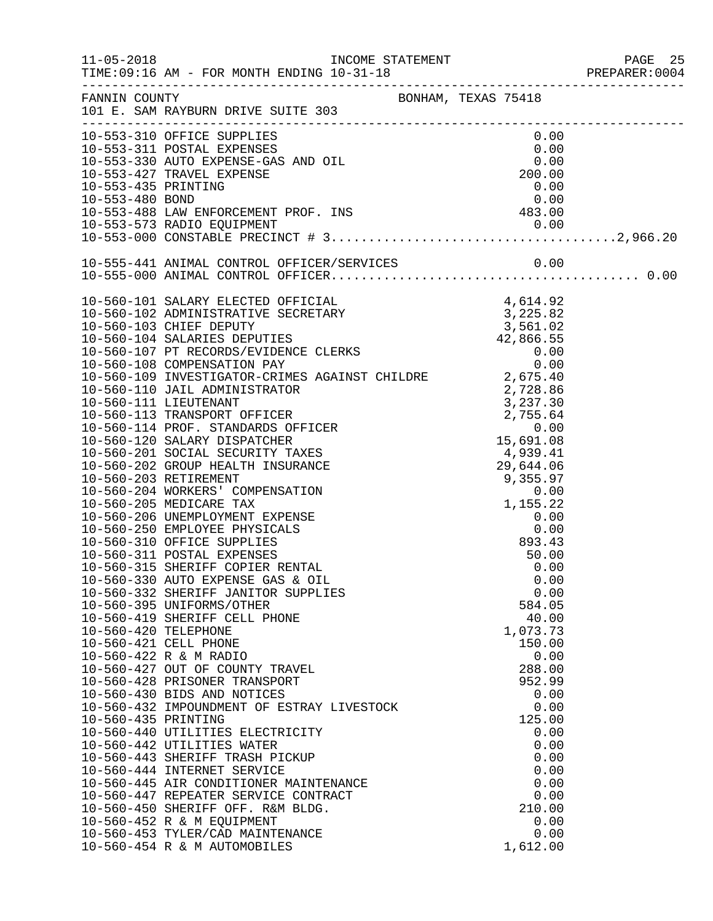|                      |                                                                                                                                                                                                                                              |                                                                                                                                                        |                                    | PREPARER: 0004 |
|----------------------|----------------------------------------------------------------------------------------------------------------------------------------------------------------------------------------------------------------------------------------------|--------------------------------------------------------------------------------------------------------------------------------------------------------|------------------------------------|----------------|
|                      | FANNIN COUNTY<br>101 E. SAM RAYBURN DRIVE SUITE 303                                                                                                                                                                                          |                                                                                                                                                        |                                    |                |
|                      | 10-553-310 OFFICE SUPPLIES                                                                                                                                                                                                                   |                                                                                                                                                        | 0.00                               |                |
|                      |                                                                                                                                                                                                                                              |                                                                                                                                                        |                                    |                |
|                      |                                                                                                                                                                                                                                              |                                                                                                                                                        |                                    |                |
|                      |                                                                                                                                                                                                                                              |                                                                                                                                                        |                                    |                |
|                      |                                                                                                                                                                                                                                              |                                                                                                                                                        |                                    |                |
|                      |                                                                                                                                                                                                                                              |                                                                                                                                                        |                                    |                |
|                      |                                                                                                                                                                                                                                              |                                                                                                                                                        |                                    |                |
|                      | 10-553-310 OFFICE SUPPLIES<br>10-553-311 POSTAL EXPENSES<br>10-553-330 AUTO EXPENSE-GAS AND OIL<br>10-553-427 TRAVEL EXPENSE 200.00<br>10-553-435 PRINTING 0.00<br>10-553-480 BOND 0.00<br>10-553-488 LAW ENFORCEMENT PROF. INS 483.00<br>10 |                                                                                                                                                        |                                    |                |
|                      |                                                                                                                                                                                                                                              |                                                                                                                                                        |                                    |                |
|                      |                                                                                                                                                                                                                                              |                                                                                                                                                        |                                    |                |
|                      |                                                                                                                                                                                                                                              |                                                                                                                                                        |                                    |                |
|                      |                                                                                                                                                                                                                                              |                                                                                                                                                        |                                    |                |
|                      |                                                                                                                                                                                                                                              |                                                                                                                                                        |                                    |                |
|                      |                                                                                                                                                                                                                                              |                                                                                                                                                        |                                    |                |
|                      |                                                                                                                                                                                                                                              |                                                                                                                                                        |                                    |                |
|                      |                                                                                                                                                                                                                                              |                                                                                                                                                        |                                    |                |
|                      | 10-560-109 INVESTIGATOR-CRIMES AGAINST CHILDRE 2,675.40                                                                                                                                                                                      |                                                                                                                                                        |                                    |                |
|                      | 10-560-110 JAIL ADMINISTRATOR                                                                                                                                                                                                                |                                                                                                                                                        | 2,728.86                           |                |
|                      | 10-560-111 LIEUTENANT                                                                                                                                                                                                                        |                                                                                                                                                        |                                    |                |
|                      | 10-560-113 TRANSPORT OFFICER                                                                                                                                                                                                                 |                                                                                                                                                        |                                    |                |
|                      | 10-560-114 PROF. STANDARDS OFFICER                                                                                                                                                                                                           |                                                                                                                                                        |                                    |                |
|                      | 10-560-120 SALARY DISPATCHER                                                                                                                                                                                                                 | ER<br>ER<br>$\begin{array}{r} 2,728.86 \\ 3,237.30 \\ 2,755.64 \\ 0.00 \\ 15,691.08 \\ 4,939.41 \\ 29,644.06 \\ 9,355.97 \\ 0.00 \\ 1.177 \end{array}$ |                                    |                |
|                      | 10-560-201 SOCIAL SECURITY TAXES                                                                                                                                                                                                             |                                                                                                                                                        |                                    |                |
|                      | 10-560-202 GROUP HEALTH INSURANCE                                                                                                                                                                                                            |                                                                                                                                                        |                                    |                |
|                      | 10-560-203 RETIREMENT                                                                                                                                                                                                                        |                                                                                                                                                        |                                    |                |
|                      | 10-560-204 WORKERS' COMPENSATION                                                                                                                                                                                                             |                                                                                                                                                        |                                    |                |
|                      | 10-560-205 MEDICARE TAX<br>10-560-206 UNEMPLOYMENT EXPENSE                                                                                                                                                                                   |                                                                                                                                                        | 1,155.22<br>0.00<br>0.00<br>893.42 |                |
|                      | 10-560-250 EMPLOYEE PHYSICALS                                                                                                                                                                                                                |                                                                                                                                                        |                                    |                |
|                      | 10-560-310 OFFICE SUPPLIES                                                                                                                                                                                                                   |                                                                                                                                                        | 0.00<br>893.43                     |                |
|                      | 10-560-311 POSTAL EXPENSES                                                                                                                                                                                                                   |                                                                                                                                                        | 50.00                              |                |
|                      | 10-560-315 SHERIFF COPIER RENTAL                                                                                                                                                                                                             |                                                                                                                                                        | 0.00                               |                |
|                      | 10-560-330 AUTO EXPENSE GAS & OIL                                                                                                                                                                                                            |                                                                                                                                                        | 0.00                               |                |
|                      | 10-560-332 SHERIFF JANITOR SUPPLIES                                                                                                                                                                                                          |                                                                                                                                                        | 0.00                               |                |
|                      | 10-560-395 UNIFORMS/OTHER                                                                                                                                                                                                                    |                                                                                                                                                        | 584.05                             |                |
|                      | 10-560-419 SHERIFF CELL PHONE                                                                                                                                                                                                                |                                                                                                                                                        | 40.00                              |                |
| 10-560-420 TELEPHONE | 10-560-421 CELL PHONE                                                                                                                                                                                                                        |                                                                                                                                                        | 1,073.73<br>150.00                 |                |
|                      | 10-560-422 R & M RADIO                                                                                                                                                                                                                       |                                                                                                                                                        | 0.00                               |                |
|                      | 10-560-427 OUT OF COUNTY TRAVEL                                                                                                                                                                                                              |                                                                                                                                                        | 288.00                             |                |
|                      | 10-560-428 PRISONER TRANSPORT                                                                                                                                                                                                                |                                                                                                                                                        | 952.99                             |                |
|                      | 10-560-430 BIDS AND NOTICES                                                                                                                                                                                                                  |                                                                                                                                                        | 0.00                               |                |
|                      | 10-560-432 IMPOUNDMENT OF ESTRAY LIVESTOCK                                                                                                                                                                                                   |                                                                                                                                                        | 0.00                               |                |
| 10-560-435 PRINTING  |                                                                                                                                                                                                                                              |                                                                                                                                                        | 125.00                             |                |
|                      | 10-560-440 UTILITIES ELECTRICITY                                                                                                                                                                                                             |                                                                                                                                                        | 0.00                               |                |
|                      | 10-560-442 UTILITIES WATER                                                                                                                                                                                                                   |                                                                                                                                                        | 0.00                               |                |
|                      | 10-560-443 SHERIFF TRASH PICKUP                                                                                                                                                                                                              |                                                                                                                                                        | 0.00                               |                |
|                      | 10-560-444 INTERNET SERVICE<br>10-560-445 AIR CONDITIONER MAINTENANCE                                                                                                                                                                        |                                                                                                                                                        | 0.00<br>0.00                       |                |
|                      | 10-560-447 REPEATER SERVICE CONTRACT                                                                                                                                                                                                         |                                                                                                                                                        | 0.00                               |                |
|                      | 10-560-450 SHERIFF OFF. R&M BLDG.                                                                                                                                                                                                            |                                                                                                                                                        | 210.00                             |                |
|                      | 10-560-452 R & M EQUIPMENT                                                                                                                                                                                                                   |                                                                                                                                                        | 0.00                               |                |
|                      | 10-560-453 TYLER/CAD MAINTENANCE                                                                                                                                                                                                             |                                                                                                                                                        | 0.00                               |                |
|                      | 10-560-454 R & M AUTOMOBILES                                                                                                                                                                                                                 |                                                                                                                                                        | 1,612.00                           |                |
|                      |                                                                                                                                                                                                                                              |                                                                                                                                                        |                                    |                |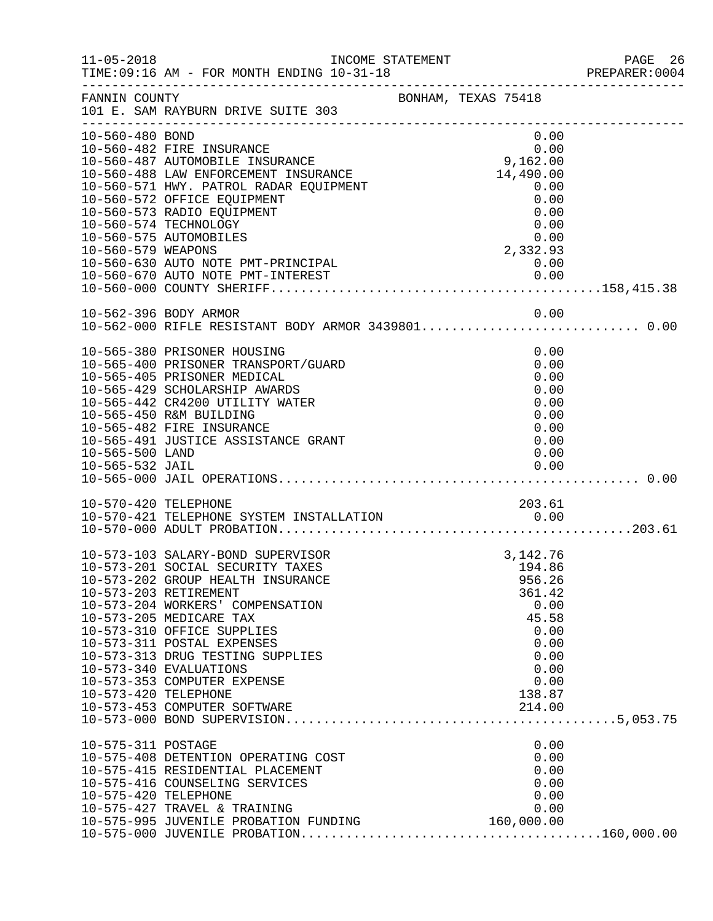| $11 - 05 - 2018$                           | INCOME STATEMENT<br>TIME: 09:16 AM - FOR MONTH ENDING 10-31-18                                                                                                                                                                                                                                                                                              |                                                                                                                                    | PAGE 26<br>PREPARER: 0004 |
|--------------------------------------------|-------------------------------------------------------------------------------------------------------------------------------------------------------------------------------------------------------------------------------------------------------------------------------------------------------------------------------------------------------------|------------------------------------------------------------------------------------------------------------------------------------|---------------------------|
| FANNIN COUNTY                              | BONHAM, TEXAS 75418<br>101 E. SAM RAYBURN DRIVE SUITE 303                                                                                                                                                                                                                                                                                                   |                                                                                                                                    |                           |
| 10-560-480 BOND<br>10-560-579 WEAPONS      | 10-560-482 FIRE INSURANCE<br>10-560-487 AUTOMOBILE INSURANCE<br>10-560-488 LAW ENFORCEMENT INSURANCE<br>10-560-488 LAW ENFORCEMENT INSURANCE<br>10-560-573 RADIO EQUIPMENT<br>10-560-574 TECHNOLOGY<br>10-560-575 AUTOMOBILES<br>10-560-630 AUTO NOTE PMT-PRINCIPAL $10-560-670$ AUTO NOTE PMT-INTEREST 0.00<br>10-560-670 AUTO NOTE PMT-INTEREST 0.00      | 0.00<br>0.00<br>0.00<br>9,162.00<br>14,490.00<br>0.00<br>0.00<br>0.00<br>0.00<br>$\begin{array}{c}0.00\\2,332.93\\0.00\end{array}$ |                           |
|                                            |                                                                                                                                                                                                                                                                                                                                                             |                                                                                                                                    |                           |
| 10-565-500 LAND                            | 10-565-380 PRISONER HOUSING<br>10-565-400 PRISONER TRANSPORT/GUARD<br>10-565-405 PRISONER MEDICAL<br>10-565-429 SCHOLARSHIP AWARDS<br>10-565-442 CR4200 UTILITY WATER<br>10-565-450 R&M BUILDING<br>10-565-482 FIRE INSURANCE<br>10-565-491 JUSTICE ASSISTANCE GRANT                                                                                        | 0.00<br>0.00<br>0.00<br>0.00<br>0.00<br>0.00<br>0.00<br>0.00<br>0.00                                                               |                           |
|                                            | 10-570-421 TELEPHONE SYSTEM INSTALLATION 10-570-421 TELEPHONE SYSTEM INSTALLATION 0.00                                                                                                                                                                                                                                                                      |                                                                                                                                    |                           |
| 10-573-420 TELEPHONE                       | 10-573-103 SALARY-BOND SUPERVISOR<br>10-573-201 SOCIAL SECURITY TAXES<br>10-573-202 GROUP HEALTH INSURANCE<br>10-573-203 RETIREMENT<br>10-573-204 WORKERS' COMPENSATION<br>10-573-205 MEDICARE TAX<br>10-573-310 OFFICE SUPPLIES<br>10-573-311 POSTAL EXPENSES<br>10-573-313 DRUG TESTING SUPPLIES<br>10-573-340 EVALUATIONS<br>10-573-353 COMPUTER EXPENSE | 3, 142. 76<br>194.86<br>956.26<br>361.42<br>0.00<br>45.58<br>0.00<br>0.00<br>0.00<br>0.00<br>0.00<br>138.87                        |                           |
| 10-575-311 POSTAGE<br>10-575-420 TELEPHONE | 10-575-408 DETENTION OPERATING COST<br>10-575-415 RESIDENTIAL PLACEMENT<br>10-575-416 COUNSELING SERVICES<br>10-575-420 IBLE-HONE<br>10-575-427 TRAVEL & TRAINING 0.00<br>10-575-995 JUVENILE PROBATION FUNDING 160,000.00                                                                                                                                  | 0.00<br>0.00<br>0.00<br>0.00<br>0.00                                                                                               |                           |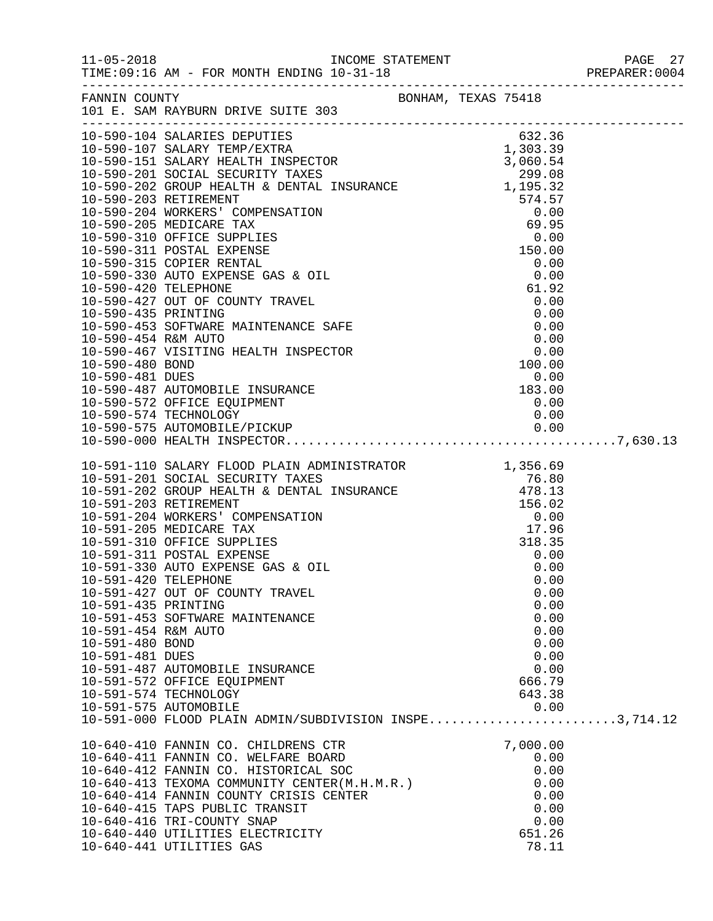|                                                                                                          |                                                                                                                                                                                                                                                                                                                                                                                                                                                                                                                                                                                                                                              |                                                                                                                              | PAGE 27 |
|----------------------------------------------------------------------------------------------------------|----------------------------------------------------------------------------------------------------------------------------------------------------------------------------------------------------------------------------------------------------------------------------------------------------------------------------------------------------------------------------------------------------------------------------------------------------------------------------------------------------------------------------------------------------------------------------------------------------------------------------------------------|------------------------------------------------------------------------------------------------------------------------------|---------|
|                                                                                                          | FANNIN COUNTY<br>FANNIN COUNTY BONHAM, TEXAS 75418<br>101 E. SAM RAYBURN DRIVE SUITE 303                                                                                                                                                                                                                                                                                                                                                                                                                                                                                                                                                     |                                                                                                                              |         |
|                                                                                                          | 10-590-104 SALARIES DEPUTIES<br>$[0-590-104\text{ SALARIES DEPUTIS}\over{0-90-203\text{ RELINK THENEPTES}}\over{0-90-203\text{ RELINK THEINPERICS}\over{0-90-203\text{ RETRY THEINPERICS}\over{0-90-203\text{ RETRY THEINPERICS}\over{0-90-203\text{ RETRY THEINPERICS}\over{0-90-203\text{ RETRY THE INSTRّRASTI}}}\over{10-590-203\text{ RETRY EXIDENTS}\over{0-90-203\text{ RETRY EXIDENTS}\over{0-90-203\text{ RETRY EXIDENTS}\over{0-90-203\text{ RETRY$                                                                                                                                                                                |                                                                                                                              |         |
| 10-591-420 TELEPHONE<br>10-591-435 PRINTING<br>10-591-454 R&M AUTO<br>10-591-480 BOND<br>10-591-481 DUES | 10-591-110 SALARY FLOOD PLAIN ADMINISTRATOR 1,356.69<br>10-591-201 SOCIAL SECURITY TAXES 76.80<br>10-591-202 GROUP HEALTH & DENTAL INSURANCE 478.13<br>10-591-203 RETIREMENT 156.02<br>10-591-204 WORKERS' COMPENSATION 0.00<br>10-591-2<br>10-591-311 POSTAL EXPENSE<br>10-591-330 AUTO EXPENSE GAS & OIL<br>10-591-427 OUT OF COUNTY TRAVEL<br>10-591-453 SOFTWARE MAINTENANCE<br>10-591-487 AUTOMOBILE INSURANCE<br>10-591-572 OFFICE EQUIPMENT<br>10-591-574 TECHNOLOGY<br>10-591-575 AUTOMOBILE<br>10-591-000 FLOOD PLAIN ADMIN/SUBDIVISION INSPE3,714.12<br>10-640-410 FANNIN CO. CHILDRENS CTR<br>10-640-411 FANNIN CO. WELFARE BOARD | 0.00<br>0.00<br>0.00<br>0.00<br>0.00<br>0.00<br>0.00<br>0.00<br>0.00<br>0.00<br>666.79<br>643.38<br>0.00<br>7,000.00<br>0.00 |         |
|                                                                                                          | 10-640-412 FANNIN CO. HISTORICAL SOC<br>10-640-413 TEXOMA COMMUNITY CENTER(M.H.M.R.)<br>10-640-414 FANNIN COUNTY CRISIS CENTER<br>10-640-415 TAPS PUBLIC TRANSIT<br>10-640-416 TRI-COUNTY SNAP<br>10-640-440 UTILITIES ELECTRICITY<br>10-640-441 UTILITIES GAS                                                                                                                                                                                                                                                                                                                                                                               | 0.00<br>0.00<br>0.00<br>0.00<br>0.00<br>651.26<br>78.11                                                                      |         |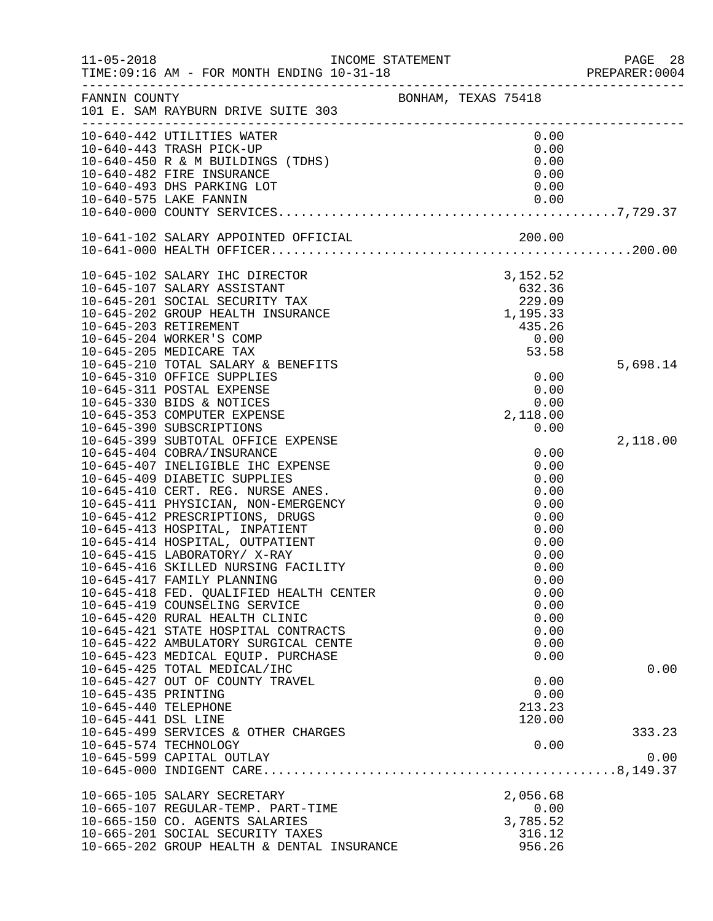| $11 - 05 - 2018$     | TIME:09:16 AM - FOR MONTH ENDING 10-31-18 PREPARER:0                 | INCOME STATEMENT    |  |                    | PAGE 28<br>PREPARER:0004 |
|----------------------|----------------------------------------------------------------------|---------------------|--|--------------------|--------------------------|
| FANNIN COUNTY        | 101 E. SAM RAYBURN DRIVE SUITE 303                                   | BONHAM, TEXAS 75418 |  |                    |                          |
|                      | 10-640-442 UTILITIES WATER                                           |                     |  | 0.00               |                          |
|                      | 10-640-443 TRASH PICK-UP                                             |                     |  | 0.00               |                          |
|                      | 10-640-450 R & M BUILDINGS (TDHS)                                    |                     |  | 0.00               |                          |
|                      | 10-640-482 FIRE INSURANCE<br>10-640-493 DHS PARKING LOT              |                     |  | 0.00<br>0.00       |                          |
|                      | 10-640-575 LAKE FANNIN                                               |                     |  |                    |                          |
|                      |                                                                      |                     |  |                    |                          |
|                      |                                                                      |                     |  |                    |                          |
|                      |                                                                      |                     |  |                    |                          |
|                      | 10-645-102 SALARY IHC DIRECTOR                                       |                     |  | 3, 152.52          |                          |
|                      | 10-645-107 SALARY ASSISTANT                                          |                     |  | 632.36             |                          |
|                      | 10-645-201 SOCIAL SECURITY TAX                                       |                     |  | 229.09             |                          |
|                      | 10-645-202 GROUP HEALTH INSURANCE                                    |                     |  | 1,195.33           |                          |
|                      | 10-645-203 RETIREMENT                                                |                     |  | 435.26             |                          |
|                      | 10-645-204 WORKER'S COMP<br>10-645-205 MEDICARE TAX                  |                     |  | 0.00<br>53.58      |                          |
|                      | 10-645-210 TOTAL SALARY & BENEFITS                                   |                     |  |                    | 5,698.14                 |
|                      | 10-645-310 OFFICE SUPPLIES                                           |                     |  | 0.00               |                          |
|                      | 10-645-311 POSTAL EXPENSE                                            |                     |  | 0.00               |                          |
|                      | 10-645-330 BIDS & NOTICES                                            |                     |  | 0.00               |                          |
|                      | 10-645-353 COMPUTER EXPENSE                                          |                     |  | 2,118.00           |                          |
|                      | 10-645-390 SUBSCRIPTIONS                                             |                     |  | 0.00               |                          |
|                      | 10-645-399 SUBTOTAL OFFICE EXPENSE                                   |                     |  |                    | 2,118.00                 |
|                      | 10-645-404 COBRA/INSURANCE                                           |                     |  | 0.00               |                          |
|                      | 10-645-407 INELIGIBLE IHC EXPENSE                                    |                     |  | 0.00               |                          |
|                      | 10-645-409 DIABETIC SUPPLIES                                         |                     |  | 0.00               |                          |
|                      | 10-645-410 CERT. REG. NURSE ANES.                                    |                     |  | 0.00               |                          |
|                      | 10-645-411 PHYSICIAN, NON-EMERGENCY                                  |                     |  | 0.00               |                          |
|                      | 10-645-412 PRESCRIPTIONS, DRUGS                                      |                     |  | 0.00               |                          |
|                      | 10-645-413 HOSPITAL, INPATIENT                                       |                     |  | 0.00               |                          |
|                      | 10-645-414 HOSPITAL, OUTPATIENT<br>10-645-415 LABORATORY/ X-RAY      |                     |  | 0.00               |                          |
|                      | 10-645-416 SKILLED NURSING FACILITY                                  |                     |  | 0.00<br>0.00       |                          |
|                      | 10-645-417 FAMILY PLANNING                                           |                     |  | 0.00               |                          |
|                      | 10-645-418 FED. QUALIFIED HEALTH CENTER                              |                     |  | 0.00               |                          |
|                      | 10-645-419 COUNSELING SERVICE                                        |                     |  | 0.00               |                          |
|                      | 10-645-420 RURAL HEALTH CLINIC                                       |                     |  | 0.00               |                          |
|                      | 10-645-421 STATE HOSPITAL CONTRACTS                                  |                     |  | 0.00               |                          |
|                      | 10-645-422 AMBULATORY SURGICAL CENTE                                 |                     |  | 0.00               |                          |
|                      | 10-645-423 MEDICAL EQUIP. PURCHASE                                   |                     |  | 0.00               |                          |
|                      | 10-645-425 TOTAL MEDICAL/IHC                                         |                     |  |                    | 0.00                     |
|                      | 10-645-427 OUT OF COUNTY TRAVEL                                      |                     |  | 0.00               |                          |
| 10-645-435 PRINTING  |                                                                      |                     |  | 0.00               |                          |
| 10-645-440 TELEPHONE |                                                                      |                     |  | 213.23             |                          |
| 10-645-441 DSL LINE  |                                                                      |                     |  | 120.00             |                          |
|                      | 10-645-499 SERVICES & OTHER CHARGES                                  |                     |  |                    | 333.23                   |
|                      | 10-645-574 TECHNOLOGY                                                |                     |  | 0.00               | 0.00                     |
|                      | 10-645-599 CAPITAL OUTLAY                                            |                     |  |                    |                          |
|                      |                                                                      |                     |  |                    |                          |
|                      | 10-665-105 SALARY SECRETARY                                          |                     |  | 2,056.68           |                          |
|                      | 10-665-107 REGULAR-TEMP. PART-TIME<br>10-665-150 CO. AGENTS SALARIES |                     |  | 0.00               |                          |
|                      | 10-665-201 SOCIAL SECURITY TAXES                                     |                     |  | 3,785.52<br>316.12 |                          |
|                      | 10-665-202 GROUP HEALTH & DENTAL INSURANCE                           |                     |  | 956.26             |                          |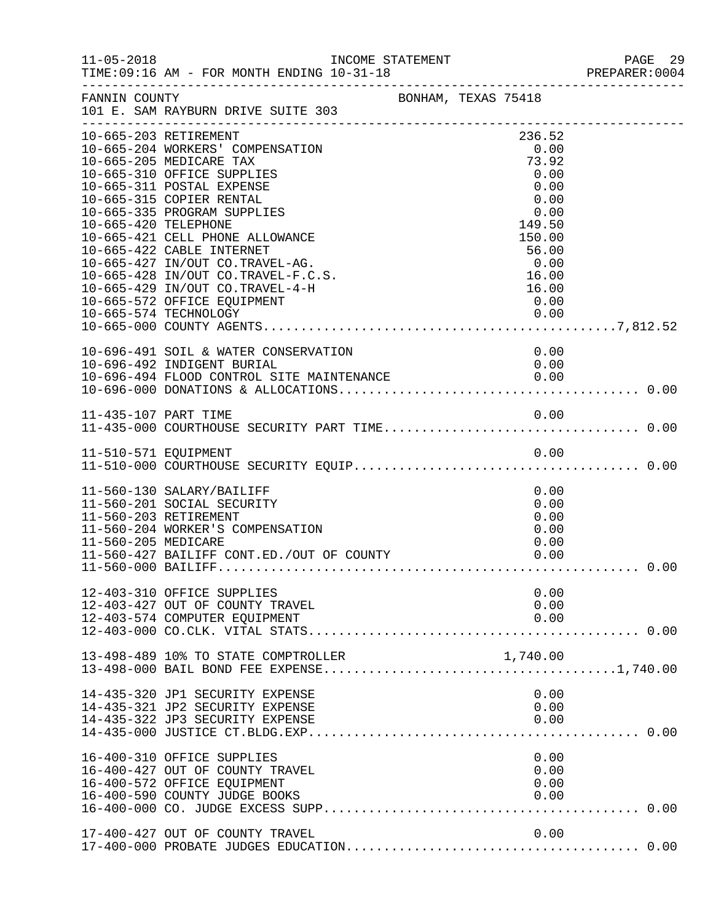| $11 - 05 - 2018$     | INCOME STATEMENT<br>TIME: 09:16 AM - FOR MONTH ENDING 10-31-18                                                                                                                                                                                                                                                                                                                                                        |           |  |                                                                                                                        | PAGE 29<br>PREPARER: 0004 |
|----------------------|-----------------------------------------------------------------------------------------------------------------------------------------------------------------------------------------------------------------------------------------------------------------------------------------------------------------------------------------------------------------------------------------------------------------------|-----------|--|------------------------------------------------------------------------------------------------------------------------|---------------------------|
| FANNIN COUNTY        | BONHAM, TEXAS 75418<br>101 E. SAM RAYBURN DRIVE SUITE 303                                                                                                                                                                                                                                                                                                                                                             |           |  |                                                                                                                        |                           |
| 10-665-420 TELEPHONE | 10-665-203 RETIREMENT<br>10-665-204 WORKERS' COMPENSATION<br>10-665-205 MEDICARE TAX<br>10-665-310 OFFICE SUPPLIES<br>10-665-311 POSTAL EXPENSE<br>10-665-315 COPIER RENTAL<br>10-665-335 PROGRAM SUPPLIES<br>10-665-421 CELL PHONE ALLOWANCE<br>10-665-422 CABLE INTERNET<br>10-665-427 IN/OUT CO.TRAVEL-AG.<br>10-665-428 IN/OUT CO.TRAVEL-F.C.S.<br>10-665-429 IN/OUT CO.TRAVEL-4-H<br>10-665-572 OFFICE EQUIPMENT |           |  | 236.52<br>0.00<br>73.92<br>0.00<br>0.00<br>0.00<br>0.00<br>149.50<br>150.00<br>56.00<br>0.00<br>16.00<br>16.00<br>0.00 |                           |
|                      | 10-696-491 SOIL & WATER CONSERVATION<br>10-696-492 INDIGENT BURIAL                                                                                                                                                                                                                                                                                                                                                    | SERVATION |  | 0.00<br>0.00                                                                                                           |                           |
|                      |                                                                                                                                                                                                                                                                                                                                                                                                                       |           |  |                                                                                                                        |                           |
|                      |                                                                                                                                                                                                                                                                                                                                                                                                                       |           |  |                                                                                                                        |                           |
| 11-560-205 MEDICARE  | 11-560-130 SALARY/BAILIFF<br>11-560-201 SOCIAL SECURITY<br>11-560-203 RETIREMENT<br>11-560-204 WORKER'S COMPENSATION<br>11-560-427 BAILIFF CONT.ED./OUT OF COUNTY                                                                                                                                                                                                                                                     |           |  | 0.00<br>0.00<br>0.00<br>0.00<br>0.00<br>0.00                                                                           |                           |
|                      | 12-403-310 OFFICE SUPPLIES<br>12-403-427 OUT OF COUNTY TRAVEL<br>12-403-574 COMPUTER EQUIPMENT                                                                                                                                                                                                                                                                                                                        |           |  | 0.00<br>0.00<br>0.00                                                                                                   |                           |
|                      | 13-498-489 10% TO STATE COMPTROLLER                                                                                                                                                                                                                                                                                                                                                                                   |           |  | 1,740.00                                                                                                               |                           |
|                      | 14-435-320 JP1 SECURITY EXPENSE<br>14-435-321 JP2 SECURITY EXPENSE<br>14-435-322 JP3 SECURITY EXPENSE                                                                                                                                                                                                                                                                                                                 |           |  | 0.00<br>0.00<br>0.00                                                                                                   |                           |
|                      | 16-400-310 OFFICE SUPPLIES<br>16-400-427 OUT OF COUNTY TRAVEL<br>16-400-572 OFFICE EQUIPMENT<br>16-400-590 COUNTY JUDGE BOOKS                                                                                                                                                                                                                                                                                         |           |  | 0.00<br>0.00<br>0.00<br>0.00                                                                                           |                           |
|                      | 17-400-427 OUT OF COUNTY TRAVEL                                                                                                                                                                                                                                                                                                                                                                                       |           |  | 0.00                                                                                                                   |                           |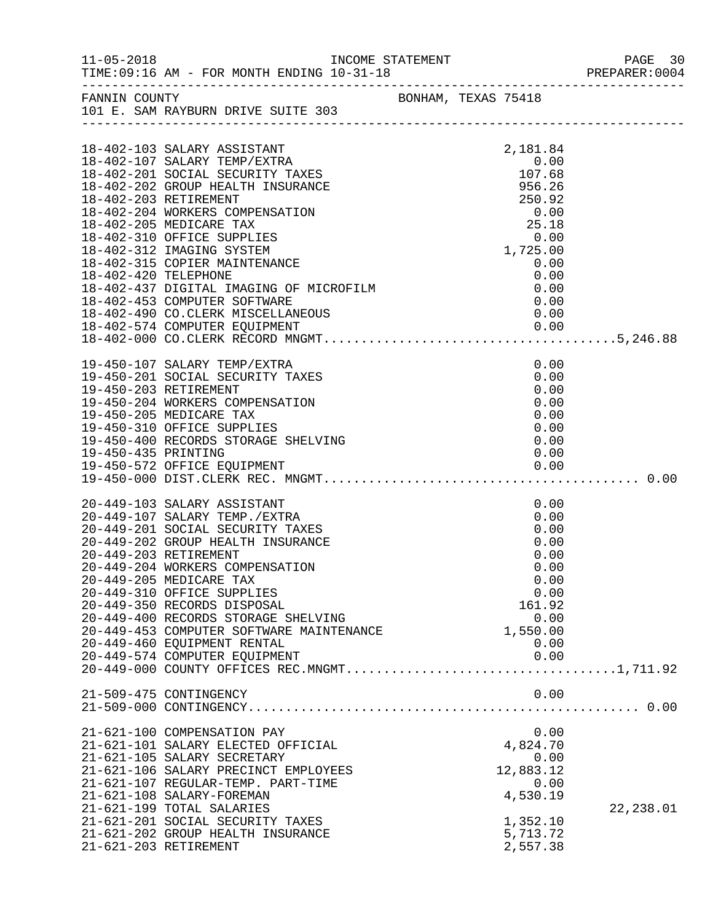|                     | INCOME STATEMENT                                                                                                                                                                                                                                                                                                                                                                                                                             |  |                                                                                                                                                                                                                                                                 | PREPARER: 0004 |
|---------------------|----------------------------------------------------------------------------------------------------------------------------------------------------------------------------------------------------------------------------------------------------------------------------------------------------------------------------------------------------------------------------------------------------------------------------------------------|--|-----------------------------------------------------------------------------------------------------------------------------------------------------------------------------------------------------------------------------------------------------------------|----------------|
|                     | FANNIN COUNTY BONHAM, TEXAS 75418<br>101 E. SAM RAYBURN DRIVE SUITE 303                                                                                                                                                                                                                                                                                                                                                                      |  |                                                                                                                                                                                                                                                                 |                |
|                     | 18-402-103 SALARY ASSISTANT<br>18-402-107 SALARY TEMP/EXIRA<br>18-402-201 SOCIAL SECURITY TAXES<br>18-402-201 SOCIAL SECURITY TAXES<br>18-402-203 RETIREMENT<br>18-402-204 WORKERS COMPENSATION<br>18-402-205 MEDICARE TAX<br>18-402-310 OFFICE SUPPLIES<br>18-402-312 IMAGING SYSTEM<br>18-402-315 COPIER MAINTENANCE<br>18-402-420 TELEPHONE<br>18-402-437 DIGITAL IMAGING OF MICROFILM<br>18-402-490 CO.CLERK MISCELLANEOUS               |  | 2,181.84<br>0.00<br>$107.68$<br>956.26<br>$\begin{array}{c} 0.00 \\ 25.18 \\ 0.00 \end{array}$<br>$\begin{smallmatrix} 2 & 0 & 0 \\ 0 & 0 & 0 \\ 1 & 725 & 00 \end{smallmatrix}$<br>$\begin{array}{c} 0.00 \\ 0.00 \end{array}$<br>0.00<br>0.00<br>0.00<br>0.00 |                |
| 19-450-435 PRINTING | 19-450-107 SALARY TEMP/EXTRA<br>19-450-201 SOCIAL SECURITY TAXES<br>19-450-203 RETIREMENT<br>19-450-204 WORKERS COMPENSATION<br>19-450-205 MEDICARE TAX<br>19-430-203 MEDICANE IAA<br>19-450-310 OFFICE SUPPLIES<br>19-450-400 RECORDS STORAGE SHELVING                                                                                                                                                                                      |  | 0.00<br>0.00<br>0.00<br>0.00<br>0.00<br>0.00<br>0.00<br>0.00                                                                                                                                                                                                    |                |
|                     | 20-449-103 SALARY ASSISTANT<br>20-449-107 SALARY TEMP./EXTRA<br>20-449-201 SOCIAL SECURITY TAXES<br>20-449-202 GROUP HEALTH INSURANCE<br>20-449-203 RETIREMENT<br>20-449-204 WORKERS COMPENSATION<br>20-449-205 MEDICARE TAX<br>20-449-310 OFFICE SUPPLIES<br>20-449-350 RECORDS DISPOSAL<br>20-449-400 RECORDS STORAGE SHELVING<br>20-449-453 COMPUTER SOFTWARE MAINTENANCE<br>20-449-460 EQUIPMENT RENTAL<br>20-449-574 COMPUTER EQUIPMENT |  | 0.00<br>0.00<br>0.00<br>0.00<br>0.00<br>0.00<br>0.00<br>0.00<br>161.92<br>0.00<br>1,550.00<br>0.00<br>0.00                                                                                                                                                      |                |
|                     | 21-509-475 CONTINGENCY                                                                                                                                                                                                                                                                                                                                                                                                                       |  | 0.00                                                                                                                                                                                                                                                            |                |
|                     | 21-621-100 COMPENSATION PAY<br>21-621-101 SALARY ELECTED OFFICIAL<br>21-621-105 SALARY SECRETARY<br>21-621-106 SALARY PRECINCT EMPLOYEES<br>21-621-107 REGULAR-TEMP. PART-TIME<br>21-621-108 SALARY-FOREMAN<br>21-621-199 TOTAL SALARIES<br>21-621-201 SOCIAL SECURITY TAXES<br>21-621-202 GROUP HEALTH INSURANCE<br>21-621-203 RETIREMENT                                                                                                   |  | 0.00<br>4,824.70<br>0.00<br>12,883.12<br>0.00<br>4,530.19<br>1,352.10<br>5,713.72<br>2,557.38                                                                                                                                                                   | 22, 238.01     |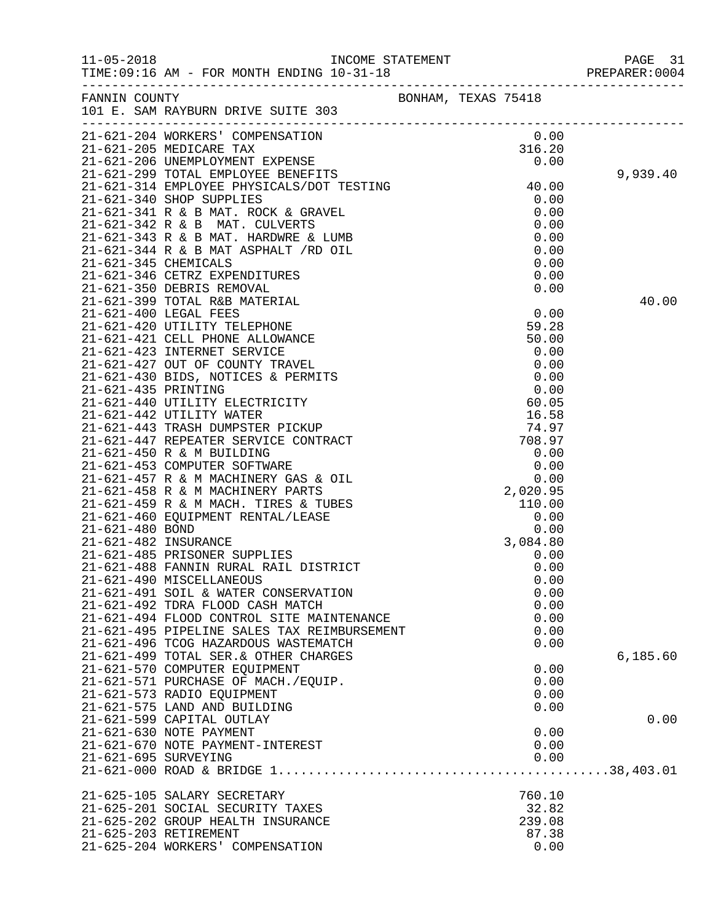|                      |                                                                         |  |              | PAGE 31<br>PREPARER:0004<br>PAGE 31 |
|----------------------|-------------------------------------------------------------------------|--|--------------|-------------------------------------|
|                      | FANNIN COUNTY BONHAM, TEXAS 75418<br>101 E. SAM RAYBURN DRIVE SUITE 303 |  |              |                                     |
|                      | 21-621-204 WORKERS' COMPENSATION                                        |  | 0.00         |                                     |
|                      |                                                                         |  |              |                                     |
|                      |                                                                         |  |              |                                     |
|                      |                                                                         |  |              | 9,939.40                            |
|                      |                                                                         |  |              |                                     |
|                      |                                                                         |  |              |                                     |
|                      |                                                                         |  |              |                                     |
|                      |                                                                         |  |              |                                     |
|                      |                                                                         |  |              |                                     |
|                      |                                                                         |  |              |                                     |
|                      |                                                                         |  |              |                                     |
|                      |                                                                         |  |              |                                     |
|                      |                                                                         |  |              | 40.00                               |
|                      |                                                                         |  |              |                                     |
|                      |                                                                         |  |              |                                     |
|                      |                                                                         |  |              |                                     |
|                      |                                                                         |  |              |                                     |
|                      |                                                                         |  |              |                                     |
|                      |                                                                         |  |              |                                     |
|                      |                                                                         |  |              |                                     |
|                      |                                                                         |  |              |                                     |
|                      |                                                                         |  |              |                                     |
|                      |                                                                         |  |              |                                     |
|                      |                                                                         |  |              |                                     |
|                      |                                                                         |  |              |                                     |
|                      |                                                                         |  |              |                                     |
|                      |                                                                         |  |              |                                     |
|                      |                                                                         |  |              |                                     |
|                      |                                                                         |  |              |                                     |
|                      |                                                                         |  |              |                                     |
|                      |                                                                         |  |              |                                     |
|                      |                                                                         |  |              |                                     |
|                      | 21-621-490 MISCELLANEOUS                                                |  | 0.00         |                                     |
|                      | 21-621-491 SOIL & WATER CONSERVATION                                    |  | 0.00         |                                     |
|                      | 21-621-492 TDRA FLOOD CASH MATCH                                        |  | 0.00         |                                     |
|                      | 21-621-494 FLOOD CONTROL SITE MAINTENANCE                               |  | 0.00         |                                     |
|                      | 21-621-495 PIPELINE SALES TAX REIMBURSEMENT                             |  | 0.00         |                                     |
|                      | 21-621-496 TCOG HAZARDOUS WASTEMATCH                                    |  | 0.00         |                                     |
|                      | 21-621-499 TOTAL SER.& OTHER CHARGES                                    |  |              | 6,185.60                            |
|                      | 21-621-570 COMPUTER EQUIPMENT                                           |  | 0.00         |                                     |
|                      | 21-621-571 PURCHASE OF MACH./EQUIP.                                     |  | 0.00         |                                     |
|                      | 21-621-573 RADIO EQUIPMENT                                              |  | 0.00         |                                     |
|                      | 21-621-575 LAND AND BUILDING                                            |  | 0.00         |                                     |
|                      | 21-621-599 CAPITAL OUTLAY                                               |  |              | 0.00                                |
|                      | 21-621-630 NOTE PAYMENT<br>21-621-670 NOTE PAYMENT-INTEREST             |  | 0.00<br>0.00 |                                     |
| 21-621-695 SURVEYING |                                                                         |  | 0.00         |                                     |
|                      |                                                                         |  |              |                                     |
|                      |                                                                         |  |              |                                     |
|                      | 21-625-105 SALARY SECRETARY                                             |  | 760.10       |                                     |
|                      | 21-625-201 SOCIAL SECURITY TAXES                                        |  | 32.82        |                                     |
|                      | 21-625-202 GROUP HEALTH INSURANCE                                       |  | 239.08       |                                     |
|                      | 21-625-203 RETIREMENT                                                   |  | 87.38        |                                     |
|                      | 21-625-204 WORKERS' COMPENSATION                                        |  | 0.00         |                                     |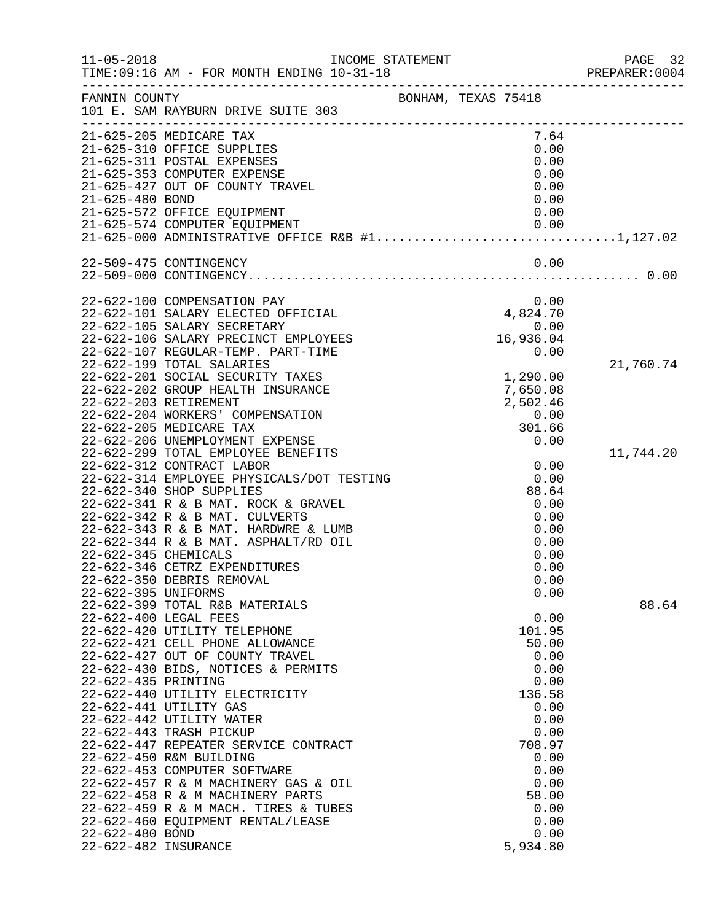| $11 - 05 - 2018$                            | INCOME STATEMENT                                                                                                                          |                                  | PAGE 32   |
|---------------------------------------------|-------------------------------------------------------------------------------------------------------------------------------------------|----------------------------------|-----------|
| FANNIN COUNTY                               | 101 E. SAM RAYBURN DRIVE SUITE 303                                                                                                        | BONHAM, TEXAS 75418              |           |
|                                             | 21-625-205 MEDICARE TAX<br>21-625-310 OFFICE SUPPLIES<br>21-625-311 POSTAL EXPENSES<br>21-625-353 COMPUTER EXPENSE                        | 7.64<br>0.00<br>0.00<br>0.00     |           |
| 21-625-480 BOND                             | 21-625-427 OUT OF COUNTY TRAVEL<br>21-625-572 OFFICE EQUIPMENT                                                                            | 0.00<br>0.00<br>0.00             |           |
|                                             | 21-625-574 COMPUTER EQUIPMENT<br>21-625-000 ADMINISTRATIVE OFFICE R&B #11,127.02                                                          | 0.00                             |           |
|                                             | 22-509-475 CONTINGENCY                                                                                                                    | 0.00                             |           |
|                                             | 22-622-100 COMPENSATION PAY<br>22-622-101 SALARY ELECTED OFFICIAL                                                                         | 0.00<br>4,824.70                 |           |
|                                             | 22-622-105 SALARY SECRETARY<br>22-622-106 SALARY PRECINCT EMPLOYEES<br>22-622-107 REGULAR-TEMP. PART-TIME                                 | 0.00<br>16,936.04<br>0.00        |           |
|                                             | 22-622-199 TOTAL SALARIES<br>22-622-201 SOCIAL SECURITY TAXES<br>22-622-202 GROUP HEALTH INSURANCE<br>22-622-203 RETIREMENT               | 1,290.00<br>7,650.08<br>2,502.46 | 21,760.74 |
|                                             | 22-622-204 WORKERS' COMPENSATION<br>22-622-205 MEDICARE TAX<br>22-622-206 UNEMPLOYMENT EXPENSE<br>22-622-299 TOTAL EMPLOYEE BENEFITS      | 0.00<br>301.66<br>0.00           | 11,744.20 |
|                                             | 22-622-312 CONTRACT LABOR<br>22-622-314 EMPLOYEE PHYSICALS/DOT TESTING<br>22-622-340 SHOP SUPPLIES<br>22-622-341 R & B MAT. ROCK & GRAVEL | 0.00<br>0.00<br>88.64<br>0.00    |           |
|                                             | 22-622-342 R & B MAT. CULVERTS<br>22-622-343 R & B MAT. HARDWRE & LUMB<br>22-622-344 R & B MAT. ASPHALT/RD OIL                            | 0.00<br>0.00<br>0.00             |           |
| 22-622-345 CHEMICALS<br>22-622-395 UNIFORMS | 22-622-346 CETRZ EXPENDITURES<br>22-622-350 DEBRIS REMOVAL                                                                                | 0.00<br>0.00<br>0.00<br>0.00     |           |
|                                             | 22-622-399 TOTAL R&B MATERIALS<br>22-622-400 LEGAL FEES                                                                                   | 0.00                             | 88.64     |
|                                             | 22-622-420 UTILITY TELEPHONE<br>22-622-421 CELL PHONE ALLOWANCE<br>22-622-427 OUT OF COUNTY TRAVEL<br>22-622-430 BIDS, NOTICES & PERMITS  | 101.95<br>50.00<br>0.00<br>0.00  |           |
| 22-622-435 PRINTING                         | 22-622-440 UTILITY ELECTRICITY<br>22-622-441 UTILITY GAS                                                                                  | 0.00<br>136.58<br>0.00           |           |
|                                             | 22-622-442 UTILITY WATER<br>22-622-443 TRASH PICKUP<br>22-622-447 REPEATER SERVICE CONTRACT<br>22-622-450 R&M BUILDING                    | 0.00<br>0.00<br>708.97<br>0.00   |           |
|                                             | 22-622-453 COMPUTER SOFTWARE<br>22-622-457 R & M MACHINERY GAS & OIL<br>22-622-458 R & M MACHINERY PARTS                                  | 0.00<br>0.00<br>58.00            |           |
| 22-622-480 BOND<br>22-622-482 INSURANCE     | 22-622-459 R & M MACH. TIRES & TUBES<br>22-622-460 EQUIPMENT RENTAL/LEASE                                                                 | 0.00<br>0.00<br>0.00<br>5,934.80 |           |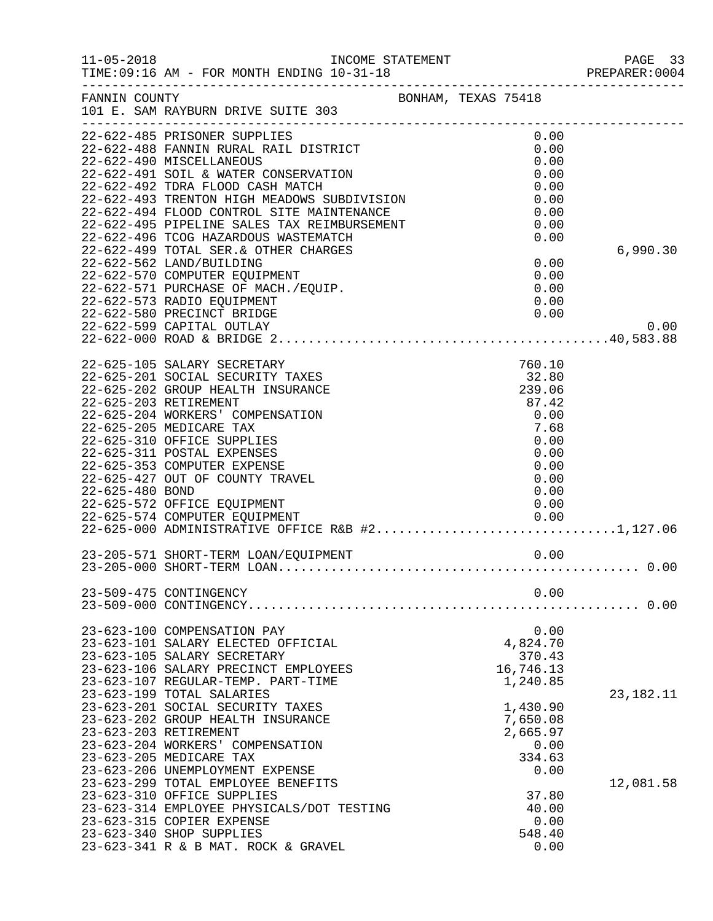| $11 - 05 - 2018$                         | INCOME STATEMENT<br>TIME: 09:16 AM - FOR MONTH ENDING 10-31-18                                                                                                                                                                                                                                                                                                                                                                                                                                               |                                                                                                            | PAGE 33<br>PREPARER:0004 |
|------------------------------------------|--------------------------------------------------------------------------------------------------------------------------------------------------------------------------------------------------------------------------------------------------------------------------------------------------------------------------------------------------------------------------------------------------------------------------------------------------------------------------------------------------------------|------------------------------------------------------------------------------------------------------------|--------------------------|
| FANNIN COUNTY                            | BONHAM, TEXAS 75418<br>101 E. SAM RAYBURN DRIVE SUITE 303                                                                                                                                                                                                                                                                                                                                                                                                                                                    |                                                                                                            |                          |
|                                          | 22-622-485 PRISONER SUPPLIES<br>22-622-488 FANNIN RURAL RAIL DISTRICT<br>22-622-490 MISCELLANEOUS<br>22-622-491 SOIL & WATER CONSERVATION<br>22-622-492 TDRA FLOOD CASH MATCH<br>22-622-493 TRENTON HIGH MEADOWS SUBDIVISION<br>22-622-494 FLOOD CONTROL SITE MAINTENANCE<br>22-622-495 PIPELINE SALES TAX REIMBURSEMENT<br>22-622-496 TCOG HAZARDOUS WASTEMATCH<br>22-622-499 TOTAL SER.& OTHER CHARGES<br>22-622-562 LAND/BUILDING<br>22-622-570 COMPUTER EQUIPMENT<br>22-622-571 PURCHASE OF MACH./EQUIP. | 0.00<br>0.00<br>0.00<br>0.00<br>0.00<br>0.00<br>0.00<br>0.00<br>0.00<br>0.00<br>0.00<br>0.00               | 6,990.30                 |
|                                          | 22-622-573 RADIO EQUIPMENT<br>22-622-580 PRECINCT BRIDGE<br>22-622-599 CAPITAL OUTLAY                                                                                                                                                                                                                                                                                                                                                                                                                        | 0.00<br>0.00                                                                                               | 0.00                     |
| 22-625-203 RETIREMENT<br>22-625-480 BOND | 22-625-105 SALARY SECRETARY<br>22-625-201 SOCIAL SECURITY TAXES<br>22-625-202 GROUP HEALTH INSURANCE<br>22-625-204 WORKERS' COMPENSATION<br>22-625-205 MEDICARE TAX<br>22-625-310 OFFICE SUPPLIES<br>22-625-311 POSTAL EXPENSES<br>22-625-353 COMPUTER EXPENSE<br>22-625-427 OUT OF COUNTY TRAVEL<br>22-625-572 OFFICE EQUIPMENT<br>22-625-574 COMPUTER EQUIPMENT<br>22-625-574 COMPUTER EQUIPMENT                  0.00<br>22-625-000 ADMINISTRATIVE OFFICE R&B #21,127.06                                  | 760.10<br>32.80<br>239.06<br>87.42<br>0.00<br>7.68<br>0.00<br>0.00<br>0.00<br>0.00<br>0.00<br>0.00<br>0.00 |                          |
|                                          |                                                                                                                                                                                                                                                                                                                                                                                                                                                                                                              |                                                                                                            |                          |
|                                          | 23-509-475 CONTINGENCY                                                                                                                                                                                                                                                                                                                                                                                                                                                                                       | 0.00                                                                                                       | . 0.00                   |
| 23-623-203 RETIREMENT                    | 23-623-100 COMPENSATION PAY<br>23-623-101 SALARY ELECTED OFFICIAL<br>23-623-105 SALARY SECRETARY<br>23-623-106 SALARY PRECINCT EMPLOYEES<br>23-623-107 REGULAR-TEMP. PART-TIME<br>23-623-199 TOTAL SALARIES<br>23-623-201 SOCIAL SECURITY TAXES<br>23-623-202 GROUP HEALTH INSURANCE                                                                                                                                                                                                                         | 0.00<br>4,824.70<br>370.43<br>16,746.13<br>1,240.85<br>1,430.90<br>7,650.08<br>2,665.97                    | 23, 182. 11              |
|                                          | 23-623-204 WORKERS' COMPENSATION<br>23-623-205 MEDICARE TAX<br>23-623-206 UNEMPLOYMENT EXPENSE<br>23-623-299 TOTAL EMPLOYEE BENEFITS<br>23-623-310 OFFICE SUPPLIES<br>23-623-314 EMPLOYEE PHYSICALS/DOT TESTING<br>23-623-315 COPIER EXPENSE<br>23-623-340 SHOP SUPPLIES<br>23-623-341 R & B MAT. ROCK & GRAVEL                                                                                                                                                                                              | 0.00<br>334.63<br>0.00<br>37.80<br>40.00<br>0.00<br>548.40<br>0.00                                         | 12,081.58                |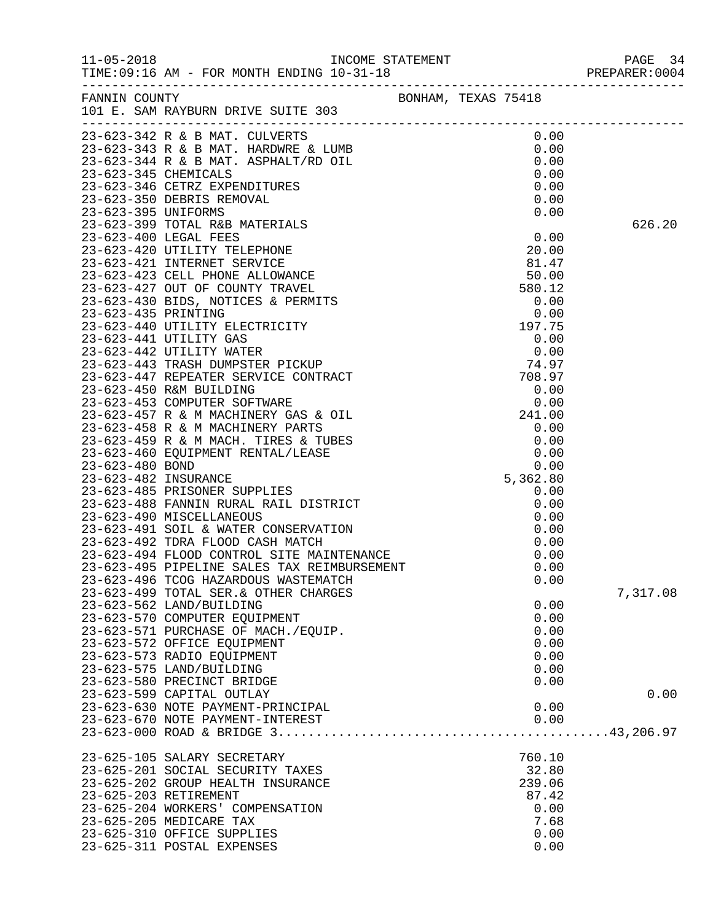|                                                                                                                                                                                                                                                          |  |                                                                    | PREPARER: 0004 |
|----------------------------------------------------------------------------------------------------------------------------------------------------------------------------------------------------------------------------------------------------------|--|--------------------------------------------------------------------|----------------|
| FANNIN COUNTY<br>101 E. SAM RAYBURN DRIVE SUITE 303                                                                                                                                                                                                      |  |                                                                    |                |
|                                                                                                                                                                                                                                                          |  |                                                                    |                |
|                                                                                                                                                                                                                                                          |  |                                                                    | 626.20         |
|                                                                                                                                                                                                                                                          |  |                                                                    |                |
|                                                                                                                                                                                                                                                          |  |                                                                    |                |
| 23-623-491 SOIL & WATER CONSERVATION<br>23-623-492 TDRA FLOOD CASH MATCH<br>23-623-494 FLOOD CONTROL SITE MAINTENANCE<br>23-623-495 PIPELINE SALES TAX REIMBURSEMENT                                                                                     |  | 0.00                                                               |                |
| 23-623-496 TCOG HAZARDOUS WASTEMATCH<br>23-623-499 TOTAL SER. & OTHER CHARGES<br>23-623-562 LAND/BUILDING<br>23-623-570 COMPUTER EQUIPMENT<br>23-623-571 PURCHASE OF MACH./EQUIP.<br>23-623-572 OFFICE EQUIPMENT<br>23-623-573 RADIO EQUIPMENT           |  | 0.00<br>0.00<br>0.00<br>0.00<br>0.00<br>0.00<br>0.00               | 7,317.08       |
| 23-623-575 LAND/BUILDING<br>23-623-580 PRECINCT BRIDGE<br>23-623-599 CAPITAL OUTLAY<br>23-623-630 NOTE PAYMENT-PRINCIPAL<br>23-623-670 NOTE PAYMENT-INTEREST                                                                                             |  | 0.00<br>0.00<br>0.00<br>0.00                                       | 0.00           |
| 23-625-105 SALARY SECRETARY<br>23-625-201 SOCIAL SECURITY TAXES<br>23-625-202 GROUP HEALTH INSURANCE<br>23-625-203 RETIREMENT<br>23-625-204 WORKERS' COMPENSATION<br>23-625-205 MEDICARE TAX<br>23-625-310 OFFICE SUPPLIES<br>23-625-311 POSTAL EXPENSES |  | 760.10<br>32.80<br>239.06<br>87.42<br>0.00<br>7.68<br>0.00<br>0.00 |                |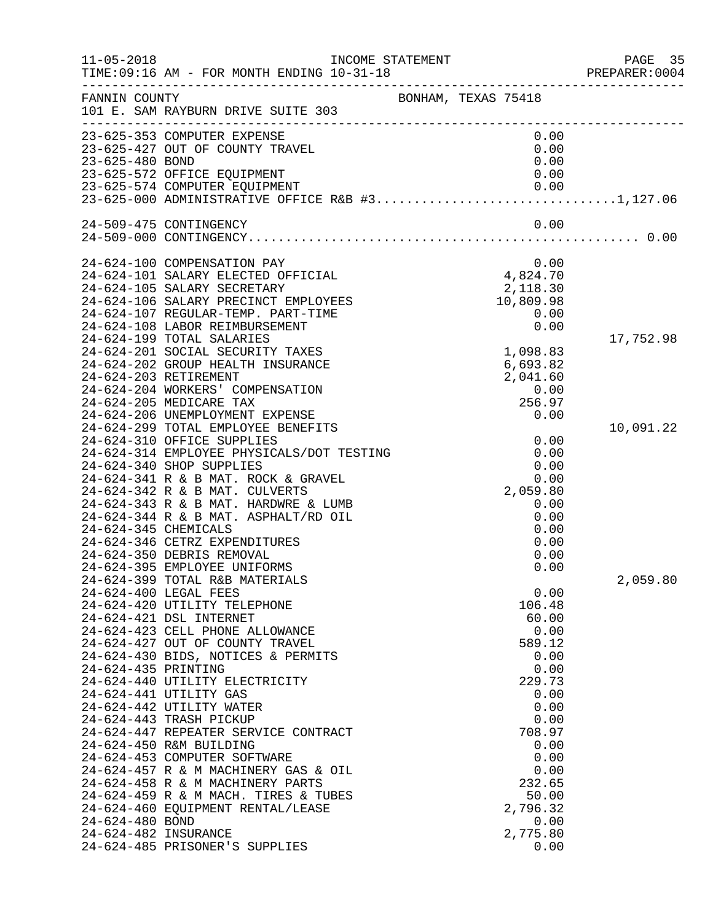| $11 - 05 - 2018$                                               | INCOME STATEMENT                                                                                                                                                                                                                                                                                                                                                                                                                                                                                                                                                                                                                                                                |                                                                                                                                                                                                  | PAGE 35<br>PREPARER:0004 |
|----------------------------------------------------------------|---------------------------------------------------------------------------------------------------------------------------------------------------------------------------------------------------------------------------------------------------------------------------------------------------------------------------------------------------------------------------------------------------------------------------------------------------------------------------------------------------------------------------------------------------------------------------------------------------------------------------------------------------------------------------------|--------------------------------------------------------------------------------------------------------------------------------------------------------------------------------------------------|--------------------------|
| FANNIN COUNTY                                                  | 101 E. SAM RAYBURN DRIVE SUITE 303                                                                                                                                                                                                                                                                                                                                                                                                                                                                                                                                                                                                                                              | BONHAM, TEXAS 75418                                                                                                                                                                              |                          |
| 23-625-480 BOND                                                | 23-625-353 COMPUTER EXPENSE<br>23-625-427 OUT OF COUNTY TRAVEL<br>23-625-572 OFFICE EQUIPMENT                                                                                                                                                                                                                                                                                                                                                                                                                                                                                                                                                                                   | 0.00<br>0.00<br>0.00<br>0.00                                                                                                                                                                     |                          |
|                                                                | 24-509-475 CONTINGENCY                                                                                                                                                                                                                                                                                                                                                                                                                                                                                                                                                                                                                                                          | 0.00                                                                                                                                                                                             |                          |
|                                                                | 24-624-100 COMPENSATION PAY<br>24-624-101 SALARY ELECTED OFFICIAL<br>24-624-105 SALARY SECRETARY<br>24-624-106 SALARY PRECINCT EMPLOYEES<br>24-624-107 REGULAR-TEMP. PART-TIME<br>24-624-108 LABOR REIMBURSEMENT                                                                                                                                                                                                                                                                                                                                                                                                                                                                | 0.00<br>0.00<br>4,824.70<br>2,118.30<br>10,809.98<br>0.00<br>0.00                                                                                                                                |                          |
|                                                                | 24-624-199 TOTAL SALARIES<br>24-624-201 SOCIAL SECURITY TAXES<br>24-624-202 GROUP HEALTH INSURANCE<br>24-624-203 RETIREMENT<br>24-624-204 WORKERS' COMPENSATION<br>24-624-205 MEDICARE TAX<br>24-624-206 UNEMPLOYMENT EXPENSE                                                                                                                                                                                                                                                                                                                                                                                                                                                   | 1,098.83<br>6,693.82<br>2,041.60<br>0.00<br>256.97<br>0.00                                                                                                                                       | 17,752.98                |
| 24-624-345 CHEMICALS                                           | 24-624-299 TOTAL EMPLOYEE BENEFITS<br>24-624-310 OFFICE SUPPLIES<br>24-624-314 EMPLOYEE PHYSICALS/DOT TESTING<br>24-624-340 SHOP SUPPLIES<br>24-624-341 R & B MAT. ROCK & GRAVEL<br>24-624-342 R & B MAT. CULVERTS<br>24-624-343 R & B MAT. HARDWRE & LUMB<br>24-624-344 R & B MAT. ASPHALT/RD OIL<br>24-624-346 CETRZ EXPENDITURES<br>24-624-350 DEBRIS REMOVAL                                                                                                                                                                                                                                                                                                                | 0.00<br>0.00<br>0.00<br>0.00<br>2,059.80<br>0.00<br>0.00<br>0.00<br>0.00<br>0.00                                                                                                                 | 10,091.22                |
| 24-624-435 PRINTING<br>24-624-480 BOND<br>24-624-482 INSURANCE | 24-624-395 EMPLOYEE UNIFORMS<br>24-624-399 TOTAL R&B MATERIALS<br>24-624-400 LEGAL FEES<br>24-624-420 UTILITY TELEPHONE<br>24-624-421 DSL INTERNET<br>24-624-423 CELL PHONE ALLOWANCE<br>24-624-427 OUT OF COUNTY TRAVEL<br>24-624-430 BIDS, NOTICES & PERMITS<br>24-624-440 UTILITY ELECTRICITY<br>24-624-441 UTILITY GAS<br>24-624-442 UTILITY WATER<br>24-624-443 TRASH PICKUP<br>24-624-447 REPEATER SERVICE CONTRACT<br>24-624-450 R&M BUILDING<br>24-624-453 COMPUTER SOFTWARE<br>24-624-457 R & M MACHINERY GAS & OIL<br>24-624-458 R & M MACHINERY PARTS<br>24-624-459 R & M MACH. TIRES & TUBES<br>24-624-460 EQUIPMENT RENTAL/LEASE<br>24-624-485 PRISONER'S SUPPLIES | 0.00<br>0.00<br>106.48<br>60.00<br>0.00<br>589.12<br>0.00<br>0.00<br>229.73<br>0.00<br>0.00<br>0.00<br>708.97<br>0.00<br>0.00<br>0.00<br>232.65<br>50.00<br>2,796.32<br>0.00<br>2,775.80<br>0.00 | 2,059.80                 |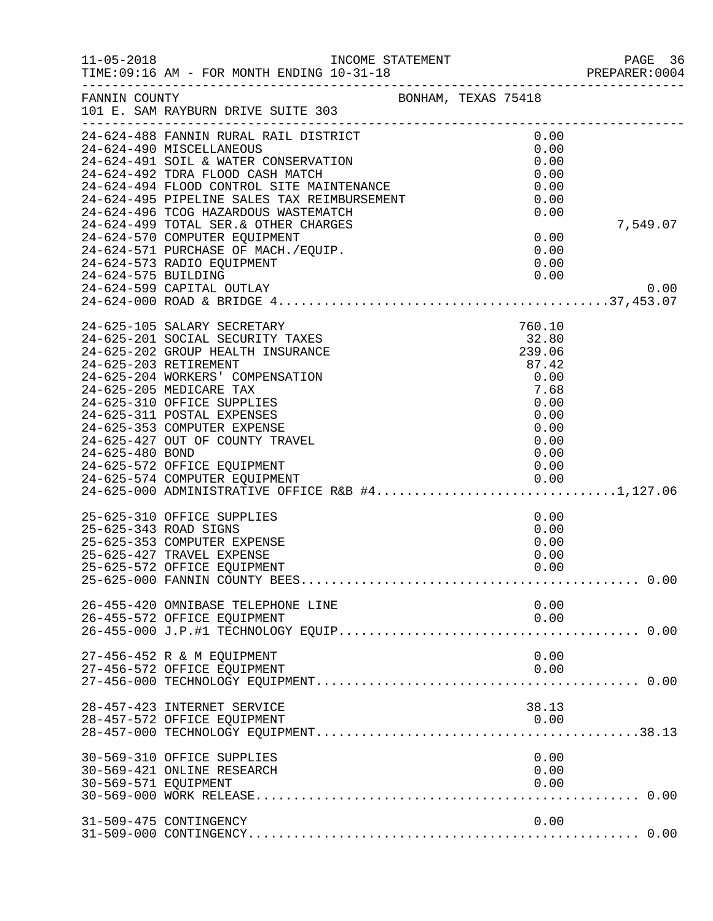| $11 - 05 - 2018$     | TIME: 09:16 AM - FOR MONTH ENDING 10-31-18                                                                                                                                                                                                                                                                                                                                                                                                                                                                                                |                     |                                                                                                    | PAGE 30<br>PREPARER:0004<br>--- |
|----------------------|-------------------------------------------------------------------------------------------------------------------------------------------------------------------------------------------------------------------------------------------------------------------------------------------------------------------------------------------------------------------------------------------------------------------------------------------------------------------------------------------------------------------------------------------|---------------------|----------------------------------------------------------------------------------------------------|---------------------------------|
| FANNIN COUNTY        | 101 E. SAM RAYBURN DRIVE SUITE 303<br>----------------------                                                                                                                                                                                                                                                                                                                                                                                                                                                                              | BONHAM, TEXAS 75418 |                                                                                                    |                                 |
| 24-624-575 BUILDING  | 24-624-488 FANNIN RURAL RAIL DISTRICT<br>24-624-490 MISCELLANEOUS<br>24-624-491 SOIL & WATER CONSERVATION<br>24-624-492 TDRA FLOOD CASH MATCH<br>24-624-492 TDRA FLOOD CASH MATCH<br>24-624-494 FLOOD CONTROL SITE MAINTENANCE<br>24-624-495 PIPELINE SALES TAX REIMBURSEMENT<br>24-624-496 TCOG HAZARDOUS WASTEMATCH<br>24-624-496 TCOG HAZARDOUS WASTEMATCH<br>24-624-499 TOTAL SER. & OTHER CHARGES<br>24-624-570 COMPUTER EQUIPMENT<br>24-624-571 PURCHASE OF MACH./EQUIP.<br>24-624-573 RADIO EQUIPMENT<br>24-624-599 CAPITAL OUTLAY |                     | 0.00<br>0.00<br>0.00<br>0.00<br>0.00<br>0.00<br>0.00<br>0.00<br>0.00<br>0.00<br>0.00               | 7,549.07<br>0.00                |
| 24-625-480 BOND      | 24-625-105 SALARY SECRETARY<br>24-625-201 SOCIAL SECURITY TAXES<br>24-625-202 GROUP HEALTH INSURANCE<br>24-625-203 RETIREMENT<br>24-625-204 WORKERS' COMPENSATION<br>24-625-205 MEDICARE TAX<br>24-625-310 OFFICE SUPPLIES<br>24-625-311 POSTAL EXPENSES<br>24-625-353 COMPUTER EXPENSE<br>24-625-427 OUT OF COUNTY TRAVEL<br>24-625-572 OFFICE EQUIPMENT<br>24-625-574 COMPUTER EQUIPMENT<br>24-625-000 ADMINISTRATIVE OFFICE R&B #41,127.06                                                                                             |                     | 760.10<br>32.80<br>239.06<br>87.42<br>0.00<br>7.68<br>0.00<br>0.00<br>0.00<br>0.00<br>0.00<br>0.00 |                                 |
|                      | 25-625-310 OFFICE SUPPLIES<br>25-625-343 ROAD SIGNS<br>25-625-353 COMPUTER EXPENSE<br>25-625-427 TRAVEL EXPENSE<br>25-625-572 OFFICE EQUIPMENT                                                                                                                                                                                                                                                                                                                                                                                            |                     | 0.00<br>0.00<br>0.00<br>0.00<br>0.00                                                               |                                 |
|                      | 26-455-420 OMNIBASE TELEPHONE LINE<br>26-455-572 OFFICE EQUIPMENT                                                                                                                                                                                                                                                                                                                                                                                                                                                                         |                     | 0.00<br>0.00                                                                                       |                                 |
|                      | 27-456-452 R & M EQUIPMENT<br>27-456-572 OFFICE EQUIPMENT                                                                                                                                                                                                                                                                                                                                                                                                                                                                                 |                     | 0.00<br>0.00                                                                                       |                                 |
|                      | 28-457-423 INTERNET SERVICE<br>28-457-572 OFFICE EQUIPMENT                                                                                                                                                                                                                                                                                                                                                                                                                                                                                |                     | 38.13<br>0.00                                                                                      |                                 |
| 30-569-571 EQUIPMENT | 30-569-310 OFFICE SUPPLIES<br>30-569-421 ONLINE RESEARCH                                                                                                                                                                                                                                                                                                                                                                                                                                                                                  |                     | 0.00<br>0.00<br>0.00                                                                               |                                 |
|                      | 31-509-475 CONTINGENCY                                                                                                                                                                                                                                                                                                                                                                                                                                                                                                                    |                     | 0.00                                                                                               |                                 |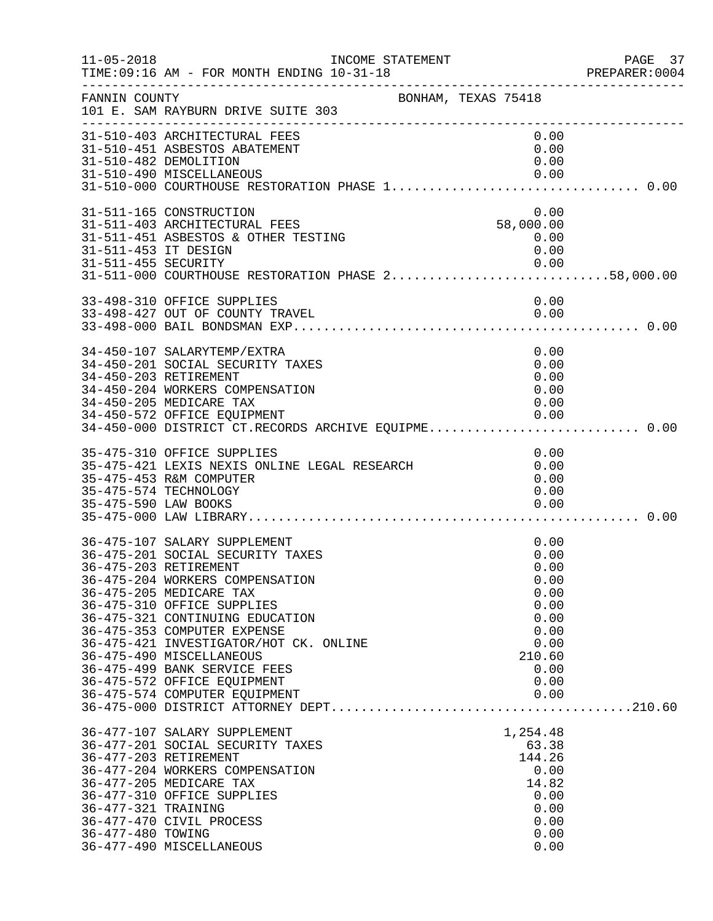| $11 - 05 - 2018$                            | INCOME STATEMENT<br>TIME: 09:16 AM - FOR MONTH ENDING 10-31-18                                                                                                                                                                                                                                                                                                                                                                |                                                                                                        | PAGE 37<br>PREPARER: 0004 |
|---------------------------------------------|-------------------------------------------------------------------------------------------------------------------------------------------------------------------------------------------------------------------------------------------------------------------------------------------------------------------------------------------------------------------------------------------------------------------------------|--------------------------------------------------------------------------------------------------------|---------------------------|
| FANNIN COUNTY                               | BONHAM, TEXAS 75418<br>101 E. SAM RAYBURN DRIVE SUITE 303                                                                                                                                                                                                                                                                                                                                                                     |                                                                                                        |                           |
|                                             | 31-510-403 ARCHITECTURAL FEES<br>31-510-451 ASBESTOS ABATEMENT<br>31-510-482 DEMOLITION<br>31-510-490 MISCELLANEOUS                                                                                                                                                                                                                                                                                                           | 0.00<br>0.00<br>0.00<br>0.00                                                                           |                           |
| 31-511-453 IT DESIGN<br>31-511-455 SECURITY | 31-511-165 CONSTRUCTION<br>31-511-403 ARCHITECTURAL FEES<br>31-511-451 ASBESTOS & OTHER TESTING<br>0.00 0.00<br>31-511-000 COURTHOUSE RESTORATION PHASE 258,000.00                                                                                                                                                                                                                                                            | 0.00<br>58,000.00<br>0.00<br>0.00<br>0.00                                                              |                           |
|                                             | 33-498-310 OFFICE SUPPLIES<br>33-498-427 OUT OF COUNTY TRAVEL                                                                                                                                                                                                                                                                                                                                                                 | 0.00<br>0.00                                                                                           |                           |
|                                             | 34-450-107 SALARYTEMP/EXTRA<br>34-450-201 SOCIAL SECURITY TAXES<br>34-450-203 RETIREMENT<br>34-450-204 WORKERS COMPENSATION<br>34-450-205 MEDICARE TAX<br>34-450-572 OFFICE EQUIPMENT<br>34-450-572 OFFICE EQUIPMENT 0.00<br>34-450-000 DISTRICT CT.RECORDS ARCHIVE EQUIPME0.00                                                                                                                                               | 0.00<br>0.00<br>0.00<br>0.00<br>0.00<br>0.00                                                           |                           |
| 35-475-590 LAW BOOKS                        | 35-475-310 OFFICE SUPPLIES<br>35-475-421 LEXIS NEXIS ONLINE LEGAL RESEARCH<br>35-475-453 R&M COMPUTER<br>35-475-574 TECHNOLOGY                                                                                                                                                                                                                                                                                                | 0.00<br>0.00<br>0.00<br>0.00<br>0.00                                                                   |                           |
|                                             | 36-475-107 SALARY SUPPLEMENT<br>36-475-201 SOCIAL SECURITY TAXES<br>36-475-203 RETIREMENT<br>36-475-204 WORKERS COMPENSATION<br>36-475-205 MEDICARE TAX<br>36-475-310 OFFICE SUPPLIES<br>36-475-321 CONTINUING EDUCATION<br>36-475-353 COMPUTER EXPENSE<br>36-475-421 INVESTIGATOR/HOT CK. ONLINE<br>36-475-490 MISCELLANEOUS<br>36-475-499 BANK SERVICE FEES<br>36-475-572 OFFICE EQUIPMENT<br>36-475-574 COMPUTER EQUIPMENT | 0.00<br>0.00<br>0.00<br>0.00<br>0.00<br>0.00<br>0.00<br>0.00<br>0.00<br>210.60<br>0.00<br>0.00<br>0.00 |                           |
| 36-477-321 TRAINING<br>36-477-480 TOWING    | 36-477-107 SALARY SUPPLEMENT<br>36-477-201 SOCIAL SECURITY TAXES<br>36-477-203 RETIREMENT<br>36-477-204 WORKERS COMPENSATION<br>36-477-205 MEDICARE TAX<br>36-477-310 OFFICE SUPPLIES<br>36-477-470 CIVIL PROCESS<br>36-477-490 MISCELLANEOUS                                                                                                                                                                                 | 1,254.48<br>63.38<br>144.26<br>0.00<br>14.82<br>0.00<br>0.00<br>0.00<br>0.00<br>0.00                   |                           |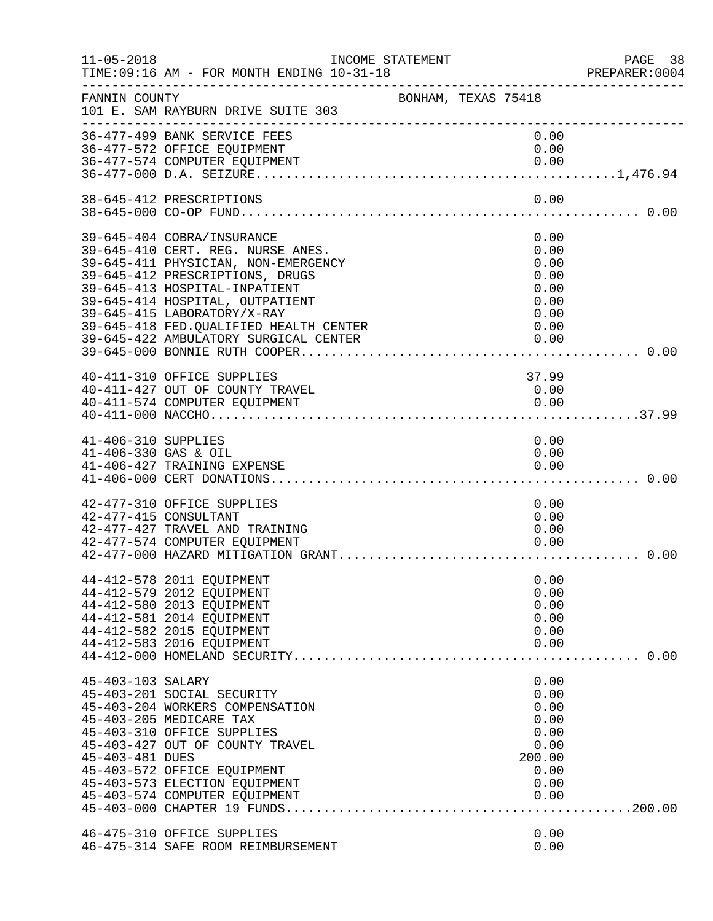| $11 - 05 - 2018$                            | TIME: 09:16 AM - FOR MONTH ENDING 10-31-18<br>____________________________                                                                                                                                                                                                                                                       | INCOME STATEMENT    |  |                                                                                | PAGE 38<br>PREPARER:0004    |
|---------------------------------------------|----------------------------------------------------------------------------------------------------------------------------------------------------------------------------------------------------------------------------------------------------------------------------------------------------------------------------------|---------------------|--|--------------------------------------------------------------------------------|-----------------------------|
| FANNIN COUNTY                               | 101 E. SAM RAYBURN DRIVE SUITE 303                                                                                                                                                                                                                                                                                               | BONHAM, TEXAS 75418 |  |                                                                                |                             |
|                                             | 36-477-499 BANK SERVICE FEES<br>36-477-572 OFFICE EQUIPMENT<br>36-477-574 COMPUTER EQUIPMENT                                                                                                                                                                                                                                     |                     |  | 0.00<br>0.00<br>0.00                                                           |                             |
|                                             | 38-645-412 PRESCRIPTIONS                                                                                                                                                                                                                                                                                                         |                     |  | 0.00                                                                           |                             |
|                                             | 39-645-404 COBRA/INSURANCE<br>39-645-410 CERT. REG. NURSE ANES.<br>39-645-411 PHYSICIAN, NON-EMERGENCY<br>39-645-412 PRESCRIPTIONS, DRUGS<br>39-645-413 HOSPITAL-INPATIENT<br>39-645-414 HOSPITAL, OUTPATIENT<br>39-645-415 LABORATORY/X-RAY<br>39-645-418 FED. QUALIFIED HEALTH CENTER<br>39-645-422 AMBULATORY SURGICAL CENTER |                     |  | 0.00<br>0.00<br>0.00<br>0.00<br>0.00<br>0.00<br>0.00<br>0.00<br>0.00           |                             |
|                                             | 40-411-310 OFFICE SUPPLIES<br>40-411-427 OUT OF COUNTY TRAVEL<br>40-411-574 COMPUTER EQUIPMENT                                                                                                                                                                                                                                   |                     |  | 37.99<br>0.00<br>0.00                                                          |                             |
| 41-406-310 SUPPLIES<br>41-406-330 GAS & OIL | 41-406-427 TRAINING EXPENSE                                                                                                                                                                                                                                                                                                      |                     |  | 0.00<br>0.00<br>0.00                                                           |                             |
|                                             | 42-477-310 OFFICE SUPPLIES<br>42-477-415 CONSULTANT<br>42-477-427 TRAVEL AND TRAINING<br>42-477-574 COMPUTER EQUIPMENT                                                                                                                                                                                                           |                     |  | 0.00<br>0.00<br>0.00<br>0.00                                                   |                             |
|                                             | 44-412-578 2011 EQUIPMENT<br>44-412-579 2012 EQUIPMENT<br>44-412-580 2013 EQUIPMENT<br>44-412-581 2014 EQUIPMENT<br>44-412-582 2015 EQUIPMENT<br>44-412-583 2016 EQUIPMENT                                                                                                                                                       |                     |  | 0.00<br>0.00<br>0.00<br>0.00<br>0.00<br>0.00                                   | $\ldots \ldots \ldots 0.00$ |
| 45-403-103 SALARY<br>45-403-481 DUES        | 45-403-201 SOCIAL SECURITY<br>45-403-204 WORKERS COMPENSATION<br>45-403-205 MEDICARE TAX<br>45-403-310 OFFICE SUPPLIES<br>45-403-427 OUT OF COUNTY TRAVEL<br>45-403-572 OFFICE EQUIPMENT<br>45-403-573 ELECTION EQUIPMENT<br>45-403-574 COMPUTER EQUIPMENT                                                                       |                     |  | 0.00<br>0.00<br>0.00<br>0.00<br>0.00<br>0.00<br>200.00<br>0.00<br>0.00<br>0.00 |                             |
|                                             | 46-475-310 OFFICE SUPPLIES<br>46-475-314 SAFE ROOM REIMBURSEMENT                                                                                                                                                                                                                                                                 |                     |  | 0.00<br>0.00                                                                   |                             |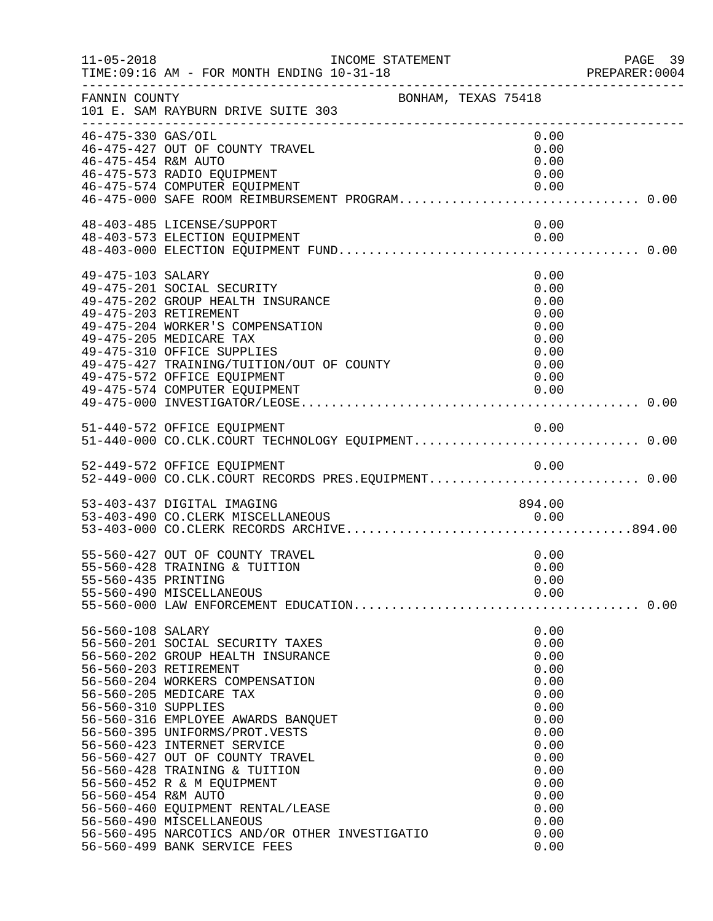| $11 - 05 - 2018$                                                | INCOME STATEMENT<br>TIME: 09:16 AM - FOR MONTH ENDING 10-31-18                                                                                                                                                                                                                                                                                                                                                                                                                                                           |                                                                                                                                              | PAGE 39<br>PREPARER:0004 |
|-----------------------------------------------------------------|--------------------------------------------------------------------------------------------------------------------------------------------------------------------------------------------------------------------------------------------------------------------------------------------------------------------------------------------------------------------------------------------------------------------------------------------------------------------------------------------------------------------------|----------------------------------------------------------------------------------------------------------------------------------------------|--------------------------|
| FANNIN COUNTY                                                   | BONHAM, TEXAS 75418<br>101 E. SAM RAYBURN DRIVE SUITE 303                                                                                                                                                                                                                                                                                                                                                                                                                                                                |                                                                                                                                              |                          |
| 46-475-330 GAS/OIL<br>46-475-454 R&M AUTO                       | 46-475-427 OUT OF COUNTY TRAVEL<br>46-475-573 RADIO EQUIPMENT<br>46-475-574 COMPUTER EQUIPMENT<br>46-475-574 COMPUTER EQUIPMENT<br>46-475-000 SAFE ROOM REIMBURSEMENT PROGRAM0.00                                                                                                                                                                                                                                                                                                                                        | 0.00<br>0.00<br>0.00<br>0.00<br>0.00                                                                                                         |                          |
|                                                                 | 48-403-485 LICENSE/SUPPORT<br>48-403-573 ELECTION EQUIPMENT                                                                                                                                                                                                                                                                                                                                                                                                                                                              | 0.00<br>0.00                                                                                                                                 |                          |
| 49-475-103 SALARY                                               | 49-475-201 SOCIAL SECURITY<br>49-475-202 GROUP HEALTH INSURANCE<br>49-475-203 RETIREMENT<br>49-475-204 WORKER'S COMPENSATION<br>49-475-205 MEDICARE TAX<br>49-475-310 OFFICE SUPPLIES<br>49-475-427 TRAINING/TUITION/OUT OF COUNTY<br>49-475-572 OFFICE FOULDMENT<br>49-475-572 OFFICE EQUIPMENT<br>49-475-574 COMPUTER EQUIPMENT                                                                                                                                                                                        | 0.00<br>0.00<br>0.00<br>0.00<br>0.00<br>0.00<br>0.00<br>0.00<br>0.00<br>0.00                                                                 |                          |
|                                                                 | 51-440-572 OFFICE EQUIPMENT                                                                                                                                                                                                                                                                                                                                                                                                                                                                                              | 0.00                                                                                                                                         |                          |
|                                                                 | 52-449-572 OFFICE EQUIPMENT<br>52-449-000 CO.CLK.COURT RECORDS PRES.EQUIPMENT 0.00                                                                                                                                                                                                                                                                                                                                                                                                                                       |                                                                                                                                              |                          |
|                                                                 | 53-403-437 DIGITAL IMAGING                                                                                                                                                                                                                                                                                                                                                                                                                                                                                               | 894.00                                                                                                                                       |                          |
| 55-560-435 PRINTING                                             | 55-560-427 OUT OF COUNTY TRAVEL<br>55-560-428 TRAINING & TUITION<br>55-560-490 MISCELLANEOUS                                                                                                                                                                                                                                                                                                                                                                                                                             | 0.00<br>0.00<br>0.00<br>0.00                                                                                                                 |                          |
| 56-560-108 SALARY<br>56-560-310 SUPPLIES<br>56-560-454 R&M AUTO | 56-560-201 SOCIAL SECURITY TAXES<br>56-560-202 GROUP HEALTH INSURANCE<br>56-560-203 RETIREMENT<br>56-560-204 WORKERS COMPENSATION<br>56-560-205 MEDICARE TAX<br>56-560-316 EMPLOYEE AWARDS BANQUET<br>56-560-395 UNIFORMS/PROT.VESTS<br>56-560-423 INTERNET SERVICE<br>56-560-427 OUT OF COUNTY TRAVEL<br>56-560-428 TRAINING & TUITION<br>56-560-452 R & M EQUIPMENT<br>56-560-460 EQUIPMENT RENTAL/LEASE<br>56-560-490 MISCELLANEOUS<br>56-560-495 NARCOTICS AND/OR OTHER INVESTIGATIO<br>56-560-499 BANK SERVICE FEES | 0.00<br>0.00<br>0.00<br>0.00<br>0.00<br>0.00<br>0.00<br>0.00<br>0.00<br>0.00<br>0.00<br>0.00<br>0.00<br>0.00<br>0.00<br>0.00<br>0.00<br>0.00 |                          |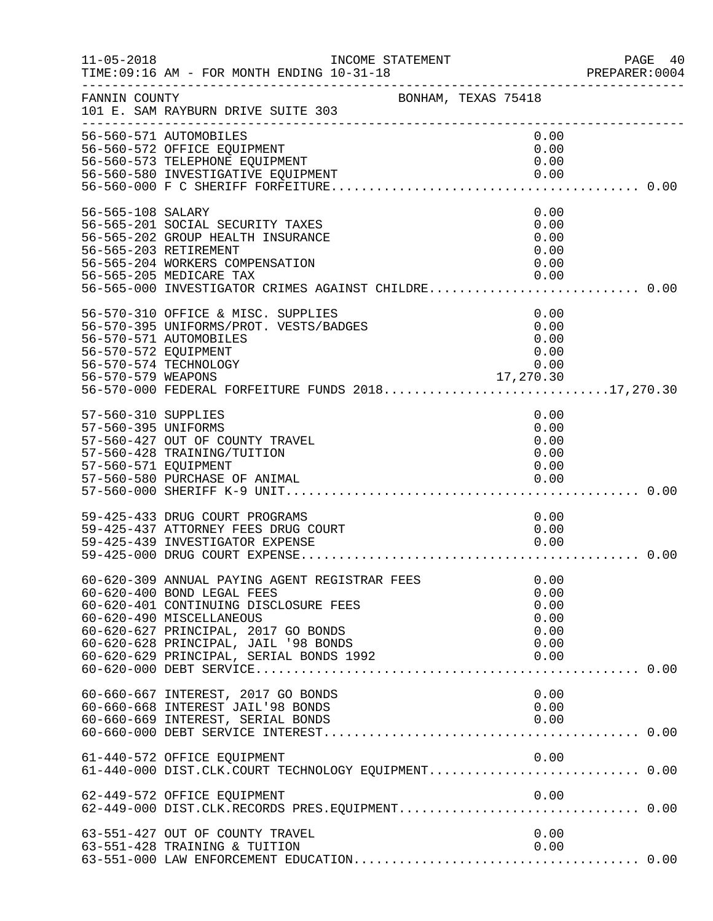| $11 - 05 - 2018$                                                   | INCOME STATEMENT<br>TIME: 09:16 AM - FOR MONTH ENDING 10-31-18                                                                                                                                                                                                             |                                                      | PAGE 40<br>PREPARER: 0004 |
|--------------------------------------------------------------------|----------------------------------------------------------------------------------------------------------------------------------------------------------------------------------------------------------------------------------------------------------------------------|------------------------------------------------------|---------------------------|
| FANNIN COUNTY                                                      | BONHAM, TEXAS 75418<br>101 E. SAM RAYBURN DRIVE SUITE 303                                                                                                                                                                                                                  |                                                      |                           |
|                                                                    | 56-560-571 AUTOMOBILES<br>56-560-572 OFFICE EQUIPMENT<br>56-560-573 TELEPHONE EQUIPMENT<br>56-560-580 INVESTIGATIVE EQUIPMENT                                                                                                                                              | 0.00<br>0.00<br>0.00<br>0.00                         |                           |
| 56-565-108 SALARY                                                  | 56-565-201 SOCIAL SECURITY TAXES<br>56-565-202 GROUP HEALTH INSURANCE<br>56-565-203 RETIREMENT<br>56-565-204 WORKERS COMPENSATION<br>56-565-205 MEDICARE TAX<br>56-565-205 MEDICARE TAX 0.00<br>56-565-000 INVESTIGATOR CRIMES AGAINST CHILDRE0.00                         | 0.00<br>0.00<br>0.00<br>0.00<br>0.00<br>0.00         |                           |
| 56-570-572 EQUIPMENT<br>56-570-579 WEAPONS                         | 56-570-310 OFFICE & MISC. SUPPLIES<br>56-570-395 UNIFORMS/PROT. VESTS/BADGES<br>56-570-571 AUTOMOBILES<br>56-570-574 TECHNOLOGY<br>56-570-000 FEDERAL FORFEITURE FUNDS 201817,270.30                                                                                       | 0.00<br>0.00<br>0.00<br>0.00<br>0.00<br>17,270.30    |                           |
| 57-560-310 SUPPLIES<br>57-560-395 UNIFORMS<br>57-560-571 EQUIPMENT | 57-560-427 OUT OF COUNTY TRAVEL<br>57-560-428 TRAINING/TUITION<br>57-560-580 PURCHASE OF ANIMAL                                                                                                                                                                            | 0.00<br>0.00<br>0.00<br>0.00<br>0.00<br>0.00         |                           |
|                                                                    | 59-425-433 DRUG COURT PROGRAMS<br>59-425-437 ATTORNEY FEES DRUG COURT<br>59-425-439 INVESTIGATOR EXPENSE                                                                                                                                                                   | 0.00<br>0.00<br>0.00                                 |                           |
|                                                                    | 60-620-309 ANNUAL PAYING AGENT REGISTRAR FEES<br>60-620-400 BOND LEGAL FEES<br>60-620-401 CONTINUING DISCLOSURE FEES<br>60-620-490 MISCELLANEOUS<br>60-620-627 PRINCIPAL, 2017 GO BONDS<br>60-620-628 PRINCIPAL, JAIL '98 BONDS<br>60-620-629 PRINCIPAL, SERIAL BONDS 1992 | 0.00<br>0.00<br>0.00<br>0.00<br>0.00<br>0.00<br>0.00 |                           |
|                                                                    | 60-660-667 INTEREST, 2017 GO BONDS<br>60-660-668 INTEREST JAIL'98 BONDS<br>60-660-669 INTEREST, SERIAL BONDS<br>60-660-000 PEREST, SERIAL BONDS                                                                                                                            | 0.00<br>0.00<br>0.00                                 |                           |
|                                                                    | 61-440-572 OFFICE EQUIPMENT<br>61-440-000 DIST.CLK.COURT TECHNOLOGY EQUIPMENT 0.00                                                                                                                                                                                         | 0.00                                                 |                           |
|                                                                    | 62-449-572 OFFICE EQUIPMENT                                                                                                                                                                                                                                                | 0.00                                                 |                           |
|                                                                    | 63-551-427 OUT OF COUNTY TRAVEL<br>63-551-428 TRAINING & TUITION                                                                                                                                                                                                           | 0.00<br>0.00                                         |                           |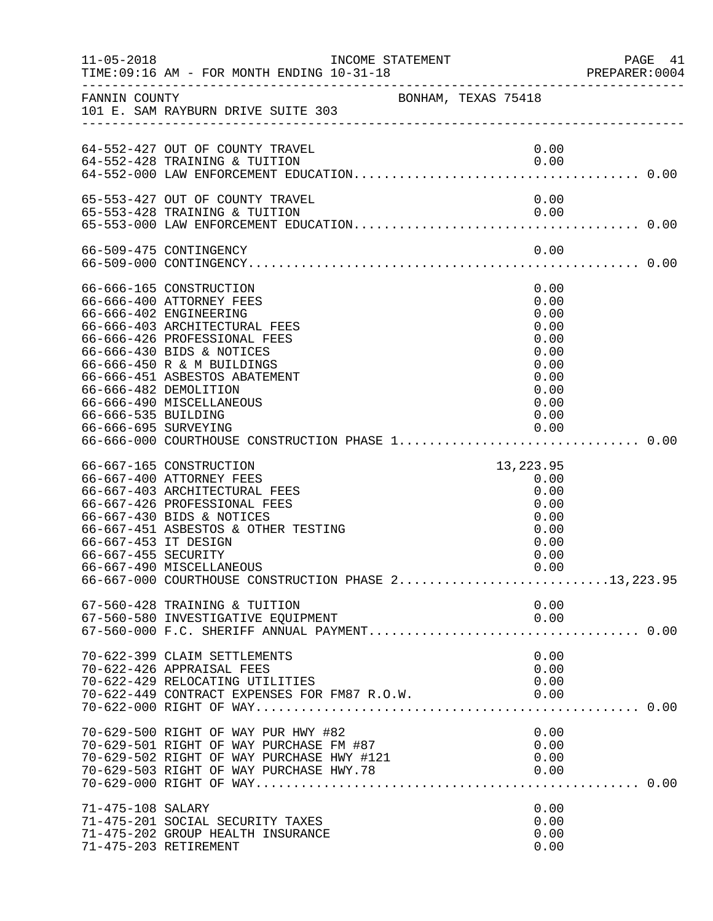| $11 - 05 - 2018$                            |                                                                                                                                                                                                                                                                                                                                                    | INCOME STATEMENT    |                                                                                              | PAGE 41<br>PREPARER: 0004 |
|---------------------------------------------|----------------------------------------------------------------------------------------------------------------------------------------------------------------------------------------------------------------------------------------------------------------------------------------------------------------------------------------------------|---------------------|----------------------------------------------------------------------------------------------|---------------------------|
|                                             | FANNIN COUNTY<br>101 E. SAM RAYBURN DRIVE SUITE 303                                                                                                                                                                                                                                                                                                | BONHAM, TEXAS 75418 |                                                                                              |                           |
|                                             | 64-552-427 OUT OF COUNTY TRAVEL<br>64-552-428 TRAINING & TUITION                                                                                                                                                                                                                                                                                   |                     | 0.00<br>0.00                                                                                 |                           |
|                                             | 65-553-427 OUT OF COUNTY TRAVEL<br>65-553-428 TRAINING & TUITION                                                                                                                                                                                                                                                                                   |                     | 0.00<br>0.00                                                                                 |                           |
|                                             | 66-509-475 CONTINGENCY                                                                                                                                                                                                                                                                                                                             |                     | 0.00                                                                                         |                           |
| 66-666-535 BUILDING<br>66-666-695 SURVEYING | 66-666-165 CONSTRUCTION<br>66-666-400 ATTORNEY FEES<br>66-666-402 ENGINEERING<br>66-666-403 ARCHITECTURAL FEES<br>66-666-426 PROFESSIONAL FEES<br>66-666-430 BIDS & NOTICES<br>66-666-450 R & M BUILDINGS<br>66-666-451 ASBESTOS ABATEMENT<br>66-666-482 DEMOLITION<br>66-666-490 MISCELLANEOUS<br>66-666-000 COURTHOUSE CONSTRUCTION PHASE 1 0.00 |                     | 0.00<br>0.00<br>0.00<br>0.00<br>0.00<br>0.00<br>0.00<br>0.00<br>0.00<br>0.00<br>0.00<br>0.00 |                           |
| 66-667-453 IT DESIGN<br>66-667-455 SECURITY | 66-667-165 CONSTRUCTION<br>66-667-400 ATTORNEY FEES<br>66-667-403 ARCHITECTURAL FEES<br>66-667-426 PROFESSIONAL FEES<br>66-667-430 BIDS & NOTICES<br>66-667-451 ASBESTOS & OTHER TESTING<br>66-667-490 MISCELLANEOUS<br>$66-667-000$ COURTHOUSE CONSTRUCTION PHASE $2.\dots\dots\dots\dots\dots\dots\dots\dots13$ , 223.95                         |                     | 13, 223.95<br>0.00<br>0.00<br>0.00<br>0.00<br>0.00<br>0.00<br>0.00<br>0.00                   |                           |
|                                             | 67-560-428 TRAINING & TUITION<br>67-560-580 INVESTIGATIVE EQUIPMENT                                                                                                                                                                                                                                                                                |                     | 0.00<br>0.00                                                                                 |                           |
|                                             | 70-622-399 CLAIM SETTLEMENTS<br>70-622-426 APPRAISAL FEES<br>70-622-429 RELOCATING UTILITIES<br>70-622-449 CONTRACT EXPENSES FOR FM87 R.O.W.                                                                                                                                                                                                       |                     | 0.00<br>0.00<br>0.00<br>0.00                                                                 |                           |
|                                             | 70-629-500 RIGHT OF WAY PUR HWY #82<br>70-022 300 MISSING OF WAY PURCHASE FM #87<br>70-629-502 RIGHT OF WAY PURCHASE HWY #121<br>70-629-503 RIGHT OF WAY PURCHASE HWY 78                                                                                                                                                                           |                     | 0.00<br>0.00<br>0.00<br>0.00                                                                 |                           |
| 71-475-108 SALARY                           | 71-475-201 SOCIAL SECURITY TAXES<br>71-475-202 GROUP HEALTH INSURANCE<br>71-475-203 RETIREMENT                                                                                                                                                                                                                                                     |                     | 0.00<br>0.00<br>0.00<br>0.00                                                                 |                           |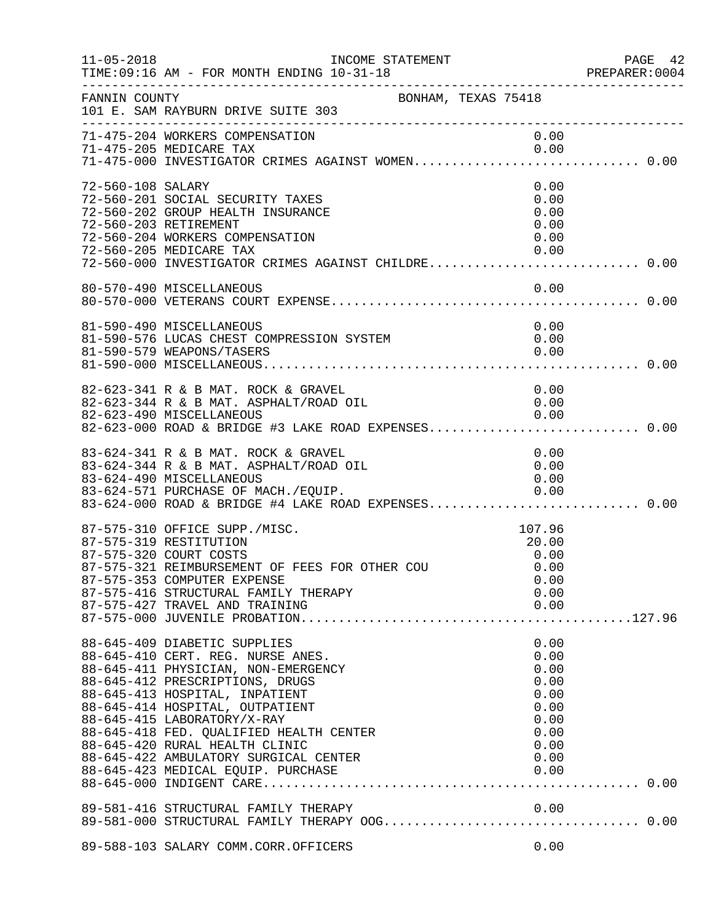| $11 - 05 - 2018$  | INCOME STATEMENT<br>TIME: 09:16 AM - FOR MONTH ENDING 10-31-18<br>---------------------------------                                                                                                                                                                                                                                                                                                         |                                                                                      | PAGE 42<br>PREPARER: 0004 |
|-------------------|-------------------------------------------------------------------------------------------------------------------------------------------------------------------------------------------------------------------------------------------------------------------------------------------------------------------------------------------------------------------------------------------------------------|--------------------------------------------------------------------------------------|---------------------------|
| FANNIN COUNTY     | BONHAM, TEXAS 75418<br>101 E. SAM RAYBURN DRIVE SUITE 303                                                                                                                                                                                                                                                                                                                                                   |                                                                                      |                           |
|                   | 71-475-204 WORKERS COMPENSATION<br>71-475-205 MEDICARE TAX<br>71-475-000 INVESTIGATOR CRIMES AGAINST WOMEN 0.00                                                                                                                                                                                                                                                                                             | 0.00<br>0.00                                                                         |                           |
| 72-560-108 SALARY | 72-560-201 SOCIAL SECURITY TAXES<br>72-560-202 GROUP HEALTH INSURANCE<br>72-560-203 RETIREMENT<br>72-560-204 WORKERS COMPENSATION<br>72-560-205 MEDICARE TAX<br>72-560-000 INVESTIGATOR CRIMES AGAINST CHILDRE 0.00                                                                                                                                                                                         | 0.00<br>0.00<br>0.00<br>0.00<br>0.00<br>0.00                                         |                           |
|                   | 80-570-490 MISCELLANEOUS                                                                                                                                                                                                                                                                                                                                                                                    | 0.00                                                                                 |                           |
|                   | 81-590-490 MISCELLANEOUS<br>81-590-576 LUCAS CHEST COMPRESSION SYSTEM<br>81-590-579 WEAPONS/TASERS                                                                                                                                                                                                                                                                                                          | 0.00<br>0.00<br>0.00                                                                 |                           |
|                   | 82-623-341 R & B MAT. ROCK & GRAVEL<br>82-623-344 R & B MAT. ASPHALT/ROAD OIL<br>82-623-490 MISCELLANEOUS<br>82-623-490 MISCELLANEOUS<br>82-623-000 ROAD & BRIDGE #3 LAKE ROAD EXPENSES 0.00                                                                                                                                                                                                                | 0.00<br>0.00<br>0.00                                                                 |                           |
|                   | 83-624-341 R & B MAT. ROCK & GRAVEL<br>83-624-344 R & B MAT. ASPHALT/ROAD OIL<br>83-624-490 MISCELLANEOUS<br>83-624-571 PURCHASE OF MACH./EQUIP. 0.00<br>83-624-000 ROAD & BRIDGE #4 LAKE ROAD EXPENSES 0.00                                                                                                                                                                                                | 0.00<br>0.00<br>0.00                                                                 |                           |
|                   | 87-575-310 OFFICE SUPP./MISC.<br>87-575-319 RESTITUTION<br>87-575-320 COURT COSTS<br>87-575-321 REIMBURSEMENT OF FEES FOR OTHER COU<br>87-575-353 COMPUTER EXPENSE<br>87-575-416 STRUCTURAL FAMILY THERAPY<br>87-575-427 TRAVEL AND TRAINING                                                                                                                                                                | 107.96<br>20.00<br>0.00<br>0.00<br>0.00<br>0.00<br>0.00                              |                           |
|                   | 88-645-409 DIABETIC SUPPLIES<br>88-645-410 CERT. REG. NURSE ANES.<br>88-645-411 PHYSICIAN, NON-EMERGENCY<br>88-645-412 PRESCRIPTIONS, DRUGS<br>88-645-413 HOSPITAL, INPATIENT<br>88-645-414 HOSPITAL, OUTPATIENT<br>88-645-415 LABORATORY/X-RAY<br>88-645-418 FED. QUALIFIED HEALTH CENTER<br>88-645-420 RURAL HEALTH CLINIC<br>88-645-422 AMBULATORY SURGICAL CENTER<br>88-645-423 MEDICAL EQUIP. PURCHASE | 0.00<br>0.00<br>0.00<br>0.00<br>0.00<br>0.00<br>0.00<br>0.00<br>0.00<br>0.00<br>0.00 |                           |
|                   |                                                                                                                                                                                                                                                                                                                                                                                                             |                                                                                      |                           |
|                   | 89-588-103 SALARY COMM.CORR.OFFICERS                                                                                                                                                                                                                                                                                                                                                                        | 0.00                                                                                 |                           |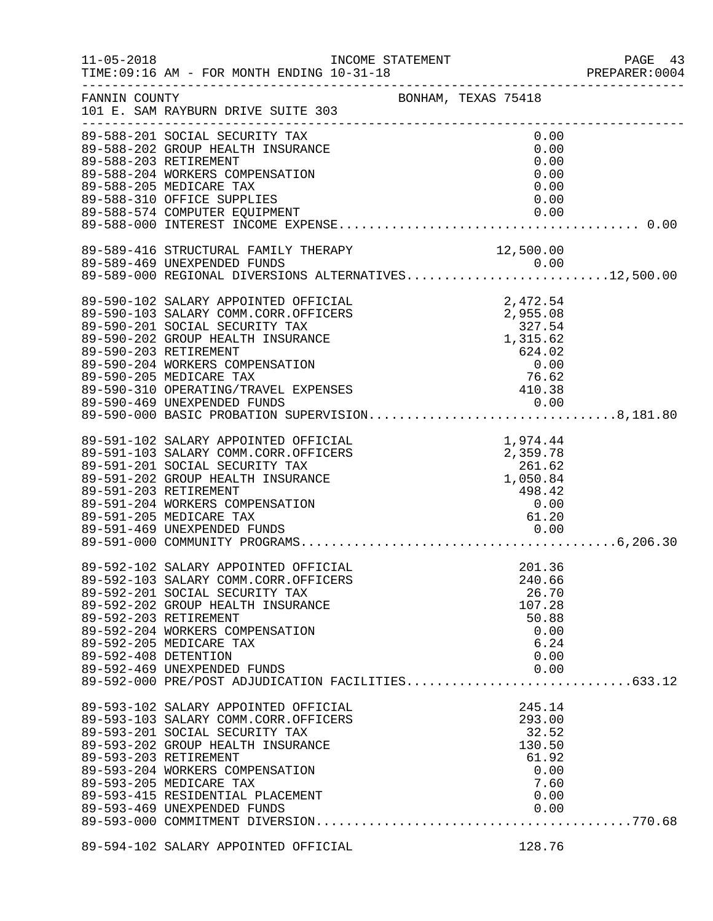| $11 - 05 - 2018$     | INCOME STATEMENT<br>TIME: 09:16 AM - FOR MONTH ENDING 10-31-18<br>--------------------------                                                                                                                                                                                                                                                                        |                     |                                                                                                 | PAGE 43<br>PREPARER: 0004 |
|----------------------|---------------------------------------------------------------------------------------------------------------------------------------------------------------------------------------------------------------------------------------------------------------------------------------------------------------------------------------------------------------------|---------------------|-------------------------------------------------------------------------------------------------|---------------------------|
| FANNIN COUNTY        | 101 E. SAM RAYBURN DRIVE SUITE 303                                                                                                                                                                                                                                                                                                                                  | BONHAM, TEXAS 75418 |                                                                                                 |                           |
|                      | 89-588-201 SOCIAL SECURITY TAX<br>89-588-202 GROUP HEALTH INSURANCE<br>89-588-203 RETIREMENT<br>89-588-204 WORKERS COMPENSATION<br>89-588-205 MEDICARE TAX<br>89-588-310 OFFICE SUPPLIES<br>89-588-574 COMPUTER EQUIPMENT                                                                                                                                           |                     | 0.00<br>0.00<br>0.00<br>0.00<br>0.00<br>0.00<br>0.00                                            |                           |
|                      | 89-589-416 STRUCTURAL FAMILY THERAPY<br>89-589-469 UNEXPENDED FUNDS<br>89-589-469 UNEXPENDED FUNDS<br>89-589-000 REGIONAL DIVERSIONS ALTERNATIVES12,500.00                                                                                                                                                                                                          |                     | 12,500.00                                                                                       |                           |
|                      | 89-590-102 SALARY APPOINTED OFFICIAL<br>89-590-103 SALARY COMM.CORR.OFFICERS<br>89-590-201 SOCIAL SECURITY TAX<br>89-590-202 GROUP HEALTH INSURANCE<br>89-590-203 RETIREMENT<br>89-590-204 WORKERS COMPENSATION<br>89-590-205 MEDICARE TAX<br>89-590-310 OPERATING/TRAVEL EXPENSES<br>89-590-469 UNEXPENDED FUNDS<br>89-590-000 BASIC PROBATION SUPERVISION8,181.80 |                     | 2,472.54<br>2,472.54<br>2,955.08<br>327.54<br>1,315.62<br>$-1, 02$<br>624.02<br>76.62<br>410.38 |                           |
|                      | 89-591-102 SALARY APPOINTED OFFICIAL<br>89-591-103 SALARY COMM.CORR.OFFICERS<br>89-591-201 SOCIAL SECURITY TAX<br>89-591-202 GROUP HEALTH INSURANCE<br>89-591-203 RETIREMENT<br>89-591-204 WORKERS COMPENSATION<br>89-591-205 MEDICARE TAX<br>89-591-469 UNEXPENDED FUNDS                                                                                           |                     | 1,974.44<br>1,974.44<br>2,359.78<br>261.62<br>1,050.84<br>498.42<br>0.00<br>61.20<br>0.00       |                           |
| 89-592-408 DETENTION | 89-592-102 SALARY APPOINTED OFFICIAL<br>89-592-103 SALARY COMM.CORR.OFFICERS<br>89-592-201 SOCIAL SECURITY TAX<br>89-592-202 GROUP HEALTH INSURANCE<br>89-592-203 RETIREMENT<br>89-592-204 WORKERS COMPENSATION<br>89-592-205 MEDICARE TAX<br>89-592-469 UNEXPENDED FUNDS<br>89-592-469 UNEXPENDED FUNDS<br>89-592-000 PRE/POST ADJUDICATION FACILITIES633.12       |                     | 201.36<br>240.66<br>26.70<br>107.28<br>50.88<br>0.00<br>6.24<br>0.00<br>0.00                    |                           |
|                      | 89-593-102 SALARY APPOINTED OFFICIAL<br>89-593-103 SALARY COMM.CORR.OFFICERS<br>89-593-201 SOCIAL SECURITY TAX<br>89-593-202 GROUP HEALTH INSURANCE<br>89-593-203 RETIREMENT<br>89-593-204 WORKERS COMPENSATION<br>89-593-205 MEDICARE TAX<br>89-593-415 RESIDENTIAL PLACEMENT<br>89-593-469 UNEXPENDED FUNDS                                                       |                     | 245.14<br>293.00<br>32.52<br>130.50<br>61.92<br>0.00<br>7.60<br>0.00<br>0.00                    |                           |
|                      | 89-594-102 SALARY APPOINTED OFFICIAL                                                                                                                                                                                                                                                                                                                                |                     | 128.76                                                                                          |                           |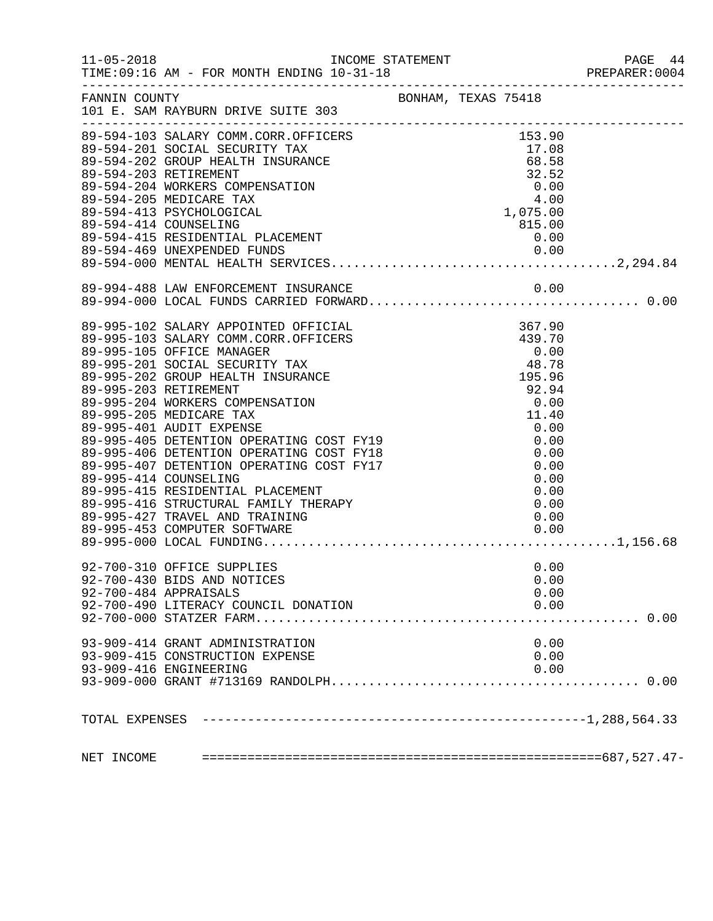|            |                                                                                                                                                                                                                                                                                              |                                                                    | PREPARER: 0004 |
|------------|----------------------------------------------------------------------------------------------------------------------------------------------------------------------------------------------------------------------------------------------------------------------------------------------|--------------------------------------------------------------------|----------------|
|            | FANNIN COUNTY BONHAM, TEXAS 75418<br>101 E. SAM RAYBURN DRIVE SUITE 303                                                                                                                                                                                                                      |                                                                    |                |
|            | 89-594-103 SALARY COMM.CORR.OFFICERS<br>89-594-201 SOCIAL SECURITY TAX<br>89-594-202 GROUP HEALTH INSURANCE 68.58<br>89-594-203 RETIREMENT 32.52<br>89-594-203 RETIREMENT<br>89-594-204 WORKERS COMPENSATION<br>89-594-205 MEDICARE TAX<br>89-594-413 PSYCHOLOGICAL<br>89-594-414 COUNSELING | 32.52<br>$32.52$<br>0.00<br>4.00<br>4.075.00<br>1,075.00<br>815.00 |                |
|            |                                                                                                                                                                                                                                                                                              |                                                                    |                |
|            | 89-995-427 TRAVEL AND TRAINING<br>89-995-453 COMPUTER SOFTWARE<br>92-700-310 OFFICE SUPPLIES<br>92-700-430 BIDS AND NOTICES<br>92-700-484 APPRAISALS                                                                                                                                         | 0.00<br>0.00<br>0.00<br>0.00<br>0.00                               |                |
|            | 92-700-490 LITERACY COUNCIL DONATION                                                                                                                                                                                                                                                         | 0.00                                                               |                |
|            | 93-909-414 GRANT ADMINISTRATION<br>93-909-415 CONSTRUCTION EXPENSE<br>93-909-416 ENGINEERING                                                                                                                                                                                                 | 0.00<br>0.00<br>0.00                                               |                |
|            |                                                                                                                                                                                                                                                                                              |                                                                    |                |
| NET INCOME |                                                                                                                                                                                                                                                                                              |                                                                    |                |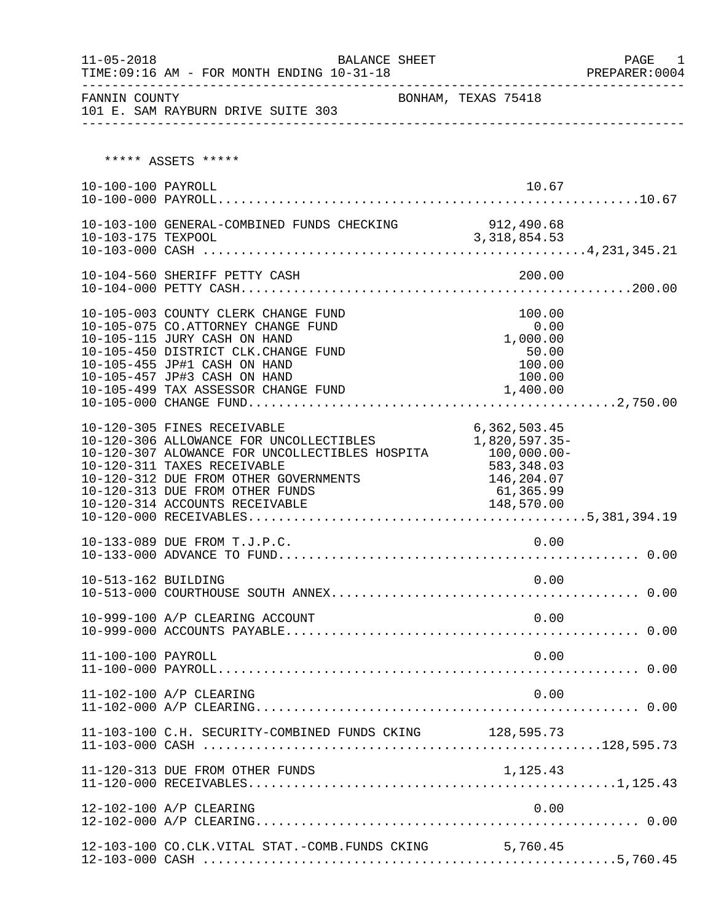| $11 - 05 - 2018$    | <b>BALANCE SHEET</b>                                                                                                                                                                                                                                                              |                     |                                                                          |  |
|---------------------|-----------------------------------------------------------------------------------------------------------------------------------------------------------------------------------------------------------------------------------------------------------------------------------|---------------------|--------------------------------------------------------------------------|--|
| FANNIN COUNTY       | 101 E. SAM RAYBURN DRIVE SUITE 303                                                                                                                                                                                                                                                | BONHAM, TEXAS 75418 | _____________________________                                            |  |
|                     | ***** ASSETS *****                                                                                                                                                                                                                                                                |                     |                                                                          |  |
| 10-100-100 PAYROLL  |                                                                                                                                                                                                                                                                                   |                     | 10.67                                                                    |  |
|                     | 10-103-100 GENERAL-COMBINED FUNDS CHECKING 912,490.68                                                                                                                                                                                                                             |                     |                                                                          |  |
|                     | 10-104-560 SHERIFF PETTY CASH                                                                                                                                                                                                                                                     |                     | 200.00                                                                   |  |
|                     | 10-105-003 COUNTY CLERK CHANGE FUND<br>10-105-075 CO.ATTORNEY CHANGE FUND<br>10-105-115 JURY CASH ON HAND<br>10-105-450 DISTRICT CLK.CHANGE FUND<br>10-105-455 JP#1 CASH ON HAND<br>10-105-457 JP#3 CASH ON HAND<br>10-105-499 TAX ASSESSOR CHANGE FUND                           | 1,400.00            | 100.00<br>0.00<br>0.00<br>1,000.00<br>50.00<br>100.00<br>100.00          |  |
|                     | 10-120-305 FINES RECEIVABLE<br>10-120-306 ALLOWANCE FOR UNCOLLECTIBLES<br>10-120-307 ALOWANCE FOR UNCOLLECTIBLES HOSPITA 100,000.00-<br>10-120-311 TAXES RECEIVABLE<br>10-120-312 DUE FROM OTHER GOVERNMENTS<br>10-120-313 DUE FROM OTHER FUNDS<br>10-120-314 ACCOUNTS RECEIVABLE | 148,570.00          | 6, 362, 503.45<br>1,820,597.35-<br>583,348.03<br>146,204.07<br>61,365.99 |  |
|                     | 10-133-089 DUE FROM T.J.P.C.                                                                                                                                                                                                                                                      |                     | 0.00                                                                     |  |
| 10-513-162 BUILDING |                                                                                                                                                                                                                                                                                   |                     | 0.00                                                                     |  |
|                     | 10-999-100 A/P CLEARING ACCOUNT                                                                                                                                                                                                                                                   |                     | 0.00                                                                     |  |
| 11-100-100 PAYROLL  |                                                                                                                                                                                                                                                                                   |                     | 0.00                                                                     |  |
|                     | 11-102-100 A/P CLEARING                                                                                                                                                                                                                                                           |                     | 0.00                                                                     |  |
|                     | 11-103-100 C.H. SECURITY-COMBINED FUNDS CKING                                                                                                                                                                                                                                     |                     | 128,595.73                                                               |  |
|                     | 11-120-313 DUE FROM OTHER FUNDS                                                                                                                                                                                                                                                   |                     | 1,125.43                                                                 |  |
|                     | 12-102-100 A/P CLEARING                                                                                                                                                                                                                                                           |                     | 0.00                                                                     |  |
|                     | 12-103-100 CO.CLK.VITAL STAT.-COMB.FUNDS CKING 5,760.45                                                                                                                                                                                                                           |                     |                                                                          |  |

12-103-000 CASH .......................................................5,760.45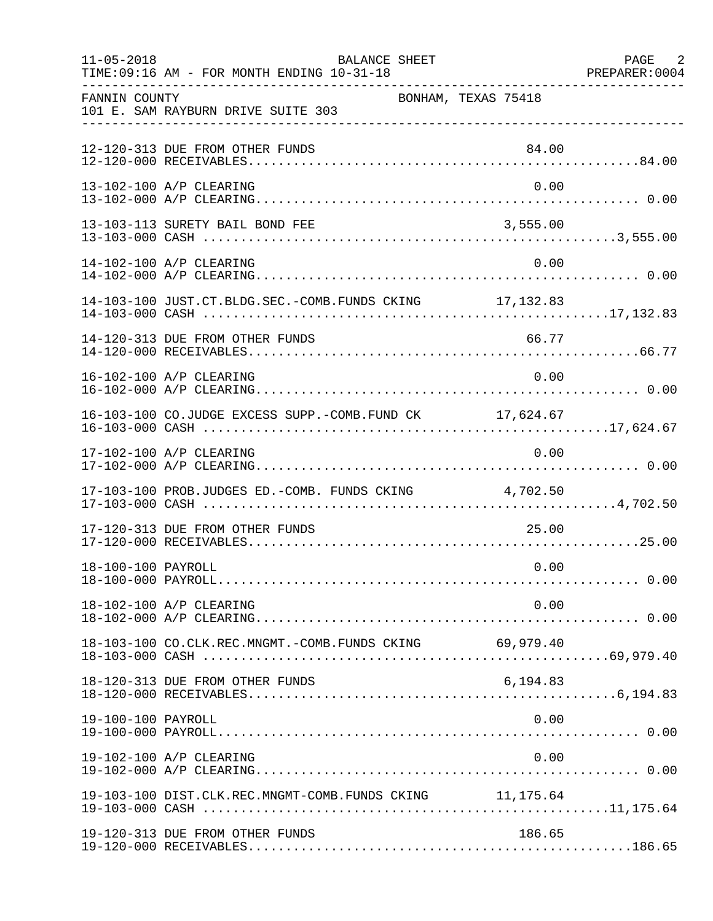| $11 - 05 - 2018$   | <b>BALANCE SHEET</b><br>TIME: 09:16 AM - FOR MONTH ENDING 10-31-18 |                     | PAGE 2<br>PREPARER: 0004 |
|--------------------|--------------------------------------------------------------------|---------------------|--------------------------|
| FANNIN COUNTY      | 101 E. SAM RAYBURN DRIVE SUITE 303                                 | BONHAM, TEXAS 75418 |                          |
|                    | 12-120-313 DUE FROM OTHER FUNDS                                    | 84.00               |                          |
|                    | 13-102-100 A/P CLEARING                                            | 0.00                |                          |
|                    | 13-103-113 SURETY BAIL BOND FEE                                    | 3,555.00            |                          |
|                    | 14-102-100 A/P CLEARING                                            | 0.00                |                          |
|                    | 14-103-100 JUST.CT.BLDG.SEC.-COMB.FUNDS CKING 17,132.83            |                     |                          |
|                    | 14-120-313 DUE FROM OTHER FUNDS                                    | 66.77               |                          |
|                    | 16-102-100 A/P CLEARING                                            | 0.00                |                          |
|                    | 16-103-100 CO.JUDGE EXCESS SUPP.-COMB.FUND CK 17,624.67            |                     |                          |
|                    | 17-102-100 A/P CLEARING                                            | 0.00                |                          |
|                    | 17-103-100 PROB.JUDGES ED.-COMB. FUNDS CKING 4,702.50              |                     |                          |
|                    | 17-120-313 DUE FROM OTHER FUNDS                                    | 25.00               |                          |
| 18-100-100 PAYROLL |                                                                    | 0.00                |                          |
|                    | 18-102-100 A/P CLEARING                                            | 0.00                |                          |
|                    | 18-103-100 CO.CLK.REC.MNGMT.-COMB.FUNDS CKING 69,979.40            |                     |                          |
|                    | 18-120-313 DUE FROM OTHER FUNDS                                    | 6,194.83            |                          |
| 19-100-100 PAYROLL |                                                                    | 0.00                |                          |
|                    | 19-102-100 A/P CLEARING                                            | 0.00                |                          |
|                    | 19-103-100 DIST.CLK.REC.MNGMT-COMB.FUNDS CKING 11,175.64           |                     |                          |
|                    | 19-120-313 DUE FROM OTHER FUNDS                                    | 186.65              |                          |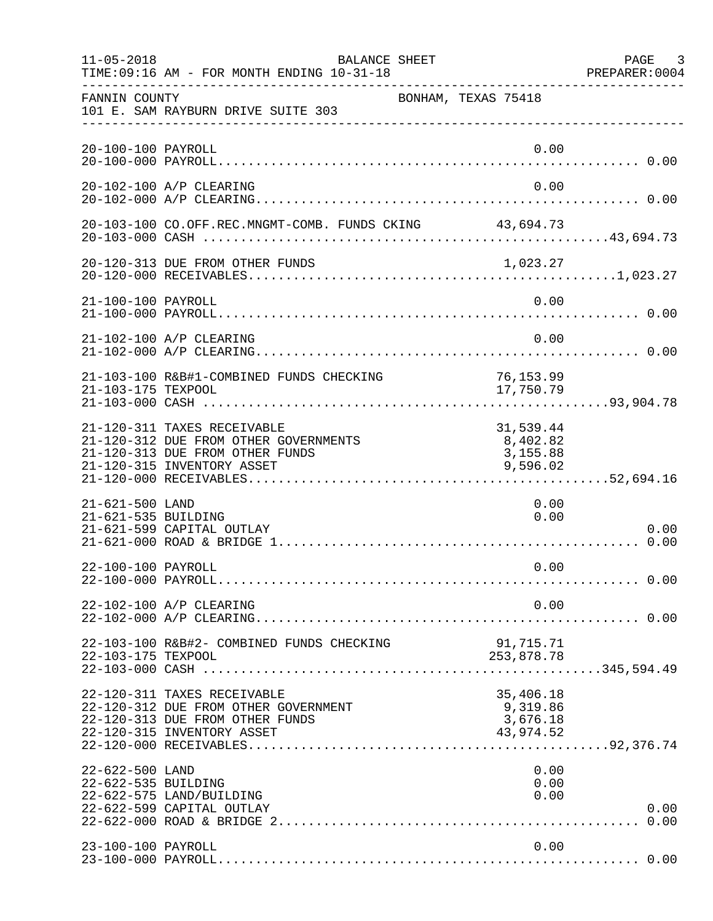| $11 - 05 - 2018$                       | BALANCE SHEET<br>TIME: 09:16 AM - FOR MONTH ENDING 10-31-18                                                                           |                                                | PAGE 3<br>PREPARER: 0004 |
|----------------------------------------|---------------------------------------------------------------------------------------------------------------------------------------|------------------------------------------------|--------------------------|
| FANNIN COUNTY                          | 101 E. SAM RAYBURN DRIVE SUITE 303                                                                                                    | BONHAM, TEXAS 75418                            |                          |
| 20-100-100 PAYROLL                     |                                                                                                                                       | 0.00                                           |                          |
|                                        | 20-102-100 A/P CLEARING                                                                                                               | 0.00                                           |                          |
|                                        | 20-103-100 CO.OFF.REC.MNGMT-COMB. FUNDS CKING 43,694.73                                                                               |                                                |                          |
|                                        | 20-120-313 DUE FROM OTHER FUNDS                                                                                                       | 1,023.27                                       |                          |
| 21-100-100 PAYROLL                     |                                                                                                                                       | 0.00                                           |                          |
|                                        | 21-102-100 A/P CLEARING                                                                                                               | 0.00                                           |                          |
| 21-103-175 TEXPOOL                     | 21-103-100 R&B#1-COMBINED FUNDS CHECKING                                                                                              | 76, 153.99<br>17,750.79                        |                          |
|                                        | 21-120-311 TAXES RECEIVABLE<br>21-120-312 DUE FROM OTHER GOVERNMENTS<br>21-120-313 DUE FROM OTHER FUNDS<br>21-120-315 INVENTORY ASSET | 31,539.44<br>8,402.82<br>3,155.88<br>9,596.02  |                          |
| 21-621-500 LAND<br>21-621-535 BUILDING | 21-621-599 CAPITAL OUTLAY                                                                                                             | 0.00<br>0.00                                   | 0.00                     |
| 22-100-100 PAYROLL                     |                                                                                                                                       | 0.00                                           |                          |
|                                        | 22-102-100 A/P CLEARING                                                                                                               | 0.00                                           |                          |
| 22-103-175 TEXPOOL                     | 22-103-100 R&B#2- COMBINED FUNDS CHECKING                                                                                             | 91,715.71<br>253,878.78                        |                          |
|                                        | 22-120-311 TAXES RECEIVABLE<br>22-120-312 DUE FROM OTHER GOVERNMENT<br>22-120-313 DUE FROM OTHER FUNDS<br>22-120-315 INVENTORY ASSET  | 35,406.18<br>9,319.86<br>3,676.18<br>43,974.52 |                          |
| 22-622-500 LAND<br>22-622-535 BUILDING | 22-622-575 LAND/BUILDING<br>22-622-599 CAPITAL OUTLAY                                                                                 | 0.00<br>0.00<br>0.00                           | 0.00                     |
| 23-100-100 PAYROLL                     |                                                                                                                                       | 0.00                                           |                          |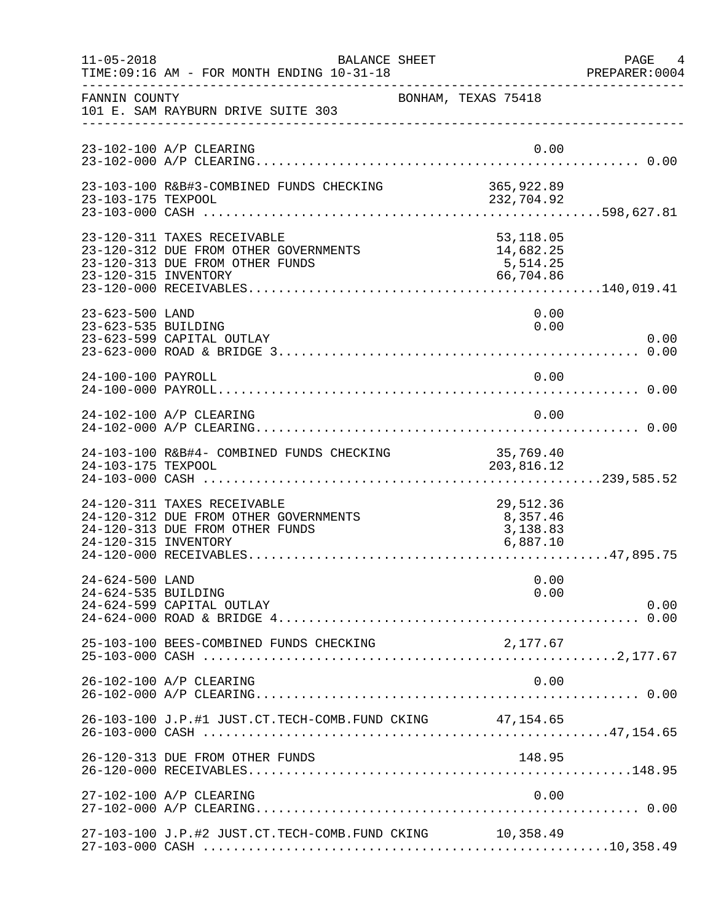| $11 - 05 - 2018$                       | BALANCE SHEET<br>TIME: 09:16 AM - FOR MONTH ENDING 10-31-18                                             |                                                  | PAGE 4<br>PREPARER: 0004 |
|----------------------------------------|---------------------------------------------------------------------------------------------------------|--------------------------------------------------|--------------------------|
| FANNIN COUNTY                          | 101 E. SAM RAYBURN DRIVE SUITE 303                                                                      | BONHAM, TEXAS 75418                              |                          |
|                                        | 23-102-100 A/P CLEARING                                                                                 | 0.00                                             |                          |
| 23-103-175 TEXPOOL                     | 23-103-100 R&B#3-COMBINED FUNDS CHECKING                                                                | 365,922.89<br>232,704.92                         |                          |
| 23-120-315 INVENTORY                   | 23-120-311 TAXES RECEIVABLE<br>23-120-312 DUE FROM OTHER GOVERNMENTS<br>23-120-313 DUE FROM OTHER FUNDS | 53,118.05<br>14,682.25<br>5, 514.25<br>66,704.86 |                          |
| 23-623-500 LAND<br>23-623-535 BUILDING | 23-623-599 CAPITAL OUTLAY                                                                               | 0.00<br>0.00                                     | 0.00                     |
| 24-100-100 PAYROLL                     |                                                                                                         | 0.00                                             |                          |
|                                        | 24-102-100 A/P CLEARING                                                                                 | 0.00                                             |                          |
| 24-103-175 TEXPOOL                     | 24-103-100 R&B#4- COMBINED FUNDS CHECKING                                                               | 35,769.40<br>203,816.12                          |                          |
| 24-120-315 INVENTORY                   | 24-120-311 TAXES RECEIVABLE<br>24-120-312 DUE FROM OTHER GOVERNMENTS<br>24-120-313 DUE FROM OTHER FUNDS | 29,512.36<br>8,357.46<br>3,138.83<br>6,887.10    |                          |
| 24-624-500 LAND<br>24-624-535 BUILDING | 24-624-599 CAPITAL OUTLAY                                                                               | 0.00<br>0.00                                     | 0.00                     |
|                                        | 25-103-100 BEES-COMBINED FUNDS CHECKING                                                                 | 2,177.67                                         |                          |
|                                        | 26-102-100 A/P CLEARING                                                                                 | 0.00                                             |                          |
|                                        | 26-103-100 J.P.#1 JUST.CT.TECH-COMB.FUND CKING 47,154.65                                                |                                                  |                          |
|                                        | 26-120-313 DUE FROM OTHER FUNDS                                                                         | 148.95                                           |                          |
|                                        | 27-102-100 A/P CLEARING                                                                                 | 0.00                                             |                          |
|                                        | 27-103-100 J.P.#2 JUST.CT.TECH-COMB.FUND CKING 10,358.49                                                |                                                  |                          |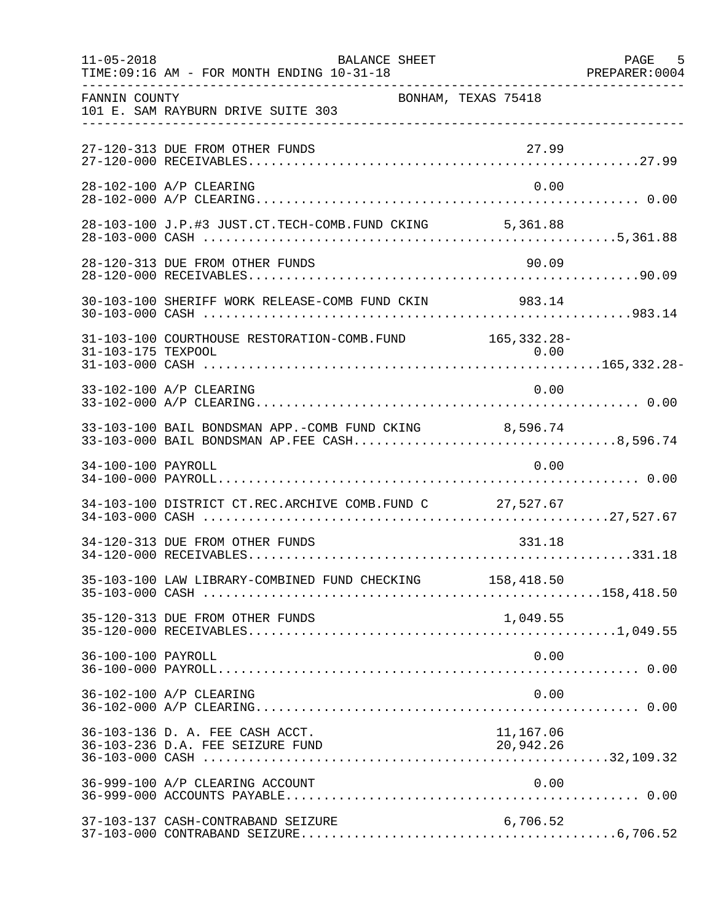| $11 - 05 - 2018$   | <b>BALANCE SHEET</b><br>TIME: 09:16 AM - FOR MONTH ENDING 10-31-18  |                        | PAGE 5 |
|--------------------|---------------------------------------------------------------------|------------------------|--------|
| FANNIN COUNTY      | 101 E. SAM RAYBURN DRIVE SUITE 303                                  | BONHAM, TEXAS 75418    |        |
|                    | 27-120-313 DUE FROM OTHER FUNDS                                     | 27.99                  |        |
|                    | 28-102-100 A/P CLEARING                                             | 0.00                   |        |
|                    |                                                                     |                        |        |
|                    | 28-120-313 DUE FROM OTHER FUNDS                                     | 90.09                  |        |
|                    | 30-103-100 SHERIFF WORK RELEASE-COMB FUND CKIN 983.14               |                        |        |
|                    | 31-103-100 COURTHOUSE RESTORATION-COMB. FUND 165, 332.28-           |                        |        |
|                    | 33-102-100 A/P CLEARING                                             | 0.00                   |        |
|                    | 33-103-100 BAIL BONDSMAN APP.-COMB FUND CKING 8,596.74              |                        |        |
| 34-100-100 PAYROLL |                                                                     | 0.00                   |        |
|                    | 34-103-100 DISTRICT CT.REC.ARCHIVE COMB.FUND C 27,527.67            |                        |        |
|                    | 34-120-313 DUE FROM OTHER FUNDS                                     | 331.18                 |        |
|                    | 35-103-100 LAW LIBRARY-COMBINED FUND CHECKING 158,418.50            |                        |        |
|                    | 35-120-313 DUE FROM OTHER FUNDS                                     | 1,049.55               |        |
| 36-100-100 PAYROLL |                                                                     | 0.00                   |        |
|                    | 36-102-100 A/P CLEARING                                             | 0.00                   |        |
|                    | 36-103-136 D. A. FEE CASH ACCT.<br>36-103-236 D.A. FEE SEIZURE FUND | 11,167.06<br>20,942.26 |        |
|                    | 36-999-100 A/P CLEARING ACCOUNT                                     | 0.00                   |        |
|                    | 37-103-137 CASH-CONTRABAND SEIZURE                                  | 6,706.52               |        |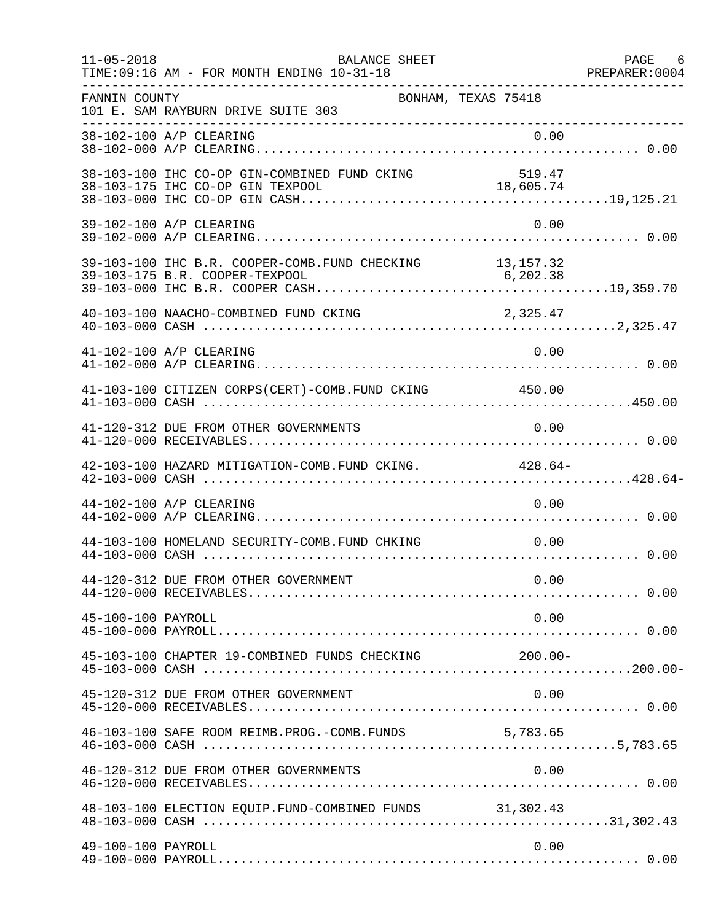| $11 - 05 - 2018$   | BALANCE SHEET<br>TIME: 09:16 AM - FOR MONTH ENDING 10-31-18              |                     | PAGE 6<br>PREPARER: 0004 |
|--------------------|--------------------------------------------------------------------------|---------------------|--------------------------|
| FANNIN COUNTY      | 101 E. SAM RAYBURN DRIVE SUITE 303<br>__________________________________ | BONHAM, TEXAS 75418 |                          |
|                    | 38-102-100 A/P CLEARING                                                  | 0.00                |                          |
|                    | 38-103-100 IHC CO-OP GIN-COMBINED FUND CKING                             | 519.47              |                          |
|                    | 39-102-100 A/P CLEARING                                                  | 0.00                |                          |
|                    | 39-103-100 IHC B.R. COOPER-COMB. FUND CHECKING 13, 157.32                |                     |                          |
|                    | 40-103-100 NAACHO-COMBINED FUND CKING                                    | 2,325.47            |                          |
|                    | 41-102-100 A/P CLEARING                                                  | 0.00                |                          |
|                    | 41-103-100 CITIZEN CORPS(CERT)-COMB. FUND CKING 450.00                   |                     |                          |
|                    | 41-120-312 DUE FROM OTHER GOVERNMENTS                                    | 0.00                |                          |
|                    | 42-103-100 HAZARD MITIGATION-COMB. FUND CKING. 428.64-                   |                     |                          |
|                    | 44-102-100 A/P CLEARING                                                  | 0.00                |                          |
|                    | 44-103-100 HOMELAND SECURITY-COMB.FUND CHKING                            | 0.00                |                          |
|                    | 44-120-312 DUE FROM OTHER GOVERNMENT                                     | 0.00                |                          |
| 45-100-100 PAYROLL |                                                                          | 0.00                |                          |
|                    | 45-103-100 CHAPTER 19-COMBINED FUNDS CHECKING 200.00-                    |                     |                          |
|                    | 45-120-312 DUE FROM OTHER GOVERNMENT                                     | 0.00                |                          |
|                    | 46-103-100 SAFE ROOM REIMB. PROG. - COMB. FUNDS 5,783.65                 |                     |                          |
|                    | 46-120-312 DUE FROM OTHER GOVERNMENTS                                    | 0.00                |                          |
|                    | 48-103-100 ELECTION EQUIP. FUND-COMBINED FUNDS 31,302.43                 |                     |                          |
| 49-100-100 PAYROLL |                                                                          | 0.00                |                          |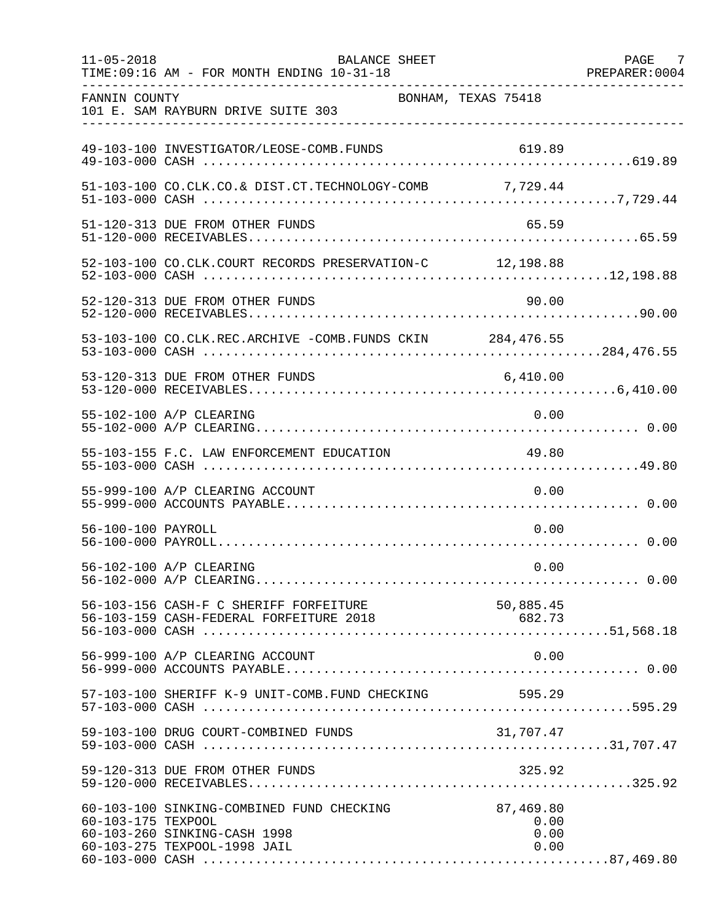| $11 - 05 - 2018$   | <b>BALANCE SHEET</b><br>TIME: 09:16 AM - FOR MONTH ENDING 10-31-18                                        |                                   | PAGE 7<br>PREPARER: 0004 |
|--------------------|-----------------------------------------------------------------------------------------------------------|-----------------------------------|--------------------------|
| FANNIN COUNTY      | 101 E. SAM RAYBURN DRIVE SUITE 303                                                                        | BONHAM, TEXAS 75418               |                          |
|                    | 49-103-100 INVESTIGATOR/LEOSE-COMB.FUNDS                                                                  | 619.89                            |                          |
|                    | 51-103-100 CO.CLK.CO.& DIST.CT.TECHNOLOGY-COMB 7,729.44                                                   |                                   |                          |
|                    | 51-120-313 DUE FROM OTHER FUNDS                                                                           | 65.59                             |                          |
|                    | 52-103-100 CO.CLK.COURT RECORDS PRESERVATION-C 12,198.88                                                  |                                   |                          |
|                    | 52-120-313 DUE FROM OTHER FUNDS                                                                           | 90.00                             |                          |
|                    | 53-103-100 CO.CLK.REC.ARCHIVE -COMB.FUNDS CKIN 284,476.55                                                 |                                   |                          |
|                    | 53-120-313 DUE FROM OTHER FUNDS                                                                           | 6,410.00                          |                          |
|                    | 55-102-100 A/P CLEARING                                                                                   | 0.00                              |                          |
|                    | 55-103-155 F.C. LAW ENFORCEMENT EDUCATION                                                                 | 49.80                             |                          |
|                    | 55-999-100 A/P CLEARING ACCOUNT                                                                           | 0.00                              |                          |
| 56-100-100 PAYROLL |                                                                                                           | 0.00                              |                          |
|                    | 56-102-100 A/P CLEARING                                                                                   | 0.00                              |                          |
|                    | 56-103-156 CASH-F C SHERIFF FORFEITURE                                                                    | 50,885.45                         |                          |
|                    | 56-999-100 A/P CLEARING ACCOUNT                                                                           | 0.00                              |                          |
|                    | 57-103-100 SHERIFF K-9 UNIT-COMB.FUND CHECKING                                                            | 595.29                            |                          |
|                    | 59-103-100 DRUG COURT-COMBINED FUNDS                                                                      | 31,707.47                         |                          |
|                    | 59-120-313 DUE FROM OTHER FUNDS                                                                           | 325.92                            |                          |
| 60-103-175 TEXPOOL | 60-103-100 SINKING-COMBINED FUND CHECKING<br>60-103-260 SINKING-CASH 1998<br>60-103-275 TEXPOOL-1998 JAIL | 87,469.80<br>0.00<br>0.00<br>0.00 |                          |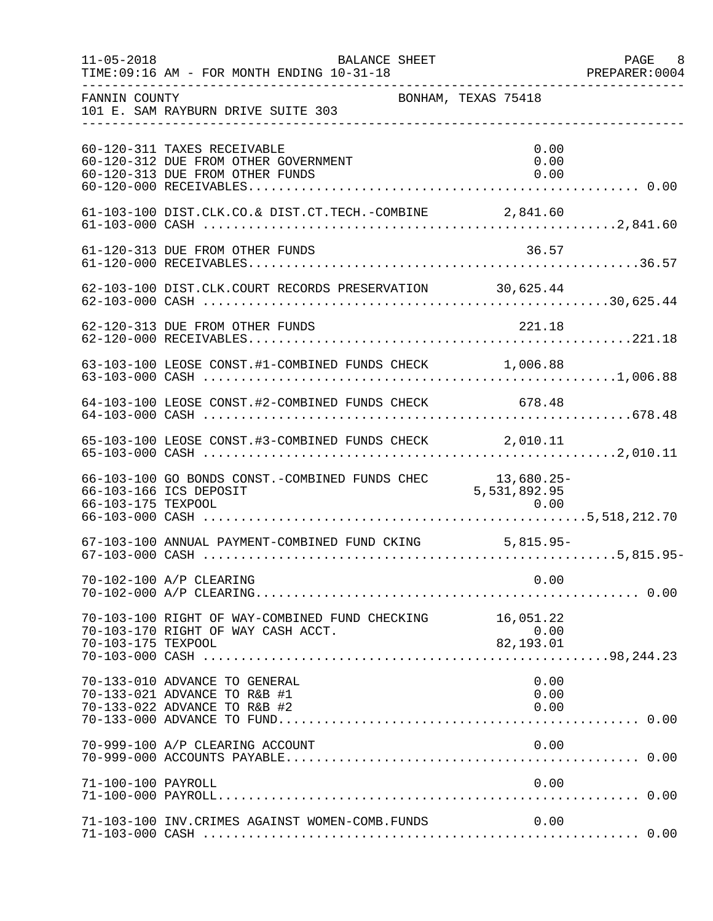| $11 - 05 - 2018$   | BALANCE SHEET<br>TIME: 09:16 AM - FOR MONTH ENDING 10-31-18                                            |                               | PAGE 8<br>PREPARER:0004 |
|--------------------|--------------------------------------------------------------------------------------------------------|-------------------------------|-------------------------|
| FANNIN COUNTY      | 101 E. SAM RAYBURN DRIVE SUITE 303                                                                     | BONHAM, TEXAS 75418           |                         |
|                    | 60-120-311 TAXES RECEIVABLE<br>60-120-312 DUE FROM OTHER GOVERNMENT<br>60-120-313 DUE FROM OTHER FUNDS | 0.00<br>0.00<br>0.00          |                         |
|                    |                                                                                                        |                               |                         |
|                    | 61-120-313 DUE FROM OTHER FUNDS                                                                        | 36.57                         |                         |
|                    | 62-103-100 DIST.CLK.COURT RECORDS PRESERVATION 30,625.44                                               |                               |                         |
|                    | 62-120-313 DUE FROM OTHER FUNDS                                                                        | 221.18                        |                         |
|                    | 63-103-100 LEOSE CONST.#1-COMBINED FUNDS CHECK 1,006.88                                                |                               |                         |
|                    | 64-103-100 LEOSE CONST.#2-COMBINED FUNDS CHECK 678.48                                                  |                               |                         |
|                    | 65-103-100 LEOSE CONST.#3-COMBINED FUNDS CHECK 2,010.11                                                |                               |                         |
|                    | 66-103-100 GO BONDS CONST.-COMBINED FUNDS CHEC<br>66-103-166 ICS DEPOSIT                               | 13,680.25-<br>5, 531, 892. 95 |                         |
|                    | 67-103-100 ANNUAL PAYMENT-COMBINED FUND CKING 5,815.95-                                                |                               |                         |
|                    | 70-102-100 A/P CLEARING                                                                                | 0.00                          |                         |
| 70-103-175 TEXPOOL | 70-103-100 RIGHT OF WAY-COMBINED FUND CHECKING 16,051.22<br>70-103-170 RIGHT OF WAY CASH ACCT.         | 0.00<br>$82,193.01$           |                         |
|                    | 70-133-010 ADVANCE TO GENERAL<br>70-133-021 ADVANCE TO R&B #1<br>70-133-022 ADVANCE TO R&B #2          | 0.00<br>0.00<br>0.00          |                         |
|                    | 70-999-100 A/P CLEARING ACCOUNT                                                                        | 0.00                          |                         |
| 71-100-100 PAYROLL |                                                                                                        | 0.00                          |                         |
|                    | 71-103-100 INV.CRIMES AGAINST WOMEN-COMB.FUNDS                                                         | 0.00                          |                         |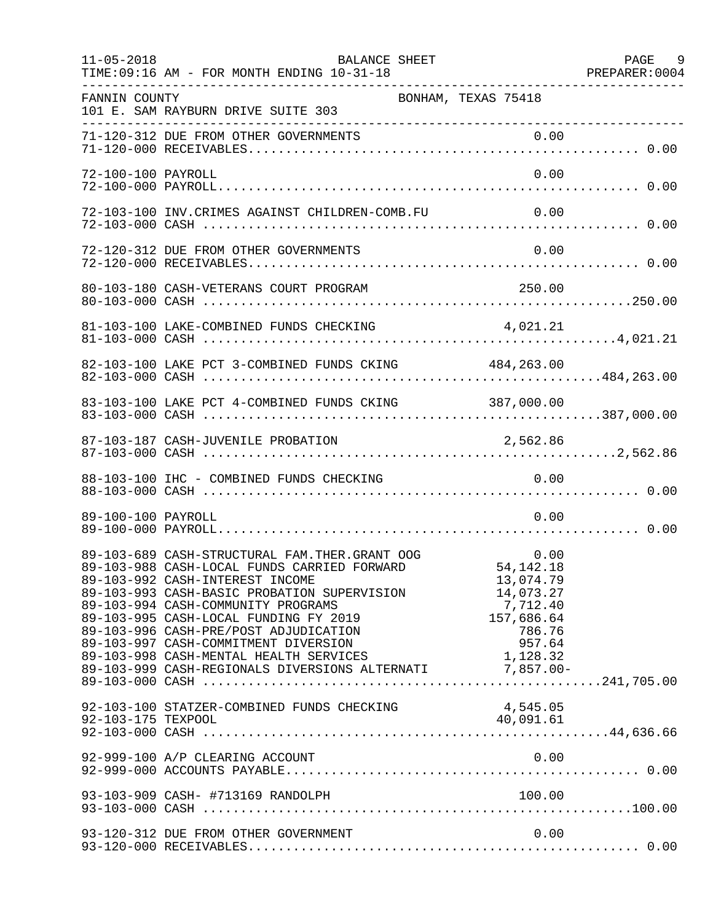| $11 - 05 - 2018$   | BALANCE SHEET<br>TIME: 09:16 AM - FOR MONTH ENDING 10-31-18                                                                                                                                                                                                                                                                |                                                                      | PAGE 9<br>PREPARER: 0004 |
|--------------------|----------------------------------------------------------------------------------------------------------------------------------------------------------------------------------------------------------------------------------------------------------------------------------------------------------------------------|----------------------------------------------------------------------|--------------------------|
| FANNIN COUNTY      | BONHAM, TEXAS 75418<br>101 E. SAM RAYBURN DRIVE SUITE 303                                                                                                                                                                                                                                                                  |                                                                      |                          |
|                    |                                                                                                                                                                                                                                                                                                                            |                                                                      |                          |
| 72-100-100 PAYROLL |                                                                                                                                                                                                                                                                                                                            | 0.00                                                                 |                          |
|                    | 72-103-100 INV.CRIMES AGAINST CHILDREN-COMB.FU                                                                                                                                                                                                                                                                             | 0.00                                                                 |                          |
|                    | 72-120-312 DUE FROM OTHER GOVERNMENTS                                                                                                                                                                                                                                                                                      | 0.00                                                                 |                          |
|                    |                                                                                                                                                                                                                                                                                                                            |                                                                      |                          |
|                    |                                                                                                                                                                                                                                                                                                                            | 4,021.21                                                             |                          |
|                    | 82-103-100 LAKE PCT 3-COMBINED FUNDS CKING 484,263.00                                                                                                                                                                                                                                                                      |                                                                      |                          |
|                    | 83-103-100 LAKE PCT 4-COMBINED FUNDS CKING 387,000.00                                                                                                                                                                                                                                                                      |                                                                      |                          |
|                    | 87-103-187 CASH-JUVENILE PROBATION                                                                                                                                                                                                                                                                                         | 2,562.86                                                             |                          |
|                    | 88-103-100 IHC - COMBINED FUNDS CHECKING                                                                                                                                                                                                                                                                                   | 0.00                                                                 |                          |
| 89-100-100 PAYROLL |                                                                                                                                                                                                                                                                                                                            | 0.00                                                                 |                          |
|                    | 0.00 89-103-689 CASH-STRUCTURAL FAM.THER.GRANT OOG 0.00<br>89-103-988 CASH-LOCAL FUNDS CARRIED FORWARD 54,142.18<br>89-103-992 CASH-INTEREST INCOME<br>89-103-993 CASH-BASIC PROBATION SUPERVISION<br>89-103-994 CASH-COMMUNITY PROGRAMS<br>89-103-995 CASH-LOCAL FUNDING FY 2019<br>89-103-996 CASH-PRE/POST ADJUDICATION | 13,074.79<br>14,073.27<br>7,712.40<br>157,686.64<br>786.76<br>957.64 |                          |
|                    | 92-103-100 STATZER-COMBINED FUNDS CHECKING                                                                                                                                                                                                                                                                                 | 4,545.05<br>40,091.61                                                |                          |
|                    | 92-999-100 A/P CLEARING ACCOUNT                                                                                                                                                                                                                                                                                            | 0.00                                                                 |                          |
|                    | 93-103-909 CASH- #713169 RANDOLPH                                                                                                                                                                                                                                                                                          | 100.00                                                               |                          |
|                    | 93-120-312 DUE FROM OTHER GOVERNMENT                                                                                                                                                                                                                                                                                       | 0.00                                                                 |                          |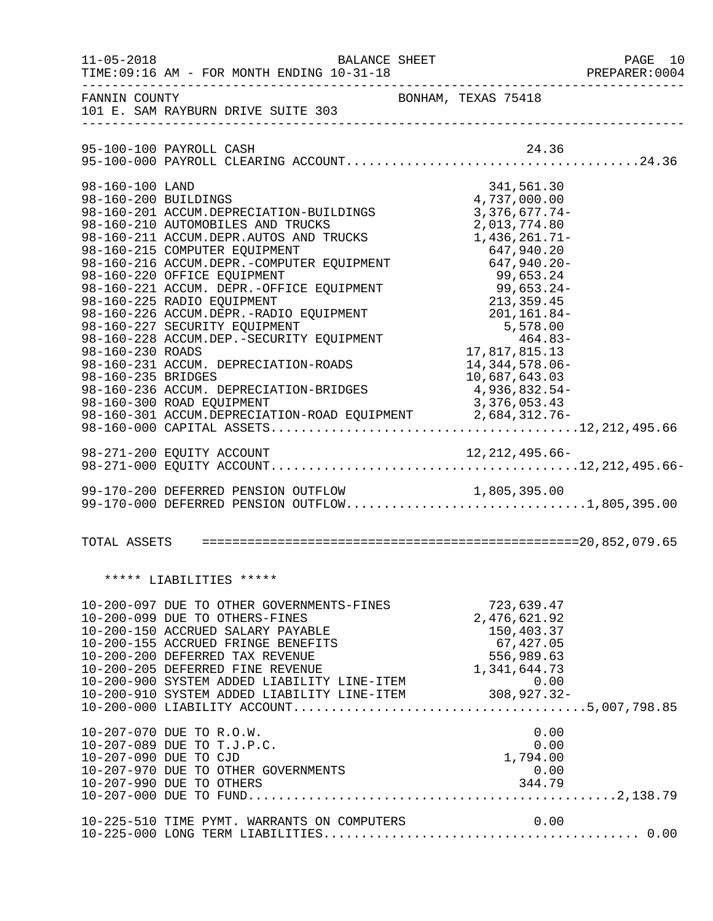| $11 - 05 - 2018$                                                                  | TIME: 09:16 AM - FOR MONTH ENDING 10-31-18                                                                                                                                                                                                                                                                                                                                                                                                                                                                                                                                                                                                                                                              | BALANCE SHEET |                                                                                                                                                      | PAGE 10<br>PREPARER: 0004 |
|-----------------------------------------------------------------------------------|---------------------------------------------------------------------------------------------------------------------------------------------------------------------------------------------------------------------------------------------------------------------------------------------------------------------------------------------------------------------------------------------------------------------------------------------------------------------------------------------------------------------------------------------------------------------------------------------------------------------------------------------------------------------------------------------------------|---------------|------------------------------------------------------------------------------------------------------------------------------------------------------|---------------------------|
| FANNIN COUNTY                                                                     | 101 E. SAM RAYBURN DRIVE SUITE 303                                                                                                                                                                                                                                                                                                                                                                                                                                                                                                                                                                                                                                                                      |               | BONHAM, TEXAS 75418                                                                                                                                  |                           |
|                                                                                   |                                                                                                                                                                                                                                                                                                                                                                                                                                                                                                                                                                                                                                                                                                         |               |                                                                                                                                                      |                           |
| 98-160-100 LAND<br>98-160-200 BUILDINGS<br>98-160-230 ROADS<br>98-160-235 BRIDGES | 98-160-201 ACCUM.DEPRECIATION-BUILDINGS<br>98-160-210 AUTOMOBILES AND TRUCKS<br>98-160-211 ACCUM.DEPR.AUTOS AND TRUCKS 1,436,261.71-<br>98-160-215 COMPUTER EQUIPMENT<br>98-160-215 COMPUTER EQUIPMENT 647,940.20<br>98-160-216 ACCUM.DEPR.-COMPUTER EQUIPMENT 647,940.20-<br>98-160-220 OFFICE EQUIPMENT<br>98-160-221 ACCUM. DEPR.-OFFICE EQUIPMENT<br>99,653.24-<br>98-160-225 RADIO EQUIPMENT<br>98-160-225 RADIO EQUIPMENT<br>98-160-226 ACCUM.DEPR.-RADIO EQUIPMENT<br>98-160-227 SECURITY EQUIPMENT<br>98-160-227 S<br>98-160-231 ACCUM. DEPRECIATION-ROADS<br>98-160-236 ACCUM. DEPRECIATION-BRIDGES<br>98-160-300 ROAD EQUIPMENT<br>98-160-301 ACCUM.DEPRECIATION-ROAD EQUIPMENT 2,684,312.76- |               | 341,561.30<br>4,737,000.00<br>$3,376,677.74-$<br>2,013,774.80<br>17,817,815.13<br>14, 344, 578.06-<br>10,687,643.03<br>4,936,832.54-<br>3,376,053.43 |                           |
|                                                                                   | 99-170-200 DEFERRED PENSION OUTFLOW                                                                                                                                                                                                                                                                                                                                                                                                                                                                                                                                                                                                                                                                     |               |                                                                                                                                                      |                           |
|                                                                                   | 99-170-200 DEFERRED PENSION OUTFLOW 1,805,395.00<br>99-170-000 DEFERRED PENSION OUTFLOW1,805,395.00                                                                                                                                                                                                                                                                                                                                                                                                                                                                                                                                                                                                     |               |                                                                                                                                                      |                           |
|                                                                                   | ***** LIABILITIES *****                                                                                                                                                                                                                                                                                                                                                                                                                                                                                                                                                                                                                                                                                 |               |                                                                                                                                                      |                           |
|                                                                                   |                                                                                                                                                                                                                                                                                                                                                                                                                                                                                                                                                                                                                                                                                                         |               |                                                                                                                                                      |                           |
|                                                                                   | 10-207-070 DUE TO R.O.W.<br>10-207-089 DUE TO T.J.P.C.<br>10-207-090 DUE TO CJD<br>10-207-970 DUE TO OTHER GOVERNMENTS<br>10-207-990 DUE TO OTHERS                                                                                                                                                                                                                                                                                                                                                                                                                                                                                                                                                      |               | 0.00<br>0.00<br>$0.00$<br>1,794.00<br>0.00<br>344.79                                                                                                 |                           |
|                                                                                   | 10-225-510 TIME PYMT. WARRANTS ON COMPUTERS                                                                                                                                                                                                                                                                                                                                                                                                                                                                                                                                                                                                                                                             |               | 0.00                                                                                                                                                 |                           |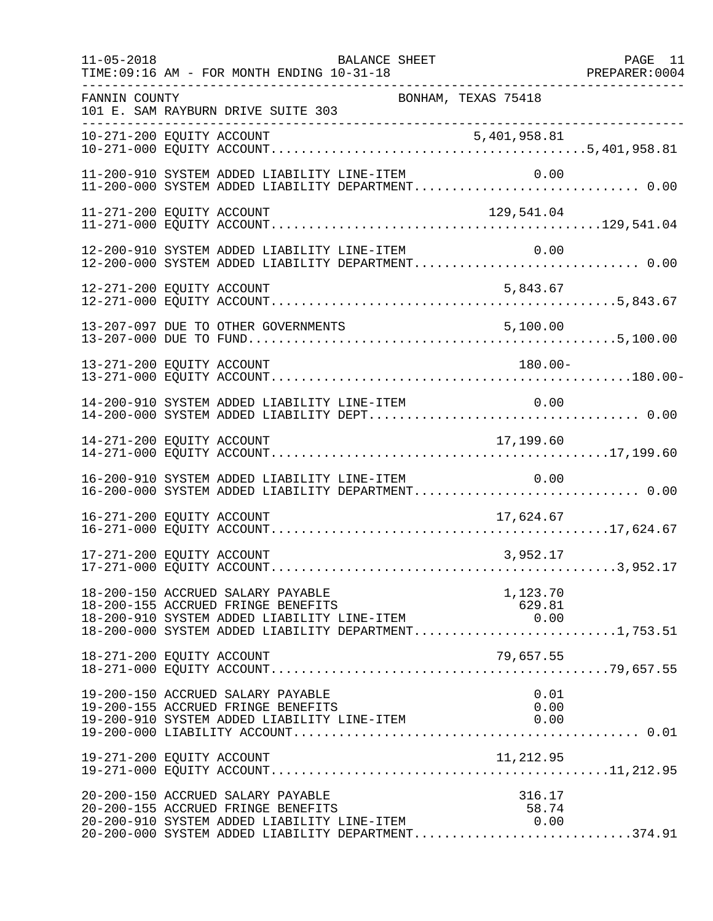| $11 - 05 - 2018$ | BALANCE SHEET<br>TIME: 09:16 AM - FOR MONTH ENDING 10-31-18                                                                                                                                                  | PAGE 11 |
|------------------|--------------------------------------------------------------------------------------------------------------------------------------------------------------------------------------------------------------|---------|
| FANNIN COUNTY    | BONHAM, TEXAS 75418<br>101 E. SAM RAYBURN DRIVE SUITE 303<br>-----------------------                                                                                                                         |         |
|                  |                                                                                                                                                                                                              |         |
|                  | 11-200-910 SYSTEM ADDED LIABILITY LINE-ITEM<br>0.00<br>11-200-910 SYSTEM ADDED LIABILITY LINE-ITEM 0.00<br>11-200-000 SYSTEM ADDED LIABILITY DEPARTMENT 0.00                                                 |         |
|                  | 11-271-200 EQUITY ACCOUNT<br>129,541.04                                                                                                                                                                      |         |
|                  | 12-200-910 SYSTEM ADDED LIABILITY LINE-ITEM<br>0.00<br>12-200-000 SYSTEM ADDED LIABILITY DEPARTMENT 0.00                                                                                                     |         |
|                  | 12-271-200 EQUITY ACCOUNT<br>5,843.67                                                                                                                                                                        |         |
|                  |                                                                                                                                                                                                              |         |
|                  | 13-271-200 EQUITY ACCOUNT<br>$180.00 -$                                                                                                                                                                      |         |
|                  | 14-200-910 SYSTEM ADDED LIABILITY LINE-ITEM<br>0.00                                                                                                                                                          |         |
|                  | 17,199.60                                                                                                                                                                                                    |         |
|                  | 16-200-910 SYSTEM ADDED LIABILITY LINE-ITEM<br>0.00<br>16-200-000 SYSTEM ADDED LIABILITY DEPARTMENT 0.00                                                                                                     |         |
|                  | 16-271-200 EQUITY ACCOUNT<br>17,624.67                                                                                                                                                                       |         |
|                  | 17-271-200 EQUITY ACCOUNT<br>3,952.17                                                                                                                                                                        |         |
|                  | 18-200-150 ACCRUED SALARY PAYABLE<br>1,123.70<br>18-200-155 ACCRUED FRINGE BENEFITS<br>18-200-910 SYSTEM ADDED LIABILITY LINE-ITEM<br>629.81<br>0.00<br>18-200-000 SYSTEM ADDED LIABILITY DEPARTMENT1,753.51 |         |
|                  | 18-271-200 EQUITY ACCOUNT<br>79,657.55                                                                                                                                                                       |         |
|                  | 19-200-150 ACCRUED SALARY PAYABLE<br>0.01<br>19-200-155 ACCRUED FRINGE BENEFITS<br>0.00<br>19-200-910 SYSTEM ADDED LIABILITY LINE-ITEM<br>0.00                                                               |         |
|                  | 11,212.95<br>19-271-200 EQUITY ACCOUNT                                                                                                                                                                       |         |
|                  | 20-200-150 ACCRUED SALARY PAYABLE<br>316.17<br>20-200-155 ACCRUED FRINGE BENEFITS<br>58.74<br>20-200-910 SYSTEM ADDED LIABILITY LINE-ITEM<br>0.00<br>20-200-000 SYSTEM ADDED LIABILITY DEPARTMENT374.91      |         |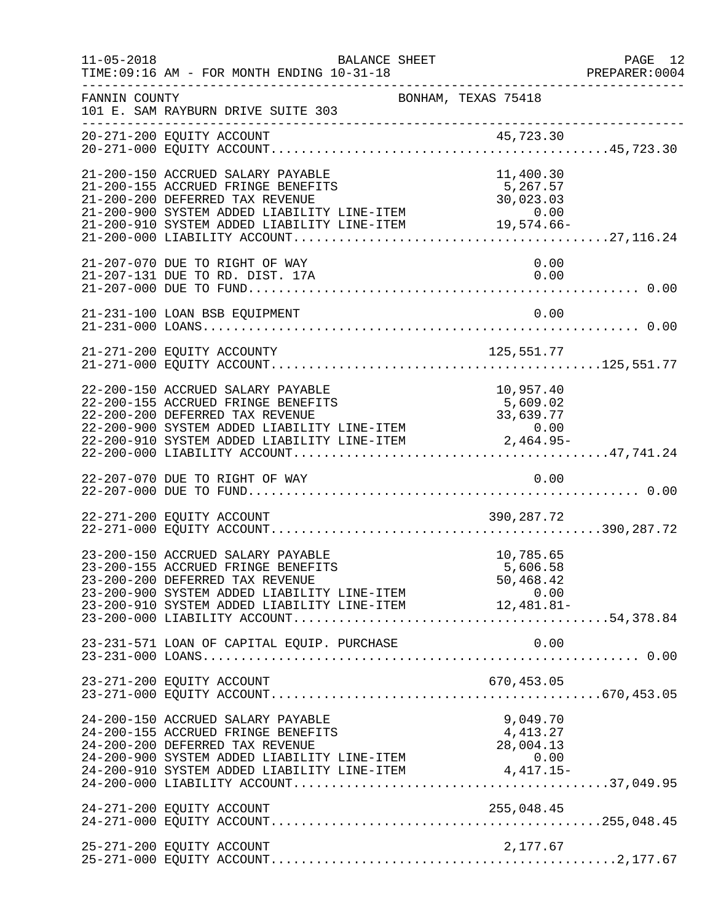| $11 - 05 - 2018$ | TIME: 09:16 AM - FOR MONTH ENDING 10-31-18                                                                                                                                                                                                                               | BALANCE SHEET       |                                    | PAGE 12<br>PREPARER: 0004 |
|------------------|--------------------------------------------------------------------------------------------------------------------------------------------------------------------------------------------------------------------------------------------------------------------------|---------------------|------------------------------------|---------------------------|
| FANNIN COUNTY    | 101 E. SAM RAYBURN DRIVE SUITE 303                                                                                                                                                                                                                                       | BONHAM, TEXAS 75418 |                                    |                           |
|                  |                                                                                                                                                                                                                                                                          |                     |                                    |                           |
|                  | 21-200-150 ACCRUED SALARY PAYABLE<br>21-200-155 ACCRUED FRINGE BENEFITS<br>21-200-200 DEFERRED TAX REVENUE<br>21-200-900 SYSTEM ADDED LIABILITY LINE-ITEM 0.00<br>21-200-910 SYSTEM ADDED LIABILITY LINE-ITEM 19,574.66-                                                 |                     | 11,400.30<br>5,267.57<br>30,023.03 |                           |
|                  | 21-207-070 DUE TO RIGHT OF WAY<br>21-207-131 DUE TO RD. DIST. 17A                                                                                                                                                                                                        |                     | 0.00<br>0.00                       |                           |
|                  | 21-231-100 LOAN BSB EQUIPMENT                                                                                                                                                                                                                                            |                     | 0.00                               |                           |
|                  |                                                                                                                                                                                                                                                                          |                     |                                    |                           |
|                  | 22-200-150 ACCRUED SALARY PAYABLE<br>22-200-155 ACCRUED FRINGE BENEFITS                                                                                                                                                                                                  |                     | 10,957.40<br>5,609.02              |                           |
|                  |                                                                                                                                                                                                                                                                          |                     |                                    |                           |
|                  | 22-271-200 EQUITY ACCOUNT                                                                                                                                                                                                                                                |                     | 390,287.72                         |                           |
|                  | 23-200-150 ACCRUED SALARY PAYABLE<br>23-200-155 ACCRUED FRINGE BENEFITS<br>23-200-155 ACCROED FRINGE BENEFITS<br>23-200-200 DEFERRED TAX REVENUE 50,468.42<br>23-200-900 SYSTEM ADDED LIABILITY LINE-ITEM 0.00<br>23-200-910 SYSTEM ADDED LIABILITY LINE-ITEM 12,481.81- |                     | 10,785.65<br>5,606.58              |                           |
|                  | 23-231-571 LOAN OF CAPITAL EQUIP. PURCHASE                                                                                                                                                                                                                               |                     | 0.00                               |                           |
|                  | 23-271-200 EQUITY ACCOUNT                                                                                                                                                                                                                                                |                     |                                    |                           |
|                  | 24-200-150 ACCRUED SALARY PAYABLE<br>24-200-155 ACCRUED FRINGE BENEFITS<br>24-200-200 DEFERRED TAX REVENUE                                                                                                                                                               |                     | 9,049.70<br>4, 413.27<br>28,004.13 |                           |
|                  | 24-271-200 EQUITY ACCOUNT                                                                                                                                                                                                                                                |                     |                                    |                           |
|                  | 25-271-200 EQUITY ACCOUNT                                                                                                                                                                                                                                                |                     | 2,177.67                           |                           |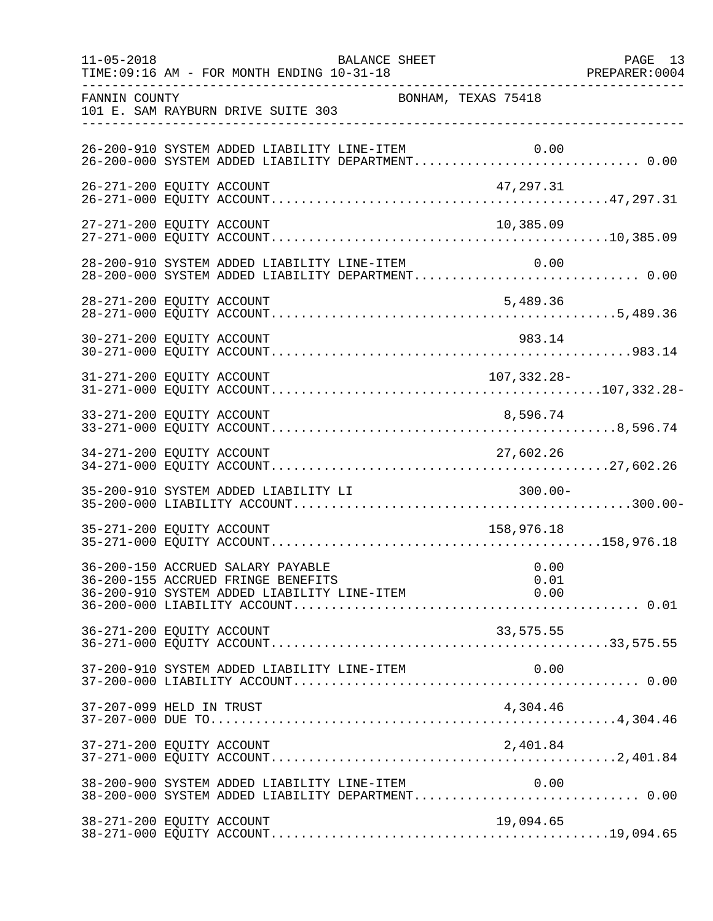| $11 - 05 - 2018$ | BALANCE SHEET<br>TIME: 09:16 AM - FOR MONTH ENDING 10-31-18                                           | PREPARER: 0004      | PAGE 13 |
|------------------|-------------------------------------------------------------------------------------------------------|---------------------|---------|
| FANNIN COUNTY    | 101 E. SAM RAYBURN DRIVE SUITE 303                                                                    | BONHAM, TEXAS 75418 |         |
|                  | 26-200-910 SYSTEM ADDED LIABILITY LINE-ITEM                                                           | 0.00                |         |
|                  | 26-271-200 EQUITY ACCOUNT                                                                             | 47,297.31           |         |
|                  | 27-271-200 EQUITY ACCOUNT                                                                             | 10,385.09           |         |
|                  | 28-200-910 SYSTEM ADDED LIABILITY LINE-ITEM 0.00<br>28-200-000 SYSTEM ADDED LIABILITY DEPARTMENT 0.00 |                     |         |
|                  | 28-271-200 EQUITY ACCOUNT                                                                             | 5,489.36            |         |
|                  | 30-271-200 EQUITY ACCOUNT                                                                             | 983.14              |         |
|                  | 31-271-200 EQUITY ACCOUNT                                                                             | 107,332.28-         |         |
|                  | 33-271-200 EQUITY ACCOUNT                                                                             | 8,596.74            |         |
|                  | 34-271-200 EQUITY ACCOUNT                                                                             | 27,602.26           |         |
|                  | 35-200-910 SYSTEM ADDED LIABILITY LI                                                                  | $300.00 -$          |         |
|                  | 35-271-200 EQUITY ACCOUNT                                                                             | 158,976.18          |         |
|                  | 36-200-150 ACCRUED SALARY PAYABLE<br>36-200-155 ACCRUED FRINGE BENEFITS                               | 0.00<br>0.01        |         |
|                  | 36-271-200 EQUITY ACCOUNT                                                                             | 33,575.55           |         |
|                  | 37-200-910 SYSTEM ADDED LIABILITY LINE-ITEM                                                           | 0.00                |         |
|                  | 37-207-099 HELD IN TRUST                                                                              | 4,304.46            |         |
|                  | 37-271-200 EQUITY ACCOUNT                                                                             | 2,401.84            |         |
|                  | 38-200-900 SYSTEM ADDED LIABILITY LINE-ITEM                                                           | 0.00                |         |
|                  | 38-271-200 EQUITY ACCOUNT                                                                             | 19,094.65           |         |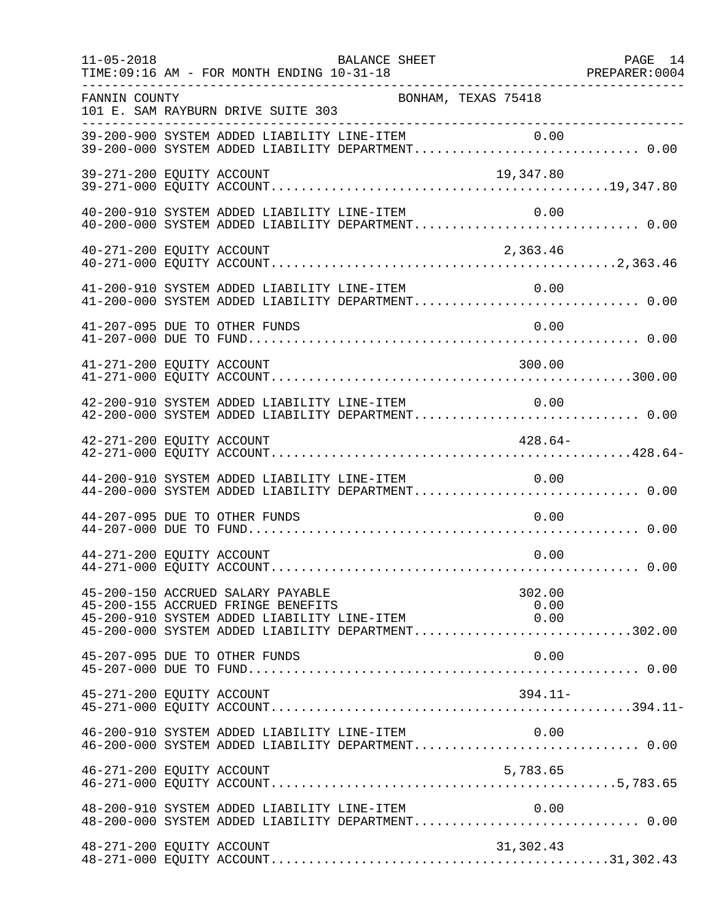| $11 - 05 - 2018$          | TIME: 09:16 AM - FOR MONTH ENDING 10-31-18                              | BALANCE SHEET                               |                                                                                                            | PAGE 14 |
|---------------------------|-------------------------------------------------------------------------|---------------------------------------------|------------------------------------------------------------------------------------------------------------|---------|
| FANNIN COUNTY             | 101 E. SAM RAYBURN DRIVE SUITE 303                                      | BONHAM, TEXAS 75418                         |                                                                                                            |         |
|                           |                                                                         |                                             | 39-200-900 SYSTEM ADDED LIABILITY LINE-ITEM 0.00<br>39-200-000 SYSTEM ADDED LIABILITY DEPARTMENT 0.00      |         |
| 39-271-200 EQUITY ACCOUNT |                                                                         |                                             | 19,347.80                                                                                                  |         |
|                           | 40-200-910 SYSTEM ADDED LIABILITY LINE-ITEM                             |                                             | 0.00                                                                                                       |         |
| 40-271-200 EQUITY ACCOUNT |                                                                         |                                             | 2,363.46                                                                                                   |         |
|                           |                                                                         |                                             | 41-200-910 SYSTEM ADDED LIABILITY LINE-ITEM 0.00<br>41-200-000 SYSTEM ADDED LIABILITY DEPARTMENT 0.00      |         |
|                           | 41-207-095 DUE TO OTHER FUNDS                                           |                                             | 0.00                                                                                                       |         |
| 41-271-200 EQUITY ACCOUNT |                                                                         |                                             | 300.00                                                                                                     |         |
|                           |                                                                         | 42-200-910 SYSTEM ADDED LIABILITY LINE-ITEM | 0.00<br>42-200-000 SYSTEM ADDED LIABILITY DEPARTMENT 0.00                                                  |         |
| 42-271-200 EQUITY ACCOUNT |                                                                         |                                             | $428.64-$                                                                                                  |         |
|                           | 44-200-910 SYSTEM ADDED LIABILITY LINE-ITEM                             |                                             | 0.00<br>44-200-000 SYSTEM ADDED LIABILITY DEPARTMENT 0.00                                                  |         |
|                           | 44-207-095 DUE TO OTHER FUNDS                                           |                                             | 0.00                                                                                                       |         |
| 44-271-200 EQUITY ACCOUNT |                                                                         |                                             | 0.00                                                                                                       |         |
|                           | 45-200-150 ACCRUED SALARY PAYABLE<br>45-200-155 ACCRUED FRINGE BENEFITS | 45-200-910 SYSTEM ADDED LIABILITY LINE-ITEM | 302.00<br>0.00<br>0.00<br>45-200-000 SYSTEM ADDED LIABILITY DEPARTMENT302.00                               |         |
|                           | 45-207-095 DUE TO OTHER FUNDS                                           |                                             | 0.00                                                                                                       |         |
| 45-271-200 EQUITY ACCOUNT |                                                                         |                                             | $394.11-$                                                                                                  |         |
|                           |                                                                         | 46-200-910 SYSTEM ADDED LIABILITY LINE-ITEM | 0.00<br>46-200-000 SYSTEM ADDED LIABILITY DEPARTMENT 0.00                                                  |         |
| 46-271-200 EQUITY ACCOUNT |                                                                         |                                             | 5,783.65                                                                                                   |         |
|                           |                                                                         | 48-200-910 SYSTEM ADDED LIABILITY LINE-ITEM | $48-200-910$ SYSTEM ADDED LIABILITY LINE-ITEM $0.00$<br>$48-200-000$ SYSTEM ADDED LIABILITY DEPARTMENT0.00 |         |
| 48-271-200 EQUITY ACCOUNT |                                                                         |                                             | 31,302.43                                                                                                  |         |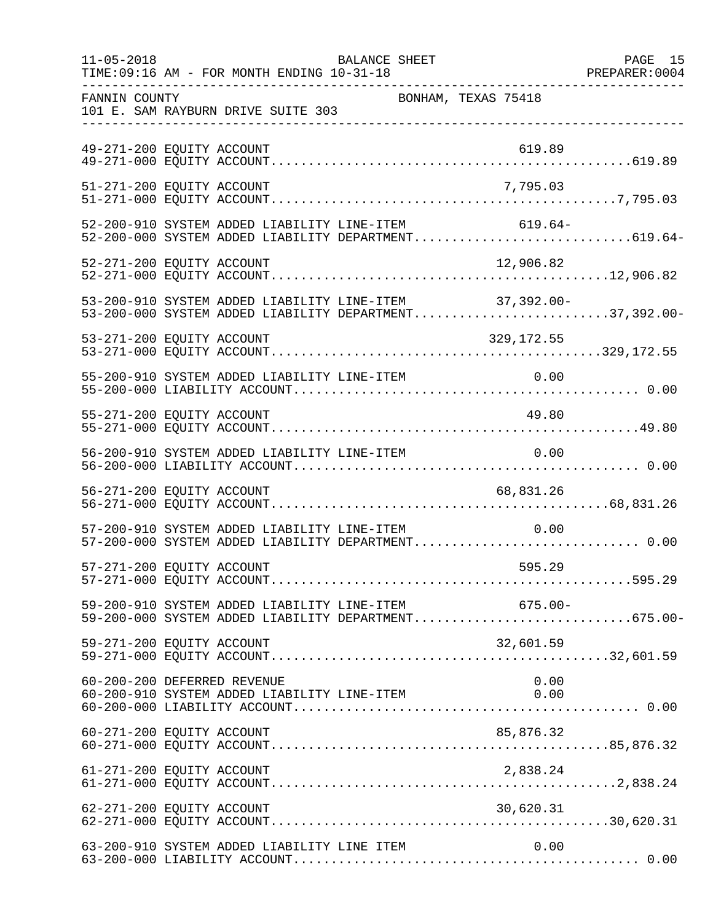| $11 - 05 - 2018$ | BALANCE SHEET<br>TIME: 09:16 AM - FOR MONTH ENDING 10-31-18<br>--------------------------------------            | PAGE 15 |
|------------------|------------------------------------------------------------------------------------------------------------------|---------|
| FANNIN COUNTY    | BONHAM, TEXAS 75418<br>101 E. SAM RAYBURN DRIVE SUITE 303                                                        |         |
|                  | 49-271-200 EQUITY ACCOUNT<br>619.89                                                                              |         |
|                  | 51-271-200 EQUITY ACCOUNT<br>7,795.03                                                                            |         |
|                  | 52-200-910 SYSTEM ADDED LIABILITY LINE-ITEM<br>$619.64-$<br>52-200-000 SYSTEM ADDED LIABILITY DEPARTMENT619.64-  |         |
|                  | 12,906.82<br>52-271-200 EQUITY ACCOUNT                                                                           |         |
|                  | 53-200-910 SYSTEM ADDED LIABILITY LINE-ITEM 37,392.00-<br>53-200-000 SYSTEM ADDED LIABILITY DEPARTMENT37,392.00- |         |
|                  | 53-271-200 EQUITY ACCOUNT<br>329,172.55                                                                          |         |
|                  | 55-200-910 SYSTEM ADDED LIABILITY LINE-ITEM 0.00                                                                 |         |
|                  | 55-271-200 EQUITY ACCOUNT<br>49.80                                                                               |         |
|                  | 56-200-910 SYSTEM ADDED LIABILITY LINE-ITEM<br>0.00                                                              |         |
|                  | 56-271-200 EQUITY ACCOUNT<br>68,831.26                                                                           |         |
|                  | 57-200-910 SYSTEM ADDED LIABILITY LINE-ITEM<br>0.00<br>57-200-000 SYSTEM ADDED LIABILITY DEPARTMENT 0.00         |         |
|                  | 57-271-200 EQUITY ACCOUNT<br>595.29                                                                              |         |
|                  | 59-200-910 SYSTEM ADDED LIABILITY LINE-ITEM 675.00-<br>59-200-000 SYSTEM ADDED LIABILITY DEPARTMENT675.00-       |         |
|                  | 59-271-200 EQUITY ACCOUNT<br>32,601.59                                                                           |         |
|                  | 60-200-200 DEFERRED REVENUE<br>0.00<br>60-200-910 SYSTEM ADDED LIABILITY LINE-ITEM<br>0.00                       |         |
|                  | 85,876.32<br>60-271-200 EQUITY ACCOUNT                                                                           |         |
|                  | 61-271-200 EQUITY ACCOUNT<br>2,838.24                                                                            |         |
|                  | 62-271-200 EQUITY ACCOUNT<br>30,620.31                                                                           |         |
|                  | 63-200-910 SYSTEM ADDED LIABILITY LINE ITEM<br>0.00                                                              |         |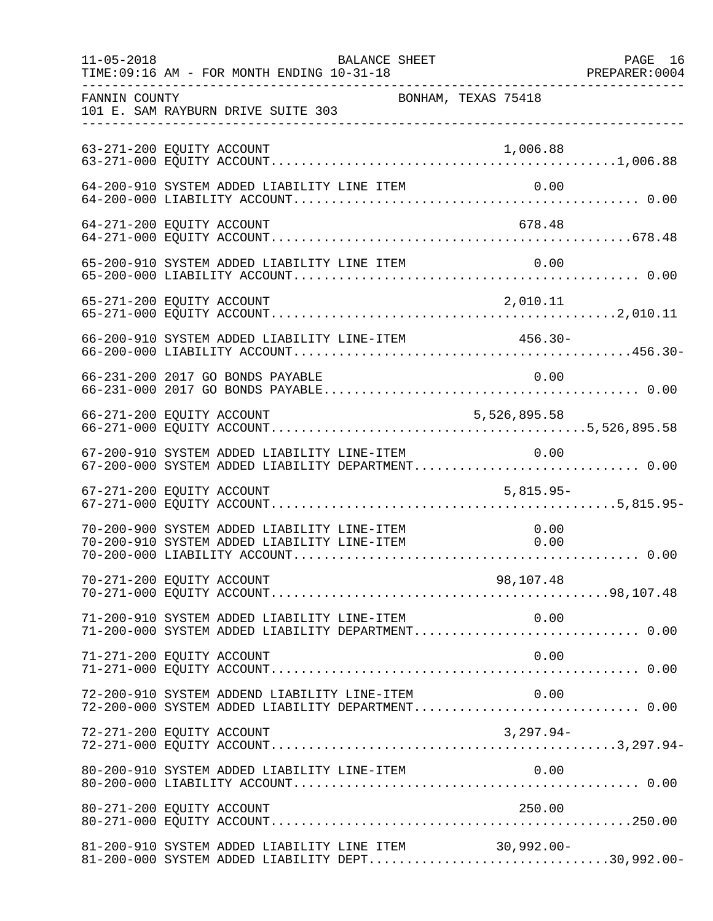| $11 - 05 - 2018$ | TIME: 09:16 AM - FOR MONTH ENDING 10-31-18                                                                 | BALANCE SHEET |                     | PAGE 16 |
|------------------|------------------------------------------------------------------------------------------------------------|---------------|---------------------|---------|
| FANNIN COUNTY    | 101 E. SAM RAYBURN DRIVE SUITE 303                                                                         |               | BONHAM, TEXAS 75418 |         |
|                  | 63-271-200 EQUITY ACCOUNT                                                                                  |               | 1,006.88            |         |
|                  | 64-200-910 SYSTEM ADDED LIABILITY LINE ITEM                                                                |               | 0.00                |         |
|                  | 64-271-200 EQUITY ACCOUNT                                                                                  |               | 678.48              |         |
|                  |                                                                                                            |               |                     |         |
|                  | 65-271-200 EQUITY ACCOUNT                                                                                  |               | 2,010.11            |         |
|                  | 66-200-910 SYSTEM ADDED LIABILITY LINE-ITEM                                                                |               | 456.30-             |         |
|                  | 66-231-200 2017 GO BONDS PAYABLE                                                                           |               | 0.00                |         |
|                  | 66-271-200 EQUITY ACCOUNT                                                                                  |               | 5,526,895.58        |         |
|                  | 67-200-910 SYSTEM ADDED LIABILITY LINE-ITEM 0.00<br>67-200-000 SYSTEM ADDED LIABILITY DEPARTMENT 0.00      |               |                     |         |
|                  | 67-271-200 EQUITY ACCOUNT                                                                                  |               | $5,815.95-$         |         |
|                  | 70-200-900 SYSTEM ADDED LIABILITY LINE-ITEM<br>70-200-910 SYSTEM ADDED LIABILITY LINE-ITEM                 |               | 0.00<br>0.00        |         |
|                  |                                                                                                            |               |                     |         |
|                  |                                                                                                            |               |                     |         |
|                  | 71-271-200 EQUITY ACCOUNT                                                                                  |               | 0.00                |         |
|                  | 72-200-910 SYSTEM ADDEND LIABILITY LINE-ITEM<br>72-200-000 SYSTEM ADDED LIABILITY DEPARTMENT 0.00          |               | 0.00                |         |
|                  | 72-271-200 EQUITY ACCOUNT                                                                                  |               | $3,297.94-$         |         |
|                  |                                                                                                            |               |                     |         |
|                  | 80-271-200 EQUITY ACCOUNT                                                                                  |               | 250.00              |         |
|                  | 81-200-910 SYSTEM ADDED LIABILITY LINE ITEM 30,992.00-<br>81-200-000 SYSTEM ADDED LIABILITY DEPT30,992.00- |               |                     |         |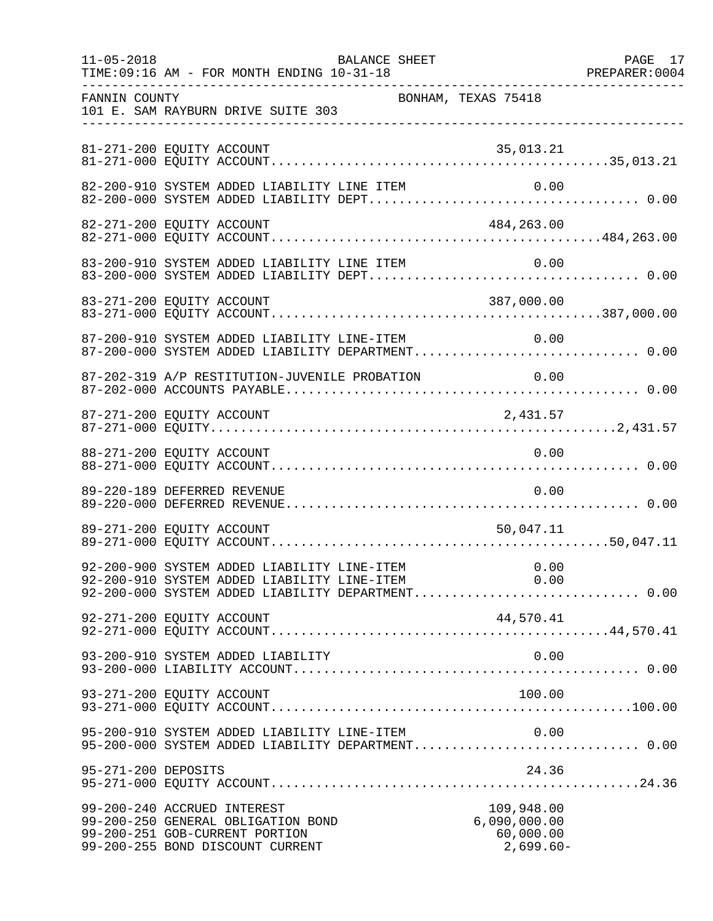| $11 - 05 - 2018$    | TIME: 09:16 AM - FOR MONTH ENDING 10-31-18                                                                                                               | BALANCE SHEET |                                                        | PAGE 17 |
|---------------------|----------------------------------------------------------------------------------------------------------------------------------------------------------|---------------|--------------------------------------------------------|---------|
| FANNIN COUNTY       | 101 E. SAM RAYBURN DRIVE SUITE 303                                                                                                                       |               | BONHAM, TEXAS 75418                                    |         |
|                     | 81-271-200 EQUITY ACCOUNT                                                                                                                                |               | 35,013.21                                              |         |
|                     | 82-200-910 SYSTEM ADDED LIABILITY LINE ITEM                                                                                                              |               | 0.00                                                   |         |
|                     | 82-271-200 EQUITY ACCOUNT                                                                                                                                |               | 484,263.00                                             |         |
|                     |                                                                                                                                                          |               |                                                        |         |
|                     |                                                                                                                                                          |               |                                                        |         |
|                     | 87-200-910 SYSTEM ADDED LIABILITY LINE-ITEM<br>87-200-000 SYSTEM ADDED LIABILITY DEPARTMENT 0.00                                                         |               | 0.00                                                   |         |
|                     | 87-202-319 A/P RESTITUTION-JUVENILE PROBATION                                                                                                            |               | 0.00                                                   |         |
|                     | 87-271-200 EQUITY ACCOUNT                                                                                                                                |               | 2,431.57                                               |         |
|                     | 88-271-200 EQUITY ACCOUNT                                                                                                                                |               | 0.00                                                   |         |
|                     | 89-220-189 DEFERRED REVENUE                                                                                                                              |               | 0.00                                                   |         |
|                     | 89-271-200 EQUITY ACCOUNT                                                                                                                                |               | 50,047.11                                              |         |
|                     | 92-200-900 SYSTEM ADDED LIABILITY LINE-ITEM 0.00<br>92-200-910 SYSTEM ADDED LIABILITY LINE-ITEM 0.00<br>92-200-000 SYSTEM ADDED LIABILITY DEPARTMENT0.00 |               |                                                        |         |
|                     | 92-271-200 EQUITY ACCOUNT                                                                                                                                |               | 44,570.41                                              |         |
|                     | 93-200-910 SYSTEM ADDED LIABILITY                                                                                                                        |               | 0.00                                                   |         |
|                     | 93-271-200 EQUITY ACCOUNT                                                                                                                                |               | 100.00                                                 |         |
|                     | 95-200-910 SYSTEM ADDED LIABILITY LINE-ITEM<br>95-200-000 SYSTEM ADDED LIABILITY DEPARTMENT 0.00                                                         |               | 0.00                                                   |         |
| 95-271-200 DEPOSITS |                                                                                                                                                          |               | 24.36                                                  |         |
|                     | 99-200-240 ACCRUED INTEREST<br>99-200-250 GENERAL OBLIGATION BOND<br>99-200-251 GOB-CURRENT PORTION<br>99-200-255 BOND DISCOUNT CURRENT                  |               | 109,948.00<br>6,090,000.00<br>60,000.00<br>$2,699.60-$ |         |